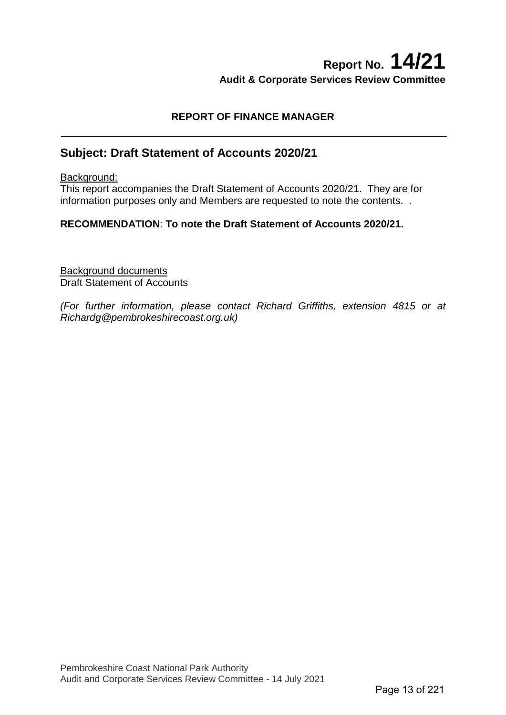# **Report No. 14/21 Audit & Corporate Services Review Committee**

#### **REPORT OF FINANCE MANAGER**

## **Subject: Draft Statement of Accounts 2020/21**

Background:

This report accompanies the Draft Statement of Accounts 2020/21. They are for information purposes only and Members are requested to note the contents. .

#### **RECOMMENDATION**: **To note the Draft Statement of Accounts 2020/21.**

Background documents Draft Statement of Accounts

*(For further information, please contact Richard Griffiths, extension 4815 or at Richardg@pembrokeshirecoast.org.uk)*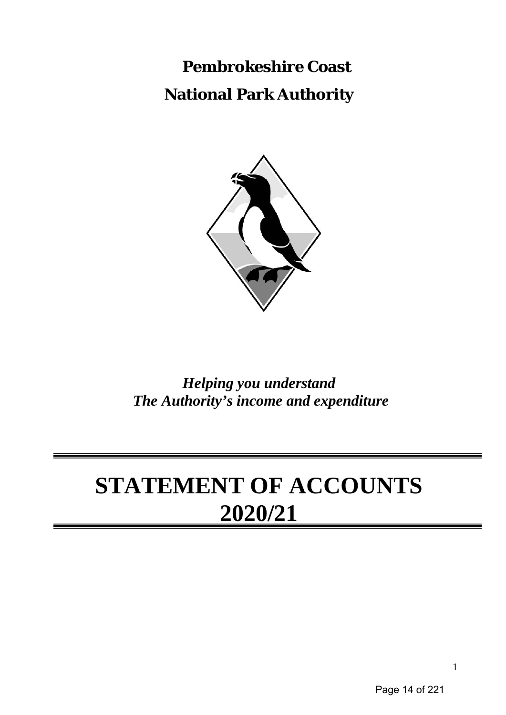**Pembrokeshire Coast National Park Authority**



*Helping you understand The Authority's income and expenditure*

# **STATEMENT OF ACCOUNTS 2020/21**

Page 14 of 221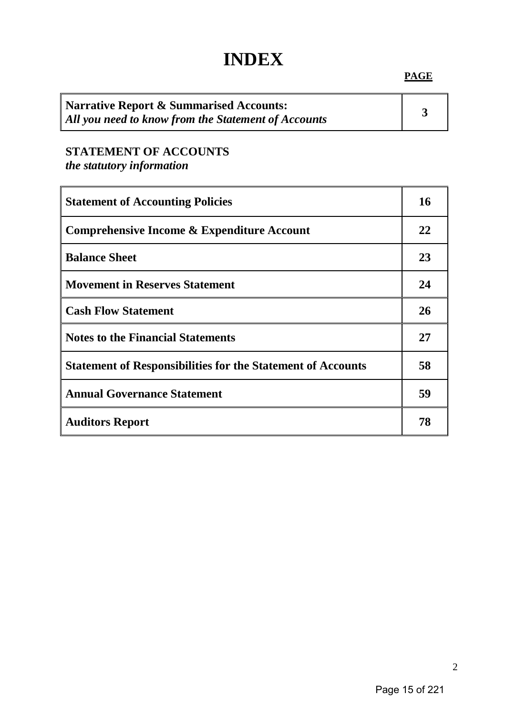# **INDEX**

#### **PAGE**

| Narrative Report & Summarised Accounts:             |  |
|-----------------------------------------------------|--|
| All you need to know from the Statement of Accounts |  |

# **STATEMENT OF ACCOUNTS**

*the statutory information*

٠,

| <b>Statement of Accounting Policies</b>                            | 16 |
|--------------------------------------------------------------------|----|
| Comprehensive Income & Expenditure Account                         | 22 |
| <b>Balance Sheet</b>                                               | 23 |
| <b>Movement in Reserves Statement</b>                              | 24 |
| <b>Cash Flow Statement</b>                                         | 26 |
| <b>Notes to the Financial Statements</b>                           | 27 |
| <b>Statement of Responsibilities for the Statement of Accounts</b> | 58 |
| <b>Annual Governance Statement</b>                                 | 59 |
| <b>Auditors Report</b>                                             | 78 |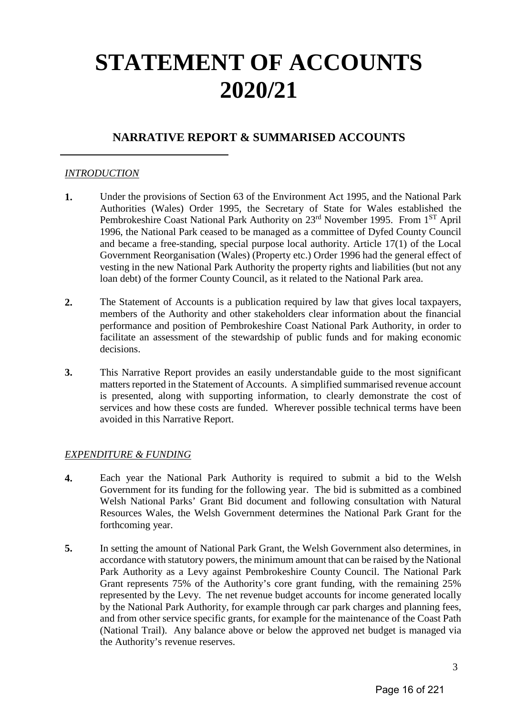# **STATEMENT OF ACCOUNTS 2020/21**

## **NARRATIVE REPORT & SUMMARISED ACCOUNTS**

#### *INTRODUCTION*

- **1.** Under the provisions of Section 63 of the Environment Act 1995, and the National Park Authorities (Wales) Order 1995, the Secretary of State for Wales established the Pembrokeshire Coast National Park Authority on 23<sup>rd</sup> November 1995. From 1<sup>ST</sup> April 1996, the National Park ceased to be managed as a committee of Dyfed County Council and became a free-standing, special purpose local authority. Article 17(1) of the Local Government Reorganisation (Wales) (Property etc.) Order 1996 had the general effect of vesting in the new National Park Authority the property rights and liabilities (but not any loan debt) of the former County Council, as it related to the National Park area.
- **2.** The Statement of Accounts is a publication required by law that gives local taxpayers, members of the Authority and other stakeholders clear information about the financial performance and position of Pembrokeshire Coast National Park Authority, in order to facilitate an assessment of the stewardship of public funds and for making economic decisions.
- **3.** This Narrative Report provides an easily understandable guide to the most significant matters reported in the Statement of Accounts. A simplified summarised revenue account is presented, along with supporting information, to clearly demonstrate the cost of services and how these costs are funded. Wherever possible technical terms have been avoided in this Narrative Report.

#### *EXPENDITURE & FUNDING*

- **4.** Each year the National Park Authority is required to submit a bid to the Welsh Government for its funding for the following year. The bid is submitted as a combined Welsh National Parks' Grant Bid document and following consultation with Natural Resources Wales, the Welsh Government determines the National Park Grant for the forthcoming year.
- **5.** In setting the amount of National Park Grant, the Welsh Government also determines, in accordance with statutory powers, the minimum amount that can be raised by the National Park Authority as a Levy against Pembrokeshire County Council. The National Park Grant represents 75% of the Authority's core grant funding, with the remaining 25% represented by the Levy. The net revenue budget accounts for income generated locally by the National Park Authority, for example through car park charges and planning fees, and from other service specific grants, for example for the maintenance of the Coast Path (National Trail). Any balance above or below the approved net budget is managed via the Authority's revenue reserves.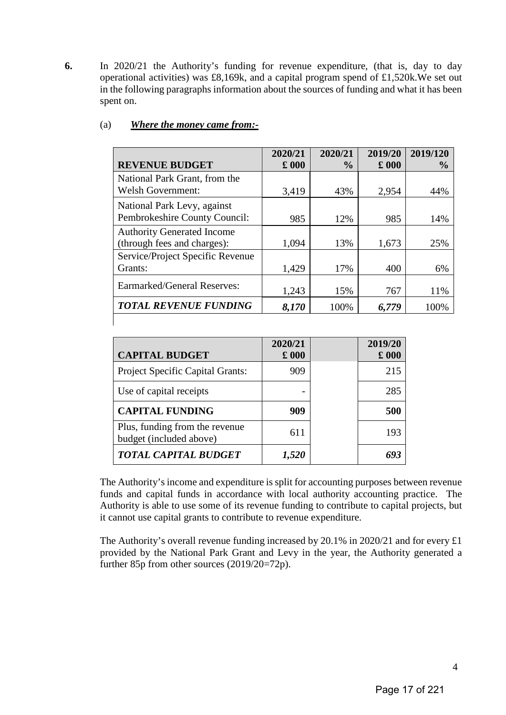**6.** In 2020/21 the Authority's funding for revenue expenditure, (that is, day to day operational activities) was £8,169k, and a capital program spend of £1,520k.We set out in the following paragraphs information about the sources of funding and what it has been spent on.

|                                                                  | 2020/21       | 2020/21        | 2019/20       | 2019/120      |
|------------------------------------------------------------------|---------------|----------------|---------------|---------------|
| <b>REVENUE BUDGET</b>                                            | $\pounds$ 000 | $\frac{6}{10}$ | $\pounds$ 000 | $\frac{6}{9}$ |
| National Park Grant, from the                                    |               |                |               |               |
| <b>Welsh Government:</b>                                         | 3,419         | 43%            | 2,954         | 44%           |
| National Park Levy, against<br>Pembrokeshire County Council:     | 985           | 12%            | 985           | 14%           |
| <b>Authority Generated Income</b><br>(through fees and charges): | 1,094         | 13%            | 1,673         | 25%           |
| Service/Project Specific Revenue<br>Grants:                      | 1,429         | 17%            | 400           | 6%            |
| <b>Earmarked/General Reserves:</b>                               | 1,243         | 15%            | 767           | 11%           |
| <b>TOTAL REVENUE FUNDING</b>                                     | 8,170         | 100%           | 6,779         | 100%          |
|                                                                  |               |                |               |               |

#### (a) *Where the money came from:-*

| <b>CAPITAL BUDGET</b>                                     | 2020/21<br>$\pounds$ 000 | 2019/20<br>$\pounds 000$ |
|-----------------------------------------------------------|--------------------------|--------------------------|
| Project Specific Capital Grants:                          | 909                      | 215                      |
| Use of capital receipts                                   |                          | 285                      |
| <b>CAPITAL FUNDING</b>                                    | 909                      | 500                      |
| Plus, funding from the revenue<br>budget (included above) | 611                      | 193                      |
| <b>TOTAL CAPITAL BUDGET</b>                               |                          |                          |

The Authority's income and expenditure is split for accounting purposes between revenue funds and capital funds in accordance with local authority accounting practice. The Authority is able to use some of its revenue funding to contribute to capital projects, but it cannot use capital grants to contribute to revenue expenditure.

The Authority's overall revenue funding increased by 20.1% in 2020/21 and for every £1 provided by the National Park Grant and Levy in the year, the Authority generated a further 85p from other sources (2019/20=72p).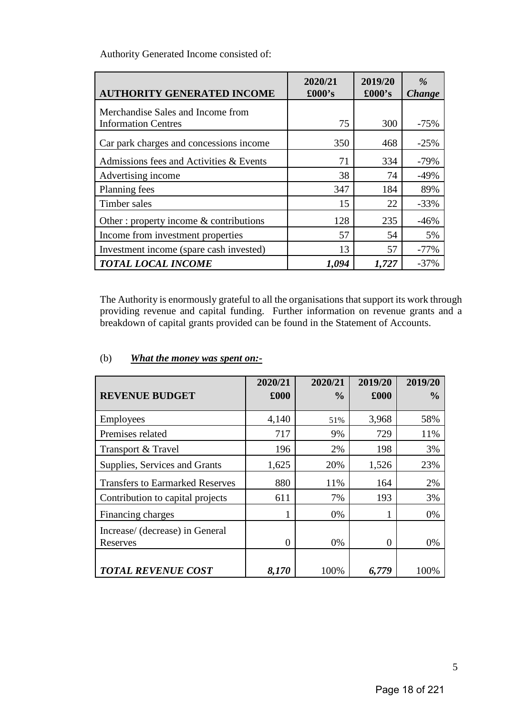Authority Generated Income consisted of:

| <b>AUTHORITY GENERATED INCOME</b>                               | 2020/21<br>$\pounds000$ 's | 2019/20<br>$\pounds000's$ | $\frac{9}{6}$<br><b>Change</b> |
|-----------------------------------------------------------------|----------------------------|---------------------------|--------------------------------|
| Merchandise Sales and Income from<br><b>Information Centres</b> | 75                         | 300                       | $-75%$                         |
| Car park charges and concessions income                         | 350                        | 468                       | $-25%$                         |
| Admissions fees and Activities & Events                         | 71                         | 334                       | $-79%$                         |
| Advertising income                                              | 38                         | 74                        | $-49%$                         |
| Planning fees                                                   | 347                        | 184                       | 89%                            |
| Timber sales                                                    | 15                         | 22                        | $-33%$                         |
| Other: property income $\&$ contributions                       | 128                        | 235                       | $-46%$                         |
| Income from investment properties                               | 57                         | 54                        | 5%                             |
| Investment income (spare cash invested)                         | 13                         | 57                        | $-77%$                         |
| <b>TOTAL LOCAL INCOME</b>                                       | 1,094                      | 1,727                     | $-37%$                         |

The Authority is enormously grateful to all the organisations that support its work through providing revenue and capital funding. Further information on revenue grants and a breakdown of capital grants provided can be found in the Statement of Accounts.

|                                             | 2020/21  | 2020/21       | 2019/20  | 2019/20       |
|---------------------------------------------|----------|---------------|----------|---------------|
| <b>REVENUE BUDGET</b>                       | £000     | $\frac{0}{0}$ | £000     | $\frac{0}{0}$ |
| <b>Employees</b>                            | 4,140    | 51%           | 3,968    | 58%           |
| Premises related                            | 717      | 9%            | 729      | 11%           |
| Transport & Travel                          | 196      | 2%            | 198      | 3%            |
| Supplies, Services and Grants               | 1,625    | 20%           | 1,526    | 23%           |
| <b>Transfers to Earmarked Reserves</b>      | 880      | 11%           | 164      | 2%            |
| Contribution to capital projects            | 611      | 7%            | 193      | 3%            |
| Financing charges                           |          | 0%            |          | 0%            |
| Increase/ (decrease) in General<br>Reserves | $\Omega$ | 0%            | $\theta$ | 0%            |
| <b>TOTAL REVENUE COST</b>                   | 8,170    | 100%          | 6,779    | 100%          |

#### (b) *What the money was spent on:-*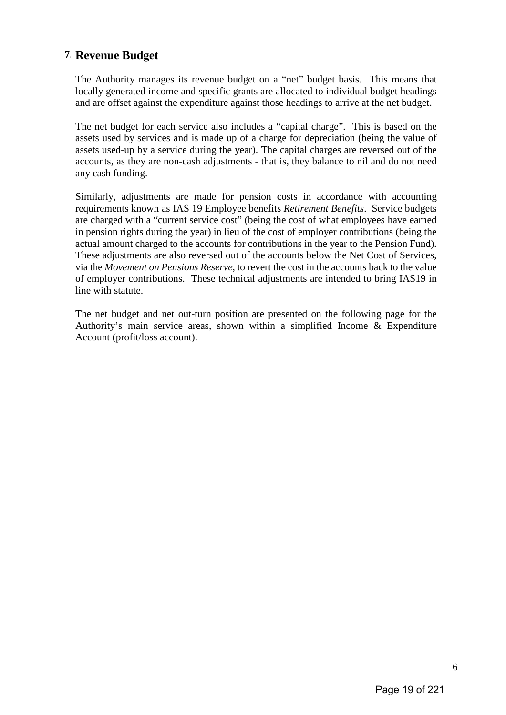## **7. Revenue Budget**

The Authority manages its revenue budget on a "net" budget basis. This means that locally generated income and specific grants are allocated to individual budget headings and are offset against the expenditure against those headings to arrive at the net budget.

The net budget for each service also includes a "capital charge". This is based on the assets used by services and is made up of a charge for depreciation (being the value of assets used-up by a service during the year). The capital charges are reversed out of the accounts, as they are non-cash adjustments - that is, they balance to nil and do not need any cash funding.

Similarly, adjustments are made for pension costs in accordance with accounting requirements known as IAS 19 Employee benefits *Retirement Benefits*. Service budgets are charged with a "current service cost" (being the cost of what employees have earned in pension rights during the year) in lieu of the cost of employer contributions (being the actual amount charged to the accounts for contributions in the year to the Pension Fund). These adjustments are also reversed out of the accounts below the Net Cost of Services, via the *Movement on Pensions Reserve*, to revert the cost in the accounts back to the value of employer contributions. These technical adjustments are intended to bring IAS19 in line with statute.

The net budget and net out-turn position are presented on the following page for the Authority's main service areas, shown within a simplified Income & Expenditure Account (profit/loss account).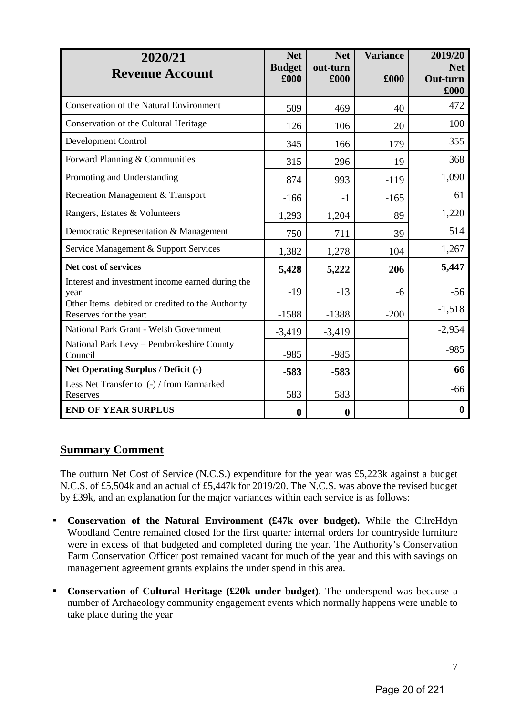| 2020/21<br><b>Revenue Account</b>                                          | <b>Net</b><br><b>Budget</b><br>£000 | <b>Net</b><br>out-turn<br>£000 | <b>Variance</b><br>£000 | 2019/20<br><b>Net</b><br>Out-turn<br>£000 |
|----------------------------------------------------------------------------|-------------------------------------|--------------------------------|-------------------------|-------------------------------------------|
| <b>Conservation of the Natural Environment</b>                             | 509                                 | 469                            | 40                      | 472                                       |
| Conservation of the Cultural Heritage                                      | 126                                 | 106                            | 20                      | 100                                       |
| Development Control                                                        | 345                                 | 166                            | 179                     | 355                                       |
| Forward Planning & Communities                                             | 315                                 | 296                            | 19                      | 368                                       |
| Promoting and Understanding                                                | 874                                 | 993                            | $-119$                  | 1,090                                     |
| Recreation Management & Transport                                          | $-166$                              | $-1$                           | $-165$                  | 61                                        |
| Rangers, Estates & Volunteers                                              | 1,293                               | 1,204                          | 89                      | 1,220                                     |
| Democratic Representation & Management                                     | 750                                 | 711                            | 39                      | 514                                       |
| Service Management & Support Services                                      | 1,382                               | 1,278                          | 104                     | 1,267                                     |
| Net cost of services                                                       | 5,428                               | 5,222                          | 206                     | 5,447                                     |
| Interest and investment income earned during the<br>year                   | $-19$                               | $-13$                          | -6                      | $-56$                                     |
| Other Items debited or credited to the Authority<br>Reserves for the year: | $-1588$                             | $-1388$                        | $-200$                  | $-1,518$                                  |
| National Park Grant - Welsh Government                                     | $-3,419$                            | $-3,419$                       |                         | $-2,954$                                  |
| National Park Levy - Pembrokeshire County<br>Council                       | $-985$                              | $-985$                         |                         | $-985$                                    |
| Net Operating Surplus / Deficit (-)                                        | $-583$                              | $-583$                         |                         | 66                                        |
| Less Net Transfer to (-) / from Earmarked<br>Reserves                      | 583                                 | 583                            |                         | $-66$                                     |
| <b>END OF YEAR SURPLUS</b>                                                 | $\boldsymbol{0}$                    | $\boldsymbol{0}$               |                         | $\boldsymbol{0}$                          |

## **Summary Comment**

The outturn Net Cost of Service (N.C.S.) expenditure for the year was £5,223k against a budget N.C.S. of £5,504k and an actual of £5,447k for 2019/20. The N.C.S. was above the revised budget by £39k, and an explanation for the major variances within each service is as follows:

- **Conservation of the Natural Environment (£47k over budget).** While the CilreHdyn Woodland Centre remained closed for the first quarter internal orders for countryside furniture were in excess of that budgeted and completed during the year. The Authority's Conservation Farm Conservation Officer post remained vacant for much of the year and this with savings on management agreement grants explains the under spend in this area.
- **Conservation of Cultural Heritage (£20k under budget)**. The underspend was because a number of Archaeology community engagement events which normally happens were unable to take place during the year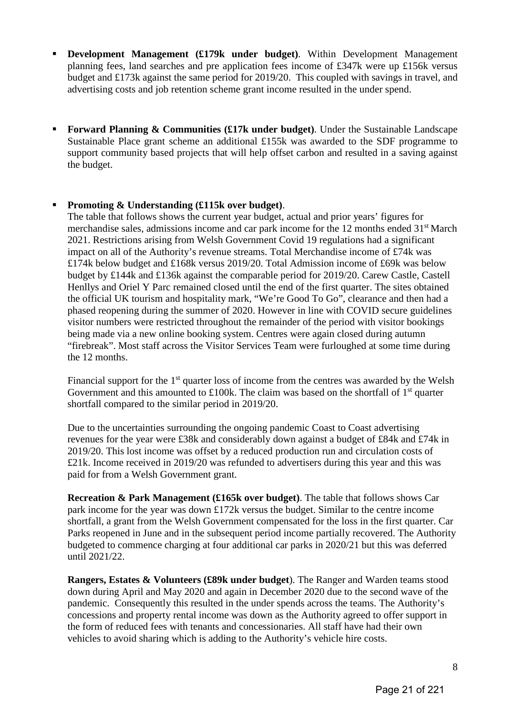- **Development Management (£179k under budget)**. Within Development Management planning fees, land searches and pre application fees income of £347k were up £156k versus budget and £173k against the same period for 2019/20. This coupled with savings in travel, and advertising costs and job retention scheme grant income resulted in the under spend.
- **Forward Planning & Communities (£17k under budget)**. Under the Sustainable Landscape Sustainable Place grant scheme an additional £155k was awarded to the SDF programme to support community based projects that will help offset carbon and resulted in a saving against the budget.

#### **Promoting & Understanding (£115k over budget)**.

The table that follows shows the current year budget, actual and prior years' figures for merchandise sales, admissions income and car park income for the 12 months ended 31<sup>st</sup> March 2021. Restrictions arising from Welsh Government Covid 19 regulations had a significant impact on all of the Authority's revenue streams. Total Merchandise income of £74k was £174k below budget and £168k versus 2019/20. Total Admission income of £69k was below budget by £144k and £136k against the comparable period for 2019/20. Carew Castle, Castell Henllys and Oriel Y Parc remained closed until the end of the first quarter. The sites obtained the official UK tourism and hospitality mark, "We're Good To Go", clearance and then had a phased reopening during the summer of 2020. However in line with COVID secure guidelines visitor numbers were restricted throughout the remainder of the period with visitor bookings being made via a new online booking system. Centres were again closed during autumn "firebreak". Most staff across the Visitor Services Team were furloughed at some time during the 12 months.

Financial support for the  $1<sup>st</sup>$  quarter loss of income from the centres was awarded by the Welsh Government and this amounted to £100k. The claim was based on the shortfall of  $1<sup>st</sup>$  quarter shortfall compared to the similar period in 2019/20.

Due to the uncertainties surrounding the ongoing pandemic Coast to Coast advertising revenues for the year were £38k and considerably down against a budget of £84k and £74k in 2019/20. This lost income was offset by a reduced production run and circulation costs of £21k. Income received in 2019/20 was refunded to advertisers during this year and this was paid for from a Welsh Government grant.

**Recreation & Park Management (£165k over budget)**. The table that follows shows Car park income for the year was down £172k versus the budget. Similar to the centre income shortfall, a grant from the Welsh Government compensated for the loss in the first quarter. Car Parks reopened in June and in the subsequent period income partially recovered. The Authority budgeted to commence charging at four additional car parks in 2020/21 but this was deferred until 2021/22.

**Rangers, Estates & Volunteers (£89k under budget**). The Ranger and Warden teams stood down during April and May 2020 and again in December 2020 due to the second wave of the pandemic. Consequently this resulted in the under spends across the teams. The Authority's concessions and property rental income was down as the Authority agreed to offer support in the form of reduced fees with tenants and concessionaries. All staff have had their own vehicles to avoid sharing which is adding to the Authority's vehicle hire costs.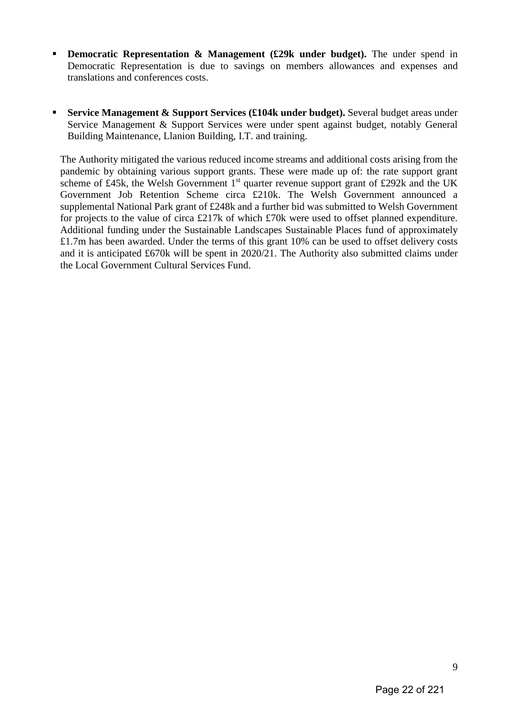- **Democratic Representation & Management (£29k under budget).** The under spend in Democratic Representation is due to savings on members allowances and expenses and translations and conferences costs.
- **Service Management & Support Services (£104k under budget).** Several budget areas under Service Management & Support Services were under spent against budget, notably General Building Maintenance, Llanion Building, I.T. and training.

The Authority mitigated the various reduced income streams and additional costs arising from the pandemic by obtaining various support grants. These were made up of: the rate support grant scheme of £45k, the Welsh Government  $1<sup>st</sup>$  quarter revenue support grant of £292k and the UK Government Job Retention Scheme circa £210k. The Welsh Government announced a supplemental National Park grant of £248k and a further bid was submitted to Welsh Government for projects to the value of circa £217k of which £70k were used to offset planned expenditure. Additional funding under the Sustainable Landscapes Sustainable Places fund of approximately £1.7m has been awarded. Under the terms of this grant 10% can be used to offset delivery costs and it is anticipated £670k will be spent in 2020/21. The Authority also submitted claims under the Local Government Cultural Services Fund.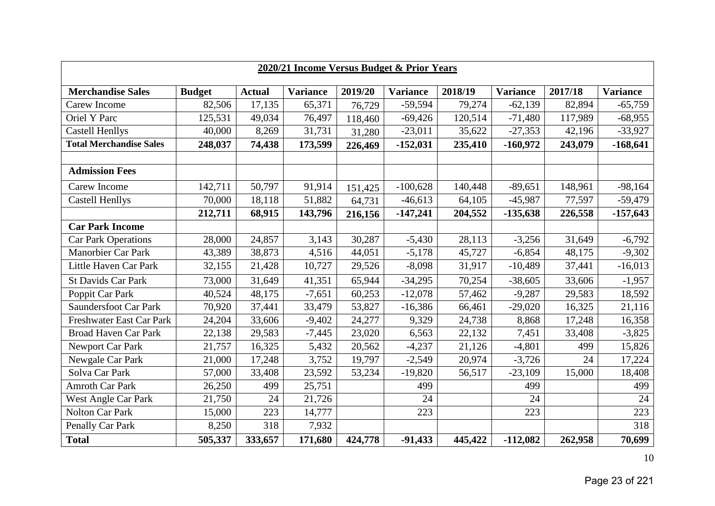| 2020/21 Income Versus Budget & Prior Years |               |               |                 |         |                 |         |                 |         |                 |
|--------------------------------------------|---------------|---------------|-----------------|---------|-----------------|---------|-----------------|---------|-----------------|
| <b>Merchandise Sales</b>                   | <b>Budget</b> | <b>Actual</b> | <b>Variance</b> | 2019/20 | <b>Variance</b> | 2018/19 | <b>Variance</b> | 2017/18 | <b>Variance</b> |
| Carew Income                               | 82,506        | 17,135        | 65,371          | 76,729  | $-59,594$       | 79,274  | $-62,139$       | 82,894  | $-65,759$       |
| <b>Oriel Y Parc</b>                        | 125,531       | 49,034        | 76,497          | 118,460 | $-69,426$       | 120,514 | $-71,480$       | 117,989 | $-68,955$       |
| <b>Castell Henllys</b>                     | 40,000        | 8,269         | 31,731          | 31,280  | $-23,011$       | 35,622  | $-27,353$       | 42,196  | $-33,927$       |
| <b>Total Merchandise Sales</b>             | 248,037       | 74,438        | 173,599         | 226,469 | $-152,031$      | 235,410 | $-160,972$      | 243,079 | $-168,641$      |
|                                            |               |               |                 |         |                 |         |                 |         |                 |
| <b>Admission Fees</b>                      |               |               |                 |         |                 |         |                 |         |                 |
| Carew Income                               | 142,711       | 50,797        | 91,914          | 151,425 | $-100,628$      | 140,448 | $-89,651$       | 148,961 | $-98,164$       |
| <b>Castell Henllys</b>                     | 70,000        | 18,118        | 51,882          | 64,731  | $-46,613$       | 64,105  | $-45,987$       | 77,597  | $-59,479$       |
|                                            | 212,711       | 68,915        | 143,796         | 216,156 | $-147,241$      | 204,552 | $-135,638$      | 226,558 | $-157,643$      |
| <b>Car Park Income</b>                     |               |               |                 |         |                 |         |                 |         |                 |
| <b>Car Park Operations</b>                 | 28,000        | 24,857        | 3,143           | 30,287  | $-5,430$        | 28,113  | $-3,256$        | 31,649  | $-6,792$        |
| <b>Manorbier Car Park</b>                  | 43,389        | 38,873        | 4,516           | 44,051  | $-5,178$        | 45,727  | $-6,854$        | 48,175  | $-9,302$        |
| Little Haven Car Park                      | 32,155        | 21,428        | 10,727          | 29,526  | $-8,098$        | 31,917  | $-10,489$       | 37,441  | $-16,013$       |
| <b>St Davids Car Park</b>                  | 73,000        | 31,649        | 41,351          | 65,944  | $-34,295$       | 70,254  | $-38,605$       | 33,606  | $-1,957$        |
| Poppit Car Park                            | 40,524        | 48,175        | $-7,651$        | 60,253  | $-12,078$       | 57,462  | $-9,287$        | 29,583  | 18,592          |
| <b>Saundersfoot Car Park</b>               | 70,920        | 37,441        | 33,479          | 53,827  | $-16,386$       | 66,461  | $-29,020$       | 16,325  | 21,116          |
| Freshwater East Car Park                   | 24,204        | 33,606        | $-9,402$        | 24,277  | 9,329           | 24,738  | 8,868           | 17,248  | 16,358          |
| <b>Broad Haven Car Park</b>                | 22,138        | 29,583        | $-7,445$        | 23,020  | 6,563           | 22,132  | 7,451           | 33,408  | $-3,825$        |
| Newport Car Park                           | 21,757        | 16,325        | 5,432           | 20,562  | $-4,237$        | 21,126  | $-4,801$        | 499     | 15,826          |
| Newgale Car Park                           | 21,000        | 17,248        | 3,752           | 19,797  | $-2,549$        | 20,974  | $-3,726$        | 24      | 17,224          |
| Solva Car Park                             | 57,000        | 33,408        | 23,592          | 53,234  | $-19,820$       | 56,517  | $-23,109$       | 15,000  | 18,408          |
| <b>Amroth Car Park</b>                     | 26,250        | 499           | 25,751          |         | 499             |         | 499             |         | 499             |
| West Angle Car Park                        | 21,750        | 24            | 21,726          |         | 24              |         | 24              |         | 24              |
| <b>Nolton Car Park</b>                     | 15,000        | 223           | 14,777          |         | 223             |         | 223             |         | 223             |
| Penally Car Park                           | 8,250         | 318           | 7,932           |         |                 |         |                 |         | 318             |
| <b>Total</b>                               | 505,337       | 333,657       | 171,680         | 424,778 | $-91,433$       | 445,422 | $-112,082$      | 262,958 | 70,699          |

10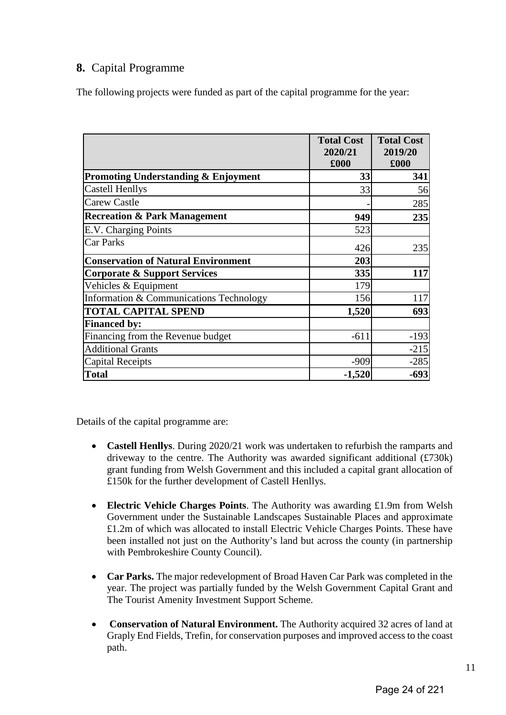## **8.** Capital Programme

The following projects were funded as part of the capital programme for the year:

|                                            | <b>Total Cost</b><br>2020/21<br>£000 | <b>Total Cost</b><br>2019/20<br>£000 |
|--------------------------------------------|--------------------------------------|--------------------------------------|
| Promoting Understanding & Enjoyment        | 33                                   | 341                                  |
| <b>Castell Henllys</b>                     | 33                                   | 56                                   |
| <b>Carew Castle</b>                        |                                      | 285                                  |
| <b>Recreation &amp; Park Management</b>    | 949                                  | 235                                  |
| E.V. Charging Points                       | 523                                  |                                      |
| <b>Car Parks</b>                           | 426                                  | 235                                  |
| <b>Conservation of Natural Environment</b> | 203                                  |                                      |
| <b>Corporate &amp; Support Services</b>    | 335                                  | 117                                  |
| Vehicles & Equipment                       | 179                                  |                                      |
| Information & Communications Technology    | 156                                  | 117                                  |
| <b>TOTAL CAPITAL SPEND</b>                 | 1,520                                | 693                                  |
| <b>Financed by:</b>                        |                                      |                                      |
| Financing from the Revenue budget          | $-611$                               | $-193$                               |
| <b>Additional Grants</b>                   |                                      | $-215$                               |
| <b>Capital Receipts</b>                    | $-909$                               | $-285$                               |
| <b>Total</b>                               | $-1,520$                             | $-693$                               |

Details of the capital programme are:

- **Castell Henllys**. During 2020/21 work was undertaken to refurbish the ramparts and driveway to the centre. The Authority was awarded significant additional (£730k) grant funding from Welsh Government and this included a capital grant allocation of £150k for the further development of Castell Henllys.
- **Electric Vehicle Charges Points**. The Authority was awarding £1.9m from Welsh Government under the Sustainable Landscapes Sustainable Places and approximate £1.2m of which was allocated to install Electric Vehicle Charges Points. These have been installed not just on the Authority's land but across the county (in partnership with Pembrokeshire County Council).
- **Car Parks.** The major redevelopment of Broad Haven Car Park was completed in the year. The project was partially funded by the Welsh Government Capital Grant and The Tourist Amenity Investment Support Scheme.
- **Conservation of Natural Environment.** The Authority acquired 32 acres of land at Graply End Fields, Trefin, for conservation purposes and improved access to the coast path.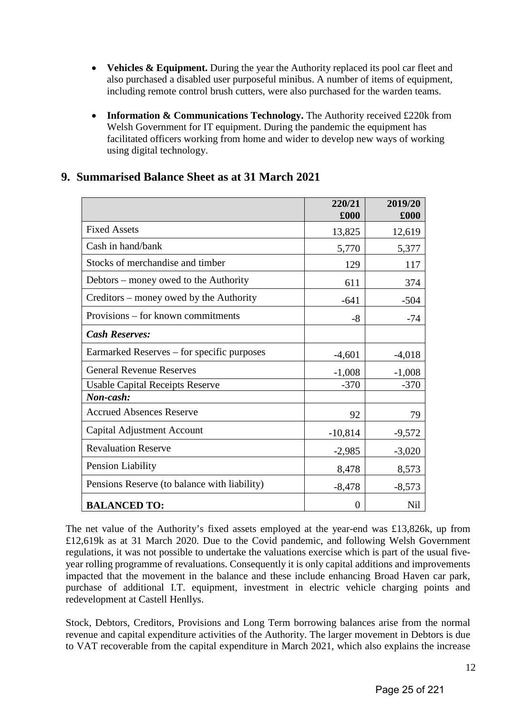- **Vehicles & Equipment.** During the year the Authority replaced its pool car fleet and also purchased a disabled user purposeful minibus. A number of items of equipment, including remote control brush cutters, were also purchased for the warden teams.
- **Information & Communications Technology.** The Authority received £220k from Welsh Government for IT equipment. During the pandemic the equipment has facilitated officers working from home and wider to develop new ways of working using digital technology.

|                                              | 220/21<br>£000 | 2019/20<br>£000 |
|----------------------------------------------|----------------|-----------------|
| <b>Fixed Assets</b>                          | 13,825         | 12,619          |
| Cash in hand/bank                            | 5,770          | 5,377           |
| Stocks of merchandise and timber             | 129            | 117             |
| Debtors – money owed to the Authority        | 611            | 374             |
| Creditors – money owed by the Authority      | $-641$         | $-504$          |
| Provisions – for known commitments           | $-8$           | $-74$           |
| <b>Cash Reserves:</b>                        |                |                 |
| Earmarked Reserves – for specific purposes   | $-4,601$       | $-4,018$        |
| <b>General Revenue Reserves</b>              | $-1,008$       | $-1,008$        |
| <b>Usable Capital Receipts Reserve</b>       | $-370$         | $-370$          |
| Non-cash:                                    |                |                 |
| <b>Accrued Absences Reserve</b>              | 92             | 79              |
| Capital Adjustment Account                   | $-10,814$      | $-9,572$        |
| <b>Revaluation Reserve</b>                   | $-2,985$       | $-3,020$        |
| Pension Liability                            | 8,478          | 8,573           |
| Pensions Reserve (to balance with liability) | $-8,478$       | $-8,573$        |
| <b>BALANCED TO:</b>                          | 0              | Nil             |

### **9. Summarised Balance Sheet as at 31 March 2021**

The net value of the Authority's fixed assets employed at the year-end was £13,826k, up from £12,619k as at 31 March 2020. Due to the Covid pandemic, and following Welsh Government regulations, it was not possible to undertake the valuations exercise which is part of the usual fiveyear rolling programme of revaluations. Consequently it is only capital additions and improvements impacted that the movement in the balance and these include enhancing Broad Haven car park, purchase of additional I.T. equipment, investment in electric vehicle charging points and redevelopment at Castell Henllys.

Stock, Debtors, Creditors, Provisions and Long Term borrowing balances arise from the normal revenue and capital expenditure activities of the Authority. The larger movement in Debtors is due to VAT recoverable from the capital expenditure in March 2021, which also explains the increase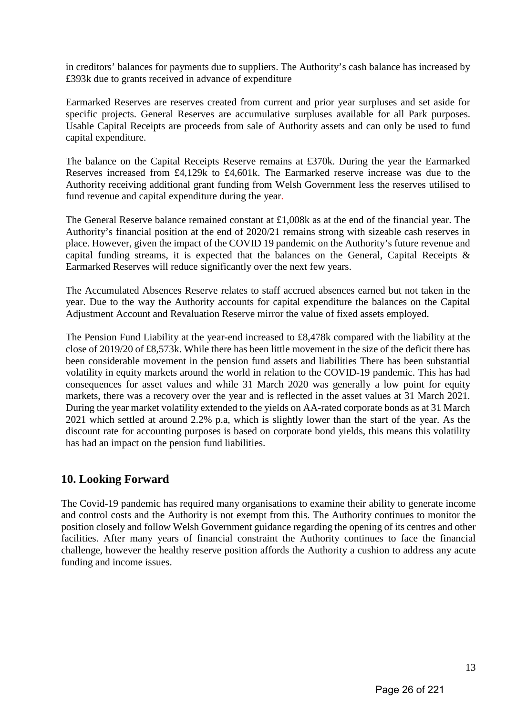in creditors' balances for payments due to suppliers. The Authority's cash balance has increased by £393k due to grants received in advance of expenditure

Earmarked Reserves are reserves created from current and prior year surpluses and set aside for specific projects. General Reserves are accumulative surpluses available for all Park purposes. Usable Capital Receipts are proceeds from sale of Authority assets and can only be used to fund capital expenditure.

The balance on the Capital Receipts Reserve remains at £370k. During the year the Earmarked Reserves increased from £4,129k to £4,601k. The Earmarked reserve increase was due to the Authority receiving additional grant funding from Welsh Government less the reserves utilised to fund revenue and capital expenditure during the year.

The General Reserve balance remained constant at £1,008k as at the end of the financial year. The Authority's financial position at the end of 2020/21 remains strong with sizeable cash reserves in place. However, given the impact of the COVID 19 pandemic on the Authority's future revenue and capital funding streams, it is expected that the balances on the General, Capital Receipts & Earmarked Reserves will reduce significantly over the next few years.

The Accumulated Absences Reserve relates to staff accrued absences earned but not taken in the year. Due to the way the Authority accounts for capital expenditure the balances on the Capital Adjustment Account and Revaluation Reserve mirror the value of fixed assets employed.

The Pension Fund Liability at the year-end increased to £8,478k compared with the liability at the close of 2019/20 of £8,573k. While there has been little movement in the size of the deficit there has been considerable movement in the pension fund assets and liabilities There has been substantial volatility in equity markets around the world in relation to the COVID-19 pandemic. This has had consequences for asset values and while 31 March 2020 was generally a low point for equity markets, there was a recovery over the year and is reflected in the asset values at 31 March 2021. During the year market volatility extended to the yields on AA-rated corporate bonds as at 31 March 2021 which settled at around 2.2% p.a, which is slightly lower than the start of the year. As the discount rate for accounting purposes is based on corporate bond yields, this means this volatility has had an impact on the pension fund liabilities.

## **10. Looking Forward**

The Covid-19 pandemic has required many organisations to examine their ability to generate income and control costs and the Authority is not exempt from this. The Authority continues to monitor the position closely and follow Welsh Government guidance regarding the opening of its centres and other facilities. After many years of financial constraint the Authority continues to face the financial challenge, however the healthy reserve position affords the Authority a cushion to address any acute funding and income issues.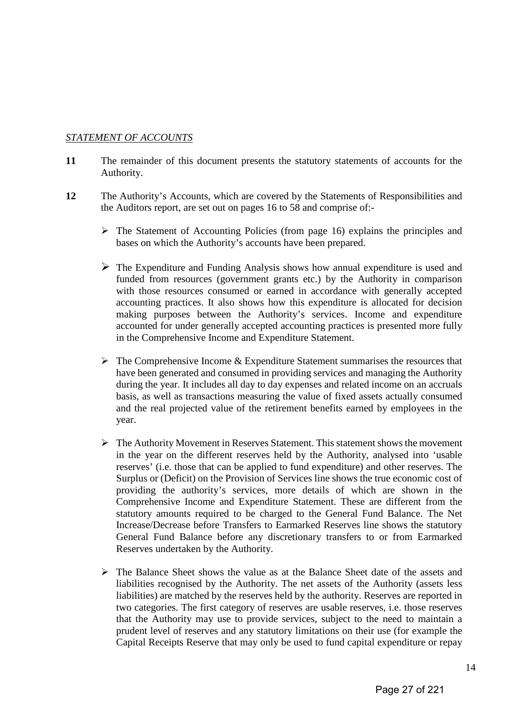#### *STATEMENT OF ACCOUNTS*

- **11** The remainder of this document presents the statutory statements of accounts for the Authority.
- **12** The Authority's Accounts, which are covered by the Statements of Responsibilities and the Auditors report, are set out on pages 16 to 58 and comprise of:-
	- $\triangleright$  The Statement of Accounting Policies (from page 16) explains the principles and bases on which the Authority's accounts have been prepared.
	- $\triangleright$  The Expenditure and Funding Analysis shows how annual expenditure is used and funded from resources (government grants etc.) by the Authority in comparison with those resources consumed or earned in accordance with generally accepted accounting practices. It also shows how this expenditure is allocated for decision making purposes between the Authority's services. Income and expenditure accounted for under generally accepted accounting practices is presented more fully in the Comprehensive Income and Expenditure Statement.
	- $\triangleright$  The Comprehensive Income & Expenditure Statement summarises the resources that have been generated and consumed in providing services and managing the Authority during the year. It includes all day to day expenses and related income on an accruals basis, as well as transactions measuring the value of fixed assets actually consumed and the real projected value of the retirement benefits earned by employees in the year.
	- The Authority Movement in Reserves Statement. This statement shows the movement in the year on the different reserves held by the Authority, analysed into 'usable reserves' (i.e. those that can be applied to fund expenditure) and other reserves. The Surplus or (Deficit) on the Provision of Services line shows the true economic cost of providing the authority's services, more details of which are shown in the Comprehensive Income and Expenditure Statement. These are different from the statutory amounts required to be charged to the General Fund Balance. The Net Increase/Decrease before Transfers to Earmarked Reserves line shows the statutory General Fund Balance before any discretionary transfers to or from Earmarked Reserves undertaken by the Authority.
	- $\triangleright$  The Balance Sheet shows the value as at the Balance Sheet date of the assets and liabilities recognised by the Authority. The net assets of the Authority (assets less liabilities) are matched by the reserves held by the authority. Reserves are reported in two categories. The first category of reserves are usable reserves, i.e. those reserves that the Authority may use to provide services, subject to the need to maintain a prudent level of reserves and any statutory limitations on their use (for example the Capital Receipts Reserve that may only be used to fund capital expenditure or repay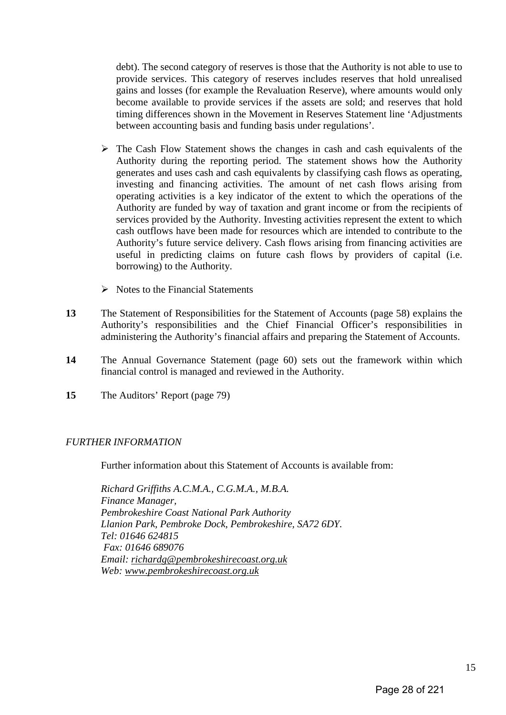debt). The second category of reserves is those that the Authority is not able to use to provide services. This category of reserves includes reserves that hold unrealised gains and losses (for example the Revaluation Reserve), where amounts would only become available to provide services if the assets are sold; and reserves that hold timing differences shown in the Movement in Reserves Statement line 'Adjustments between accounting basis and funding basis under regulations'.

- $\triangleright$  The Cash Flow Statement shows the changes in cash and cash equivalents of the Authority during the reporting period. The statement shows how the Authority generates and uses cash and cash equivalents by classifying cash flows as operating, investing and financing activities. The amount of net cash flows arising from operating activities is a key indicator of the extent to which the operations of the Authority are funded by way of taxation and grant income or from the recipients of services provided by the Authority. Investing activities represent the extent to which cash outflows have been made for resources which are intended to contribute to the Authority's future service delivery. Cash flows arising from financing activities are useful in predicting claims on future cash flows by providers of capital (i.e. borrowing) to the Authority.
- $\triangleright$  Notes to the Financial Statements
- **13** The Statement of Responsibilities for the Statement of Accounts (page 58) explains the Authority's responsibilities and the Chief Financial Officer's responsibilities in administering the Authority's financial affairs and preparing the Statement of Accounts.
- **14** The Annual Governance Statement (page 60) sets out the framework within which financial control is managed and reviewed in the Authority.
- **15** The Auditors' Report (page 79)

#### *FURTHER INFORMATION*

Further information about this Statement of Accounts is available from:

*Richard Griffiths A.C.M.A., C.G.M.A., M.B.A. Finance Manager, Pembrokeshire Coast National Park Authority Llanion Park, Pembroke Dock, Pembrokeshire, SA72 6DY. Tel: 01646 624815 Fax: 01646 689076 Email: [richardg@pembrokeshirecoast.org.uk](mailto:richardg@pembrokeshirecoast.org.uk) Web: [www.pembrokeshirecoast.org.uk](http://www.pembrokeshirecoast.org.uk/)*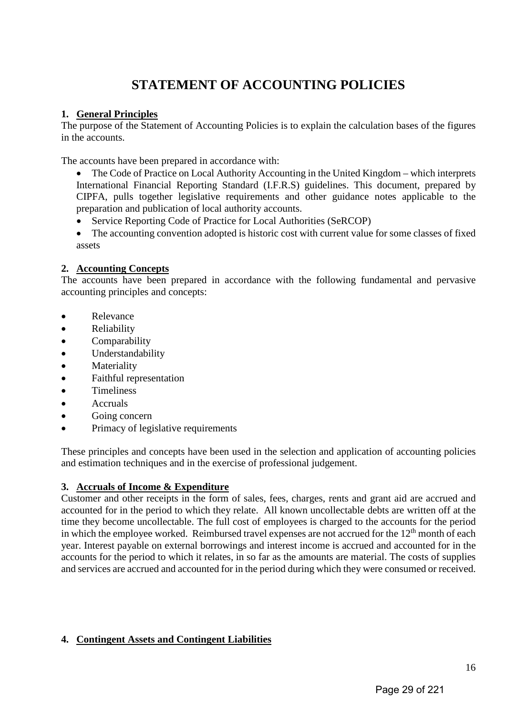# **STATEMENT OF ACCOUNTING POLICIES**

#### **1. General Principles**

The purpose of the Statement of Accounting Policies is to explain the calculation bases of the figures in the accounts.

The accounts have been prepared in accordance with:

- The Code of Practice on Local Authority Accounting in the United Kingdom which interprets International Financial Reporting Standard (I.F.R.S) guidelines. This document, prepared by CIPFA, pulls together legislative requirements and other guidance notes applicable to the preparation and publication of local authority accounts.
- Service Reporting Code of Practice for Local Authorities (SeRCOP)
- The accounting convention adopted is historic cost with current value for some classes of fixed assets

#### **2. Accounting Concepts**

The accounts have been prepared in accordance with the following fundamental and pervasive accounting principles and concepts:

- Relevance
- Reliability
- Comparability
- Understandability
- Materiality
- Faithful representation
- Timeliness
- Accruals
- Going concern
- Primacy of legislative requirements

These principles and concepts have been used in the selection and application of accounting policies and estimation techniques and in the exercise of professional judgement.

#### **3. Accruals of Income & Expenditure**

Customer and other receipts in the form of sales, fees, charges, rents and grant aid are accrued and accounted for in the period to which they relate. All known uncollectable debts are written off at the time they become uncollectable. The full cost of employees is charged to the accounts for the period in which the employee worked. Reimbursed travel expenses are not accrued for the  $12<sup>th</sup>$  month of each year. Interest payable on external borrowings and interest income is accrued and accounted for in the accounts for the period to which it relates, in so far as the amounts are material. The costs of supplies and services are accrued and accounted for in the period during which they were consumed or received.

#### **4. Contingent Assets and Contingent Liabilities**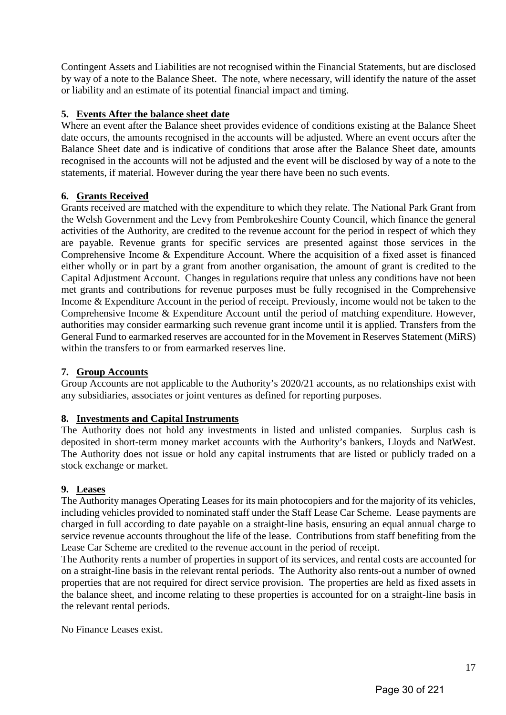Contingent Assets and Liabilities are not recognised within the Financial Statements, but are disclosed by way of a note to the Balance Sheet. The note, where necessary, will identify the nature of the asset or liability and an estimate of its potential financial impact and timing.

#### **5. Events After the balance sheet date**

Where an event after the Balance sheet provides evidence of conditions existing at the Balance Sheet date occurs, the amounts recognised in the accounts will be adjusted. Where an event occurs after the Balance Sheet date and is indicative of conditions that arose after the Balance Sheet date, amounts recognised in the accounts will not be adjusted and the event will be disclosed by way of a note to the statements, if material. However during the year there have been no such events.

#### **6. Grants Received**

Grants received are matched with the expenditure to which they relate. The National Park Grant from the Welsh Government and the Levy from Pembrokeshire County Council, which finance the general activities of the Authority, are credited to the revenue account for the period in respect of which they are payable. Revenue grants for specific services are presented against those services in the Comprehensive Income & Expenditure Account. Where the acquisition of a fixed asset is financed either wholly or in part by a grant from another organisation, the amount of grant is credited to the Capital Adjustment Account. Changes in regulations require that unless any conditions have not been met grants and contributions for revenue purposes must be fully recognised in the Comprehensive Income & Expenditure Account in the period of receipt. Previously, income would not be taken to the Comprehensive Income & Expenditure Account until the period of matching expenditure. However, authorities may consider earmarking such revenue grant income until it is applied. Transfers from the General Fund to earmarked reserves are accounted for in the Movement in Reserves Statement (MiRS) within the transfers to or from earmarked reserves line.

#### **7. Group Accounts**

Group Accounts are not applicable to the Authority's 2020/21 accounts, as no relationships exist with any subsidiaries, associates or joint ventures as defined for reporting purposes.

#### **8. Investments and Capital Instruments**

The Authority does not hold any investments in listed and unlisted companies. Surplus cash is deposited in short-term money market accounts with the Authority's bankers, Lloyds and NatWest. The Authority does not issue or hold any capital instruments that are listed or publicly traded on a stock exchange or market.

#### **9. Leases**

The Authority manages Operating Leases for its main photocopiers and for the majority of its vehicles, including vehicles provided to nominated staff under the Staff Lease Car Scheme. Lease payments are charged in full according to date payable on a straight-line basis, ensuring an equal annual charge to service revenue accounts throughout the life of the lease. Contributions from staff benefiting from the Lease Car Scheme are credited to the revenue account in the period of receipt.

The Authority rents a number of properties in support of its services, and rental costs are accounted for on a straight-line basis in the relevant rental periods. The Authority also rents-out a number of owned properties that are not required for direct service provision. The properties are held as fixed assets in the balance sheet, and income relating to these properties is accounted for on a straight-line basis in the relevant rental periods.

No Finance Leases exist.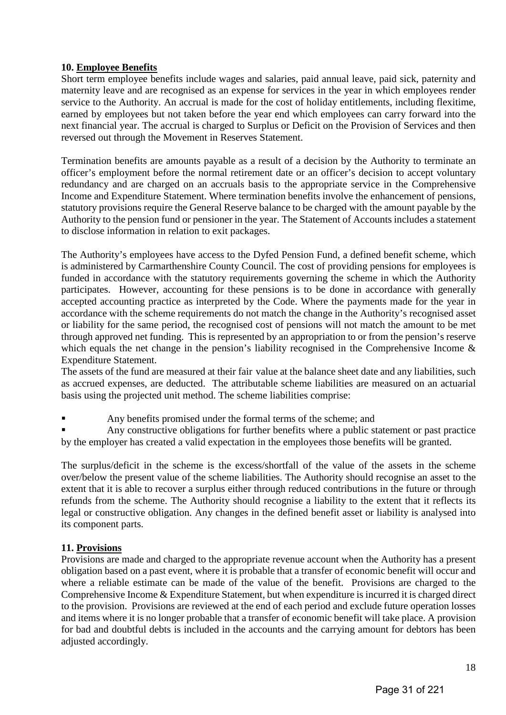#### **10. Employee Benefits**

Short term employee benefits include wages and salaries, paid annual leave, paid sick, paternity and maternity leave and are recognised as an expense for services in the year in which employees render service to the Authority. An accrual is made for the cost of holiday entitlements, including flexitime, earned by employees but not taken before the year end which employees can carry forward into the next financial year. The accrual is charged to Surplus or Deficit on the Provision of Services and then reversed out through the Movement in Reserves Statement.

Termination benefits are amounts payable as a result of a decision by the Authority to terminate an officer's employment before the normal retirement date or an officer's decision to accept voluntary redundancy and are charged on an accruals basis to the appropriate service in the Comprehensive Income and Expenditure Statement. Where termination benefits involve the enhancement of pensions, statutory provisions require the General Reserve balance to be charged with the amount payable by the Authority to the pension fund or pensioner in the year. The Statement of Accounts includes a statement to disclose information in relation to exit packages.

The Authority's employees have access to the Dyfed Pension Fund, a defined benefit scheme, which is administered by Carmarthenshire County Council. The cost of providing pensions for employees is funded in accordance with the statutory requirements governing the scheme in which the Authority participates. However, accounting for these pensions is to be done in accordance with generally accepted accounting practice as interpreted by the Code. Where the payments made for the year in accordance with the scheme requirements do not match the change in the Authority's recognised asset or liability for the same period, the recognised cost of pensions will not match the amount to be met through approved net funding. This is represented by an appropriation to or from the pension's reserve which equals the net change in the pension's liability recognised in the Comprehensive Income & Expenditure Statement.

The assets of the fund are measured at their fair value at the balance sheet date and any liabilities, such as accrued expenses, are deducted. The attributable scheme liabilities are measured on an actuarial basis using the projected unit method. The scheme liabilities comprise:

Any benefits promised under the formal terms of the scheme; and

 Any constructive obligations for further benefits where a public statement or past practice by the employer has created a valid expectation in the employees those benefits will be granted.

The surplus/deficit in the scheme is the excess/shortfall of the value of the assets in the scheme over/below the present value of the scheme liabilities. The Authority should recognise an asset to the extent that it is able to recover a surplus either through reduced contributions in the future or through refunds from the scheme. The Authority should recognise a liability to the extent that it reflects its legal or constructive obligation. Any changes in the defined benefit asset or liability is analysed into its component parts.

#### **11. Provisions**

Provisions are made and charged to the appropriate revenue account when the Authority has a present obligation based on a past event, where it is probable that a transfer of economic benefit will occur and where a reliable estimate can be made of the value of the benefit. Provisions are charged to the Comprehensive Income & Expenditure Statement, but when expenditure is incurred it is charged direct to the provision. Provisions are reviewed at the end of each period and exclude future operation losses and items where it is no longer probable that a transfer of economic benefit will take place. A provision for bad and doubtful debts is included in the accounts and the carrying amount for debtors has been adjusted accordingly.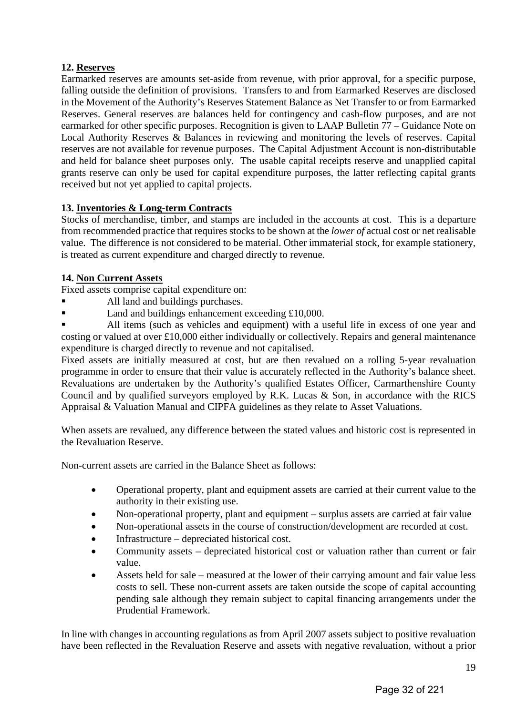#### **12. Reserves**

Earmarked reserves are amounts set-aside from revenue, with prior approval, for a specific purpose, falling outside the definition of provisions. Transfers to and from Earmarked Reserves are disclosed in the Movement of the Authority's Reserves Statement Balance as Net Transfer to or from Earmarked Reserves. General reserves are balances held for contingency and cash-flow purposes, and are not earmarked for other specific purposes. Recognition is given to LAAP Bulletin 77 – Guidance Note on Local Authority Reserves & Balances in reviewing and monitoring the levels of reserves. Capital reserves are not available for revenue purposes. The Capital Adjustment Account is non-distributable and held for balance sheet purposes only. The usable capital receipts reserve and unapplied capital grants reserve can only be used for capital expenditure purposes, the latter reflecting capital grants received but not yet applied to capital projects.

#### **13. Inventories & Long-term Contracts**

Stocks of merchandise, timber, and stamps are included in the accounts at cost. This is a departure from recommended practice that requires stocks to be shown at the *lower of* actual cost or net realisable value. The difference is not considered to be material. Other immaterial stock, for example stationery, is treated as current expenditure and charged directly to revenue.

#### **14. Non Current Assets**

Fixed assets comprise capital expenditure on:

- All land and buildings purchases.
- Land and buildings enhancement exceeding £10,000.

 All items (such as vehicles and equipment) with a useful life in excess of one year and costing or valued at over £10,000 either individually or collectively. Repairs and general maintenance expenditure is charged directly to revenue and not capitalised.

Fixed assets are initially measured at cost, but are then revalued on a rolling 5-year revaluation programme in order to ensure that their value is accurately reflected in the Authority's balance sheet. Revaluations are undertaken by the Authority's qualified Estates Officer, Carmarthenshire County Council and by qualified surveyors employed by R.K. Lucas & Son, in accordance with the RICS Appraisal & Valuation Manual and CIPFA guidelines as they relate to Asset Valuations.

When assets are revalued, any difference between the stated values and historic cost is represented in the Revaluation Reserve.

Non-current assets are carried in the Balance Sheet as follows:

- Operational property, plant and equipment assets are carried at their current value to the authority in their existing use.
- Non-operational property, plant and equipment surplus assets are carried at fair value
- Non-operational assets in the course of construction/development are recorded at cost.
- Infrastructure depreciated historical cost.
- Community assets depreciated historical cost or valuation rather than current or fair value.
- Assets held for sale measured at the lower of their carrying amount and fair value less costs to sell. These non-current assets are taken outside the scope of capital accounting pending sale although they remain subject to capital financing arrangements under the Prudential Framework.

In line with changes in accounting regulations as from April 2007 assets subject to positive revaluation have been reflected in the Revaluation Reserve and assets with negative revaluation, without a prior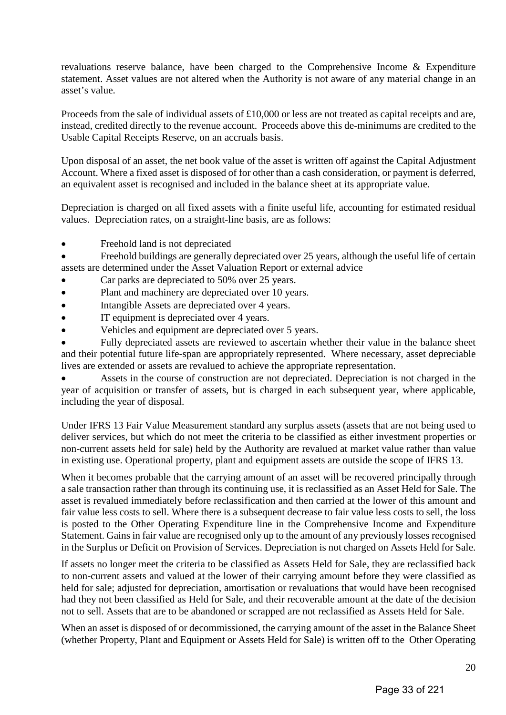revaluations reserve balance, have been charged to the Comprehensive Income & Expenditure statement. Asset values are not altered when the Authority is not aware of any material change in an asset's value.

Proceeds from the sale of individual assets of £10,000 or less are not treated as capital receipts and are, instead, credited directly to the revenue account. Proceeds above this de-minimums are credited to the Usable Capital Receipts Reserve, on an accruals basis.

Upon disposal of an asset, the net book value of the asset is written off against the Capital Adjustment Account. Where a fixed asset is disposed of for other than a cash consideration, or payment is deferred, an equivalent asset is recognised and included in the balance sheet at its appropriate value.

Depreciation is charged on all fixed assets with a finite useful life, accounting for estimated residual values. Depreciation rates, on a straight-line basis, are as follows:

• Freehold land is not depreciated

• Freehold buildings are generally depreciated over 25 years, although the useful life of certain assets are determined under the Asset Valuation Report or external advice

- Car parks are depreciated to 50% over 25 years.
- Plant and machinery are depreciated over 10 years.
- Intangible Assets are depreciated over 4 years.
- IT equipment is depreciated over 4 years.
- Vehicles and equipment are depreciated over 5 years.

• Fully depreciated assets are reviewed to ascertain whether their value in the balance sheet and their potential future life-span are appropriately represented. Where necessary, asset depreciable lives are extended or assets are revalued to achieve the appropriate representation.

• Assets in the course of construction are not depreciated. Depreciation is not charged in the year of acquisition or transfer of assets, but is charged in each subsequent year, where applicable, including the year of disposal.

Under IFRS 13 Fair Value Measurement standard any surplus assets (assets that are not being used to deliver services, but which do not meet the criteria to be classified as either investment properties or non-current assets held for sale) held by the Authority are revalued at market value rather than value in existing use. Operational property, plant and equipment assets are outside the scope of IFRS 13.

When it becomes probable that the carrying amount of an asset will be recovered principally through a sale transaction rather than through its continuing use, it is reclassified as an Asset Held for Sale. The asset is revalued immediately before reclassification and then carried at the lower of this amount and fair value less costs to sell. Where there is a subsequent decrease to fair value less costs to sell, the loss is posted to the Other Operating Expenditure line in the Comprehensive Income and Expenditure Statement. Gains in fair value are recognised only up to the amount of any previously losses recognised in the Surplus or Deficit on Provision of Services. Depreciation is not charged on Assets Held for Sale.

If assets no longer meet the criteria to be classified as Assets Held for Sale, they are reclassified back to non-current assets and valued at the lower of their carrying amount before they were classified as held for sale; adjusted for depreciation, amortisation or revaluations that would have been recognised had they not been classified as Held for Sale, and their recoverable amount at the date of the decision not to sell. Assets that are to be abandoned or scrapped are not reclassified as Assets Held for Sale.

When an asset is disposed of or decommissioned, the carrying amount of the asset in the Balance Sheet (whether Property, Plant and Equipment or Assets Held for Sale) is written off to the Other Operating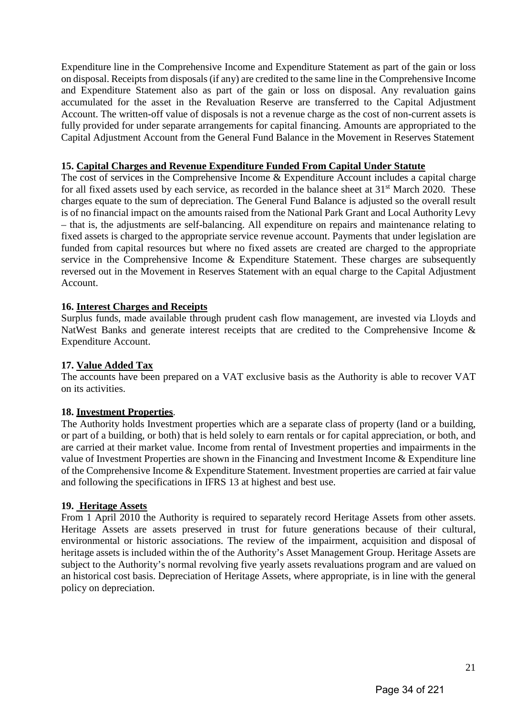Expenditure line in the Comprehensive Income and Expenditure Statement as part of the gain or loss on disposal. Receipts from disposals (if any) are credited to the same line in the Comprehensive Income and Expenditure Statement also as part of the gain or loss on disposal. Any revaluation gains accumulated for the asset in the Revaluation Reserve are transferred to the Capital Adjustment Account. The written-off value of disposals is not a revenue charge as the cost of non-current assets is fully provided for under separate arrangements for capital financing. Amounts are appropriated to the Capital Adjustment Account from the General Fund Balance in the Movement in Reserves Statement

#### **15. Capital Charges and Revenue Expenditure Funded From Capital Under Statute**

The cost of services in the Comprehensive Income & Expenditure Account includes a capital charge for all fixed assets used by each service, as recorded in the balance sheet at 31<sup>st</sup> March 2020. These charges equate to the sum of depreciation. The General Fund Balance is adjusted so the overall result is of no financial impact on the amounts raised from the National Park Grant and Local Authority Levy – that is, the adjustments are self-balancing. All expenditure on repairs and maintenance relating to fixed assets is charged to the appropriate service revenue account. Payments that under legislation are funded from capital resources but where no fixed assets are created are charged to the appropriate service in the Comprehensive Income & Expenditure Statement. These charges are subsequently reversed out in the Movement in Reserves Statement with an equal charge to the Capital Adjustment Account.

#### **16. Interest Charges and Receipts**

Surplus funds, made available through prudent cash flow management, are invested via Lloyds and NatWest Banks and generate interest receipts that are credited to the Comprehensive Income & Expenditure Account.

#### **17. Value Added Tax**

The accounts have been prepared on a VAT exclusive basis as the Authority is able to recover VAT on its activities.

#### **18. Investment Properties**.

The Authority holds Investment properties which are a separate class of property (land or a building, or part of a building, or both) that is held solely to earn rentals or for capital appreciation, or both, and are carried at their market value. Income from rental of Investment properties and impairments in the value of Investment Properties are shown in the Financing and Investment Income & Expenditure line of the Comprehensive Income & Expenditure Statement. Investment properties are carried at fair value and following the specifications in IFRS 13 at highest and best use.

#### **19. Heritage Assets**

From 1 April 2010 the Authority is required to separately record Heritage Assets from other assets. Heritage Assets are assets preserved in trust for future generations because of their cultural, environmental or historic associations. The review of the impairment, acquisition and disposal of heritage assets is included within the of the Authority's Asset Management Group. Heritage Assets are subject to the Authority's normal revolving five yearly assets revaluations program and are valued on an historical cost basis. Depreciation of Heritage Assets, where appropriate, is in line with the general policy on depreciation.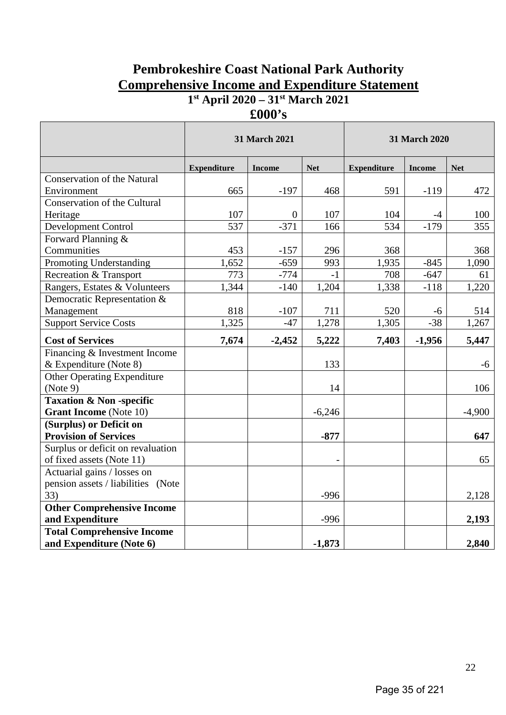## **Pembrokeshire Coast National Park Authority Comprehensive Income and Expenditure Statement 1st April 2020 – 31st March 2021**

**£000's**

|                                    | 31 March 2021      |                |            |                    | 31 March 2020 |            |
|------------------------------------|--------------------|----------------|------------|--------------------|---------------|------------|
|                                    | <b>Expenditure</b> | <b>Income</b>  | <b>Net</b> | <b>Expenditure</b> | <b>Income</b> | <b>Net</b> |
| <b>Conservation of the Natural</b> |                    |                |            |                    |               |            |
| Environment                        | 665                | $-197$         | 468        | 591                | $-119$        | 472        |
| Conservation of the Cultural       |                    |                |            |                    |               |            |
| Heritage                           | 107                | $\overline{0}$ | 107        | 104                | $-4$          | 100        |
| <b>Development Control</b>         | 537                | $-371$         | 166        | 534                | $-179$        | 355        |
| Forward Planning &                 |                    |                |            |                    |               |            |
| Communities                        | 453                | $-157$         | 296        | 368                |               | 368        |
| Promoting Understanding            | 1,652              | $-659$         | 993        | 1,935              | $-845$        | 1,090      |
| Recreation & Transport             | 773                | $-774$         | $-1$       | 708                | $-647$        | 61         |
| Rangers, Estates & Volunteers      | 1,344              | $-140$         | 1,204      | 1,338              | $-118$        | 1,220      |
| Democratic Representation &        |                    |                |            |                    |               |            |
| Management                         | 818                | $-107$         | 711        | 520                | $-6$          | 514        |
| <b>Support Service Costs</b>       | 1,325              | $-47$          | 1,278      | 1,305              | $-38$         | 1,267      |
| <b>Cost of Services</b>            | 7,674              | $-2,452$       | 5,222      | 7,403              | $-1,956$      | 5,447      |
| Financing & Investment Income      |                    |                |            |                    |               |            |
| & Expenditure (Note 8)             |                    |                | 133        |                    |               | $-6$       |
| <b>Other Operating Expenditure</b> |                    |                |            |                    |               |            |
| (Note 9)                           |                    |                | 14         |                    |               | 106        |
| <b>Taxation &amp; Non-specific</b> |                    |                |            |                    |               |            |
| <b>Grant Income</b> (Note 10)      |                    |                | $-6,246$   |                    |               | $-4,900$   |
| (Surplus) or Deficit on            |                    |                |            |                    |               |            |
| <b>Provision of Services</b>       |                    |                | $-877$     |                    |               | 647        |
| Surplus or deficit on revaluation  |                    |                |            |                    |               |            |
| of fixed assets (Note 11)          |                    |                |            |                    |               | 65         |
| Actuarial gains / losses on        |                    |                |            |                    |               |            |
| pension assets / liabilities (Note |                    |                |            |                    |               |            |
| 33)                                |                    |                | $-996$     |                    |               | 2,128      |
| <b>Other Comprehensive Income</b>  |                    |                |            |                    |               |            |
| and Expenditure                    |                    |                | $-996$     |                    |               | 2,193      |
| <b>Total Comprehensive Income</b>  |                    |                |            |                    |               |            |
| and Expenditure (Note 6)           |                    |                | $-1,873$   |                    |               | 2,840      |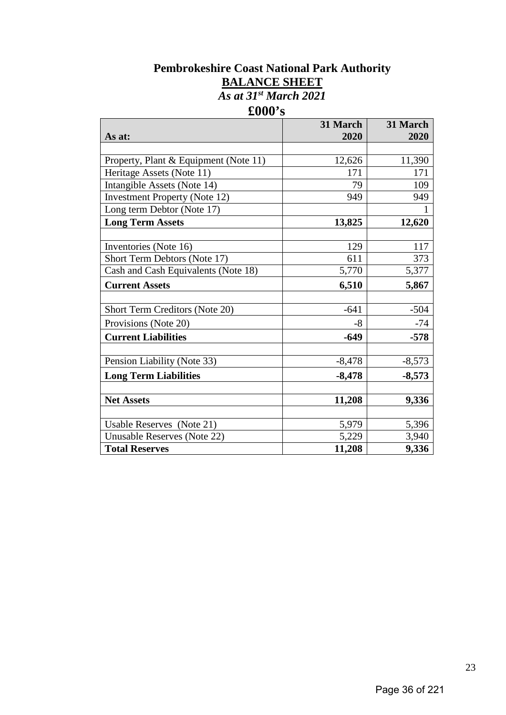## **Pembrokeshire Coast National Park Authority BALANCE SHEET** *As at 31st March 2021* **£000's**

|                                       | 31 March | 31 March |
|---------------------------------------|----------|----------|
| As at:                                | 2020     | 2020     |
|                                       |          |          |
| Property, Plant & Equipment (Note 11) | 12,626   | 11,390   |
| Heritage Assets (Note 11)             | 171      | 171      |
| Intangible Assets (Note 14)           | 79       | 109      |
| <b>Investment Property (Note 12)</b>  | 949      | 949      |
| Long term Debtor (Note 17)            |          |          |
| <b>Long Term Assets</b>               | 13,825   | 12,620   |
|                                       |          |          |
| Inventories (Note 16)                 | 129      | 117      |
| Short Term Debtors (Note 17)          | 611      | 373      |
| Cash and Cash Equivalents (Note 18)   | 5,770    | 5,377    |
| <b>Current Assets</b>                 | 6,510    | 5,867    |
|                                       |          |          |
| Short Term Creditors (Note 20)        | $-641$   | $-504$   |
| Provisions (Note 20)                  | $-8$     | -74      |
| <b>Current Liabilities</b>            | $-649$   | $-578$   |
|                                       |          |          |
| Pension Liability (Note 33)           | $-8,478$ | $-8,573$ |
| <b>Long Term Liabilities</b>          | $-8,478$ | $-8,573$ |
|                                       |          |          |
| <b>Net Assets</b>                     | 11,208   | 9,336    |
|                                       |          |          |
| Usable Reserves (Note 21)             | 5,979    | 5,396    |
| Unusable Reserves (Note 22)           | 5,229    | 3,940    |
| <b>Total Reserves</b>                 | 11,208   | 9,336    |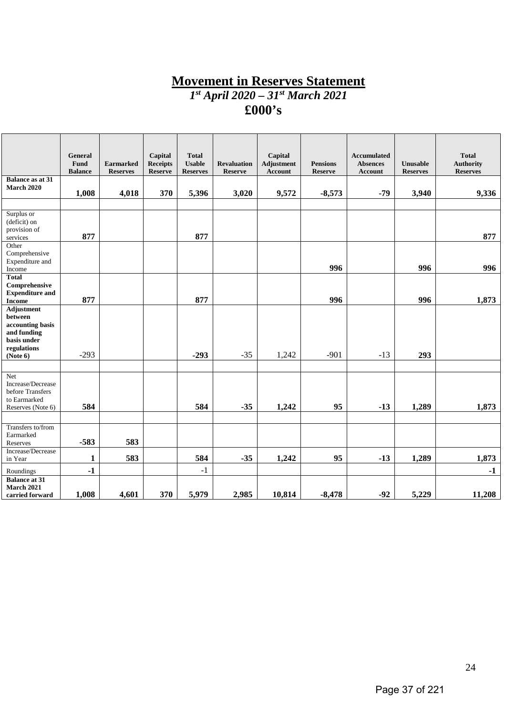## **Movement in Reserves Statement** *1st April 2020 – 31st March 2021*

# **£000's**

|                                                                                        | <b>General</b><br>Fund<br><b>Balance</b> | <b>Earmarked</b><br><b>Reserves</b> | Capital<br><b>Receipts</b><br><b>Reserve</b> | <b>Total</b><br><b>Usable</b><br><b>Reserves</b> | <b>Revaluation</b><br><b>Reserve</b> | Capital<br><b>Adjustment</b><br>Account | <b>Pensions</b><br><b>Reserve</b> | <b>Accumulated</b><br><b>Absences</b><br><b>Account</b> | Unusable<br><b>Reserves</b> | <b>Total</b><br><b>Authority</b><br><b>Reserves</b> |
|----------------------------------------------------------------------------------------|------------------------------------------|-------------------------------------|----------------------------------------------|--------------------------------------------------|--------------------------------------|-----------------------------------------|-----------------------------------|---------------------------------------------------------|-----------------------------|-----------------------------------------------------|
| <b>Balance as at 31</b><br><b>March 2020</b>                                           | 1,008                                    | 4,018                               | 370                                          | 5,396                                            | 3,020                                | 9,572                                   | $-8,573$                          | $-79$                                                   | 3,940                       | 9,336                                               |
| Surplus or<br>(deficit) on<br>provision of<br>services                                 | 877                                      |                                     |                                              | 877                                              |                                      |                                         |                                   |                                                         |                             | 877                                                 |
| Other<br>Comprehensive<br>Expenditure and<br>Income                                    |                                          |                                     |                                              |                                                  |                                      |                                         | 996                               |                                                         | 996                         | 996                                                 |
| <b>Total</b><br>Comprehensive<br><b>Expenditure and</b><br><b>Income</b><br>Adjustment | 877                                      |                                     |                                              | 877                                              |                                      |                                         | 996                               |                                                         | 996                         | 1,873                                               |
| between<br>accounting basis<br>and funding<br>basis under<br>regulations               |                                          |                                     |                                              |                                                  |                                      |                                         | $-901$                            |                                                         |                             |                                                     |
| (Note 6)<br>Net                                                                        | $-293$                                   |                                     |                                              | $-293$                                           | $-35$                                | 1,242                                   |                                   | $-13$                                                   | 293                         |                                                     |
| Increase/Decrease<br>before Transfers<br>to Earmarked<br>Reserves (Note 6)             | 584                                      |                                     |                                              | 584                                              | $-35$                                | 1,242                                   | 95                                | $-13$                                                   | 1,289                       | 1,873                                               |
| Transfers to/from<br>Earmarked<br>Reserves                                             | $-583$                                   | 583                                 |                                              |                                                  |                                      |                                         |                                   |                                                         |                             |                                                     |
| Increase/Decrease<br>in Year                                                           | 1                                        | 583                                 |                                              | 584                                              | $-35$                                | 1,242                                   | 95                                | $-13$                                                   | 1,289                       | 1,873                                               |
| Roundings                                                                              | $-1$                                     |                                     |                                              | $-1$                                             |                                      |                                         |                                   |                                                         |                             | $-1$                                                |
| <b>Balance at 31</b><br><b>March 2021</b><br>carried forward                           | 1,008                                    | 4,601                               | 370                                          | 5,979                                            | 2,985                                | 10,814                                  | $-8,478$                          | $-92$                                                   | 5,229                       | 11,208                                              |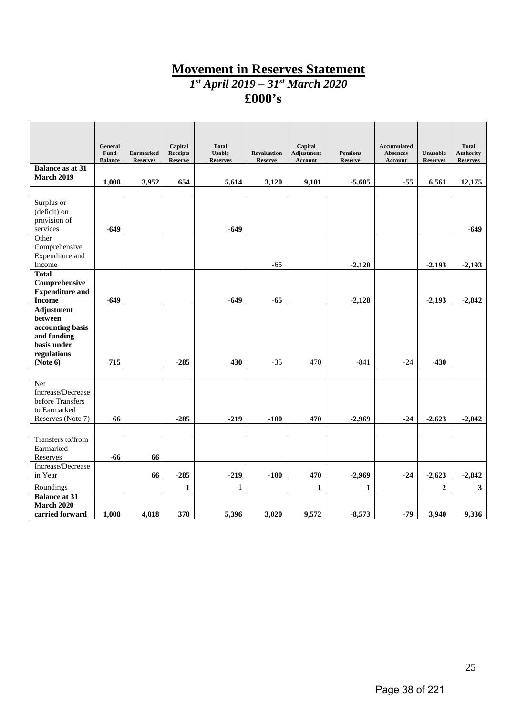# **Movement in Reserves Statement**

*1st April 2019 – 31st March 2020*

**£000's**

|                                         | General                |                                     | Capital                           | <b>Total</b>                     |                                      | Capital                      |                                   | Accumulated                |                             | <b>Total</b>                        |
|-----------------------------------------|------------------------|-------------------------------------|-----------------------------------|----------------------------------|--------------------------------------|------------------------------|-----------------------------------|----------------------------|-----------------------------|-------------------------------------|
|                                         | Fund<br><b>Balance</b> | <b>Earmarked</b><br><b>Reserves</b> | <b>Receipts</b><br><b>Reserve</b> | <b>Usable</b><br><b>Reserves</b> | <b>Revaluation</b><br><b>Reserve</b> | Adjustment<br><b>Account</b> | <b>Pensions</b><br><b>Reserve</b> | <b>Absences</b><br>Account | Unusable<br><b>Reserves</b> | <b>Authority</b><br><b>Reserves</b> |
| <b>Balance as at 31</b>                 |                        |                                     |                                   |                                  |                                      |                              |                                   |                            |                             |                                     |
| <b>March 2019</b>                       | 1,008                  | 3,952                               | 654                               | 5,614                            | 3,120                                | 9,101                        | $-5,605$                          | $-55$                      | 6,561                       | 12,175                              |
|                                         |                        |                                     |                                   |                                  |                                      |                              |                                   |                            |                             |                                     |
| Surplus or<br>(deficit) on              |                        |                                     |                                   |                                  |                                      |                              |                                   |                            |                             |                                     |
| provision of                            |                        |                                     |                                   |                                  |                                      |                              |                                   |                            |                             |                                     |
| services                                | $-649$                 |                                     |                                   | $-649$                           |                                      |                              |                                   |                            |                             | -649                                |
| Other<br>Comprehensive                  |                        |                                     |                                   |                                  |                                      |                              |                                   |                            |                             |                                     |
| Expenditure and                         |                        |                                     |                                   |                                  |                                      |                              |                                   |                            |                             |                                     |
| Income                                  |                        |                                     |                                   |                                  | $-65$                                |                              | $-2,128$                          |                            | $-2,193$                    | $-2,193$                            |
| <b>Total</b>                            |                        |                                     |                                   |                                  |                                      |                              |                                   |                            |                             |                                     |
| Comprehensive<br><b>Expenditure and</b> |                        |                                     |                                   |                                  |                                      |                              |                                   |                            |                             |                                     |
| <b>Income</b>                           | $-649$                 |                                     |                                   | $-649$                           | $-65$                                |                              | $-2,128$                          |                            | $-2,193$                    | $-2,842$                            |
| <b>Adjustment</b>                       |                        |                                     |                                   |                                  |                                      |                              |                                   |                            |                             |                                     |
| between<br>accounting basis             |                        |                                     |                                   |                                  |                                      |                              |                                   |                            |                             |                                     |
| and funding                             |                        |                                     |                                   |                                  |                                      |                              |                                   |                            |                             |                                     |
| basis under                             |                        |                                     |                                   |                                  |                                      |                              |                                   |                            |                             |                                     |
| regulations                             |                        |                                     |                                   |                                  |                                      |                              |                                   |                            |                             |                                     |
| (Note 6)                                | 715                    |                                     | $-285$                            | 430                              | $-35$                                | 470                          | $-841$                            | $-24$                      | $-430$                      |                                     |
| <b>Net</b>                              |                        |                                     |                                   |                                  |                                      |                              |                                   |                            |                             |                                     |
| Increase/Decrease                       |                        |                                     |                                   |                                  |                                      |                              |                                   |                            |                             |                                     |
| before Transfers                        |                        |                                     |                                   |                                  |                                      |                              |                                   |                            |                             |                                     |
| to Earmarked                            |                        |                                     |                                   |                                  |                                      |                              |                                   |                            |                             |                                     |
| Reserves (Note 7)                       | 66                     |                                     | $-285$                            | $-219$                           | $-100$                               | 470                          | $-2,969$                          | $-24$                      | $-2,623$                    | $-2,842$                            |
| Transfers to/from                       |                        |                                     |                                   |                                  |                                      |                              |                                   |                            |                             |                                     |
| Earmarked                               |                        |                                     |                                   |                                  |                                      |                              |                                   |                            |                             |                                     |
| Reserves                                | $-66$                  | 66                                  |                                   |                                  |                                      |                              |                                   |                            |                             |                                     |
| Increase/Decrease                       |                        |                                     |                                   |                                  |                                      |                              |                                   |                            |                             |                                     |
| in Year                                 |                        | 66                                  | $-285$                            | $-219$                           | $-100$                               | 470                          | $-2,969$                          | $-24$                      | $-2,623$                    | $-2,842$                            |
| Roundings<br><b>Balance at 31</b>       |                        |                                     | $\mathbf{1}$                      | $\mathbf{1}$                     |                                      | $\mathbf{1}$                 | $\mathbf{1}$                      |                            | $\overline{2}$              | $\overline{\mathbf{3}}$             |
| <b>March 2020</b>                       |                        |                                     |                                   |                                  |                                      |                              |                                   |                            |                             |                                     |
| carried forward                         | 1,008                  | 4,018                               | 370                               | 5,396                            | 3,020                                | 9,572                        | $-8,573$                          | $-79$                      | 3,940                       | 9,336                               |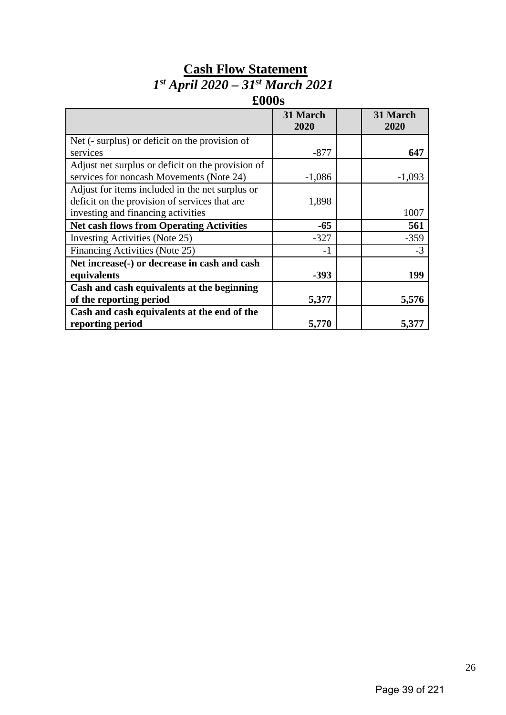# **Cash Flow Statement** *1st April 2020 – 31st March 2021*

# **£000s**

|                                                   | 31 March<br>2020 | 31 March<br>2020 |
|---------------------------------------------------|------------------|------------------|
| Net (- surplus) or deficit on the provision of    |                  |                  |
| services                                          | $-877$           | 647              |
| Adjust net surplus or deficit on the provision of |                  |                  |
| services for noncash Movements (Note 24)          | $-1,086$         | $-1,093$         |
| Adjust for items included in the net surplus or   |                  |                  |
| deficit on the provision of services that are     | 1,898            |                  |
| investing and financing activities                |                  | 1007             |
| <b>Net cash flows from Operating Activities</b>   | $-65$            | 561              |
| Investing Activities (Note 25)                    | $-327$           | $-359$           |
| Financing Activities (Note 25)                    | $-1$             | $-3$             |
| Net increase(-) or decrease in cash and cash      |                  |                  |
| equivalents                                       | $-393$           | 199              |
| Cash and cash equivalents at the beginning        |                  |                  |
| of the reporting period                           | 5,377            | 5,576            |
| Cash and cash equivalents at the end of the       |                  |                  |
| reporting period                                  | 5,770            | 5,377            |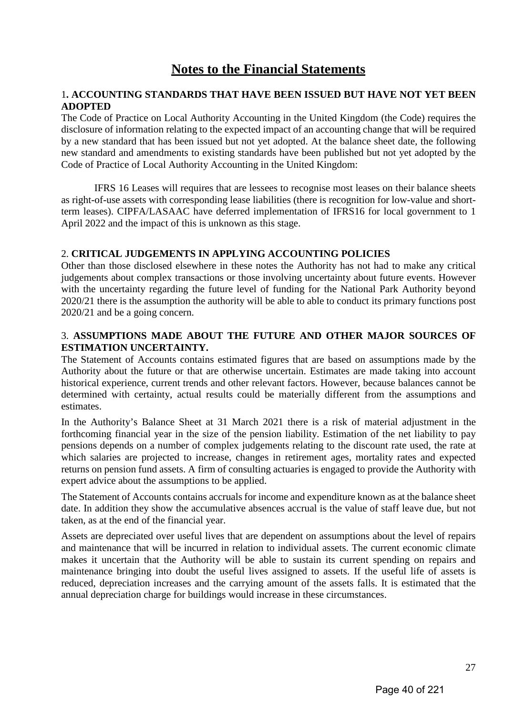# **Notes to the Financial Statements**

#### 1**. ACCOUNTING STANDARDS THAT HAVE BEEN ISSUED BUT HAVE NOT YET BEEN ADOPTED**

The Code of Practice on Local Authority Accounting in the United Kingdom (the Code) requires the disclosure of information relating to the expected impact of an accounting change that will be required by a new standard that has been issued but not yet adopted. At the balance sheet date, the following new standard and amendments to existing standards have been published but not yet adopted by the Code of Practice of Local Authority Accounting in the United Kingdom:

IFRS 16 Leases will requires that are lessees to recognise most leases on their balance sheets as right-of-use assets with corresponding lease liabilities (there is recognition for low-value and shortterm leases). CIPFA/LASAAC have deferred implementation of IFRS16 for local government to 1 April 2022 and the impact of this is unknown as this stage.

#### 2. **CRITICAL JUDGEMENTS IN APPLYING ACCOUNTING POLICIES**

Other than those disclosed elsewhere in these notes the Authority has not had to make any critical judgements about complex transactions or those involving uncertainty about future events. However with the uncertainty regarding the future level of funding for the National Park Authority beyond 2020/21 there is the assumption the authority will be able to able to conduct its primary functions post 2020/21 and be a going concern.

#### 3. **ASSUMPTIONS MADE ABOUT THE FUTURE AND OTHER MAJOR SOURCES OF ESTIMATION UNCERTAINTY.**

The Statement of Accounts contains estimated figures that are based on assumptions made by the Authority about the future or that are otherwise uncertain. Estimates are made taking into account historical experience, current trends and other relevant factors. However, because balances cannot be determined with certainty, actual results could be materially different from the assumptions and estimates.

In the Authority's Balance Sheet at 31 March 2021 there is a risk of material adjustment in the forthcoming financial year in the size of the pension liability. Estimation of the net liability to pay pensions depends on a number of complex judgements relating to the discount rate used, the rate at which salaries are projected to increase, changes in retirement ages, mortality rates and expected returns on pension fund assets. A firm of consulting actuaries is engaged to provide the Authority with expert advice about the assumptions to be applied.

The Statement of Accounts contains accruals for income and expenditure known as at the balance sheet date. In addition they show the accumulative absences accrual is the value of staff leave due, but not taken, as at the end of the financial year.

Assets are depreciated over useful lives that are dependent on assumptions about the level of repairs and maintenance that will be incurred in relation to individual assets. The current economic climate makes it uncertain that the Authority will be able to sustain its current spending on repairs and maintenance bringing into doubt the useful lives assigned to assets. If the useful life of assets is reduced, depreciation increases and the carrying amount of the assets falls. It is estimated that the annual depreciation charge for buildings would increase in these circumstances.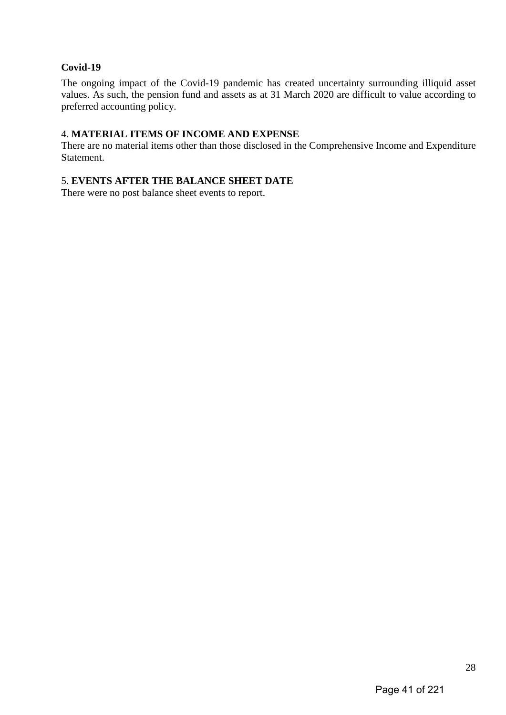#### **Covid-19**

The ongoing impact of the Covid-19 pandemic has created uncertainty surrounding illiquid asset values. As such, the pension fund and assets as at 31 March 2020 are difficult to value according to preferred accounting policy.

#### 4. **MATERIAL ITEMS OF INCOME AND EXPENSE**

There are no material items other than those disclosed in the Comprehensive Income and Expenditure Statement.

#### 5. **EVENTS AFTER THE BALANCE SHEET DATE**

There were no post balance sheet events to report.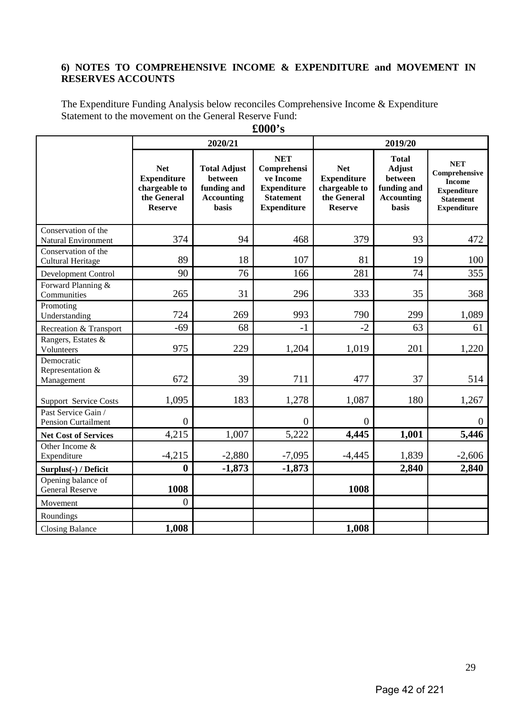#### **6) NOTES TO COMPREHENSIVE INCOME & EXPENDITURE and MOVEMENT IN RESERVES ACCOUNTS**

The Expenditure Funding Analysis below reconciles Comprehensive Income & Expenditure Statement to the movement on the General Reserve Fund:

|                                                   | 2020/21<br>2019/20                                                                 |                                                                                    |                                                                                                        |                                                                                    |                                                                                       |                                                                                                              |
|---------------------------------------------------|------------------------------------------------------------------------------------|------------------------------------------------------------------------------------|--------------------------------------------------------------------------------------------------------|------------------------------------------------------------------------------------|---------------------------------------------------------------------------------------|--------------------------------------------------------------------------------------------------------------|
|                                                   | <b>Net</b><br><b>Expenditure</b><br>chargeable to<br>the General<br><b>Reserve</b> | <b>Total Adjust</b><br>between<br>funding and<br><b>Accounting</b><br><b>basis</b> | <b>NET</b><br>Comprehensi<br>ve Income<br><b>Expenditure</b><br><b>Statement</b><br><b>Expenditure</b> | <b>Net</b><br><b>Expenditure</b><br>chargeable to<br>the General<br><b>Reserve</b> | <b>Total</b><br><b>Adjust</b><br>between<br>funding and<br><b>Accounting</b><br>basis | <b>NET</b><br>Comprehensive<br><b>Income</b><br><b>Expenditure</b><br><b>Statement</b><br><b>Expenditure</b> |
| Conservation of the<br><b>Natural Environment</b> | 374                                                                                | 94                                                                                 | 468                                                                                                    | 379                                                                                | 93                                                                                    | 472                                                                                                          |
| Conservation of the<br>Cultural Heritage          | 89                                                                                 | 18                                                                                 | 107                                                                                                    | 81                                                                                 | 19                                                                                    | 100                                                                                                          |
| Development Control                               | 90                                                                                 | 76                                                                                 | 166                                                                                                    | 281                                                                                | 74                                                                                    | 355                                                                                                          |
| Forward Planning &<br>Communities                 | 265                                                                                | 31                                                                                 | 296                                                                                                    | 333                                                                                | 35                                                                                    | 368                                                                                                          |
| Promoting<br>Understanding                        | 724                                                                                | 269                                                                                | 993                                                                                                    | 790                                                                                | 299                                                                                   | 1,089                                                                                                        |
| Recreation & Transport                            | $-69$                                                                              | 68                                                                                 | $-1$                                                                                                   | $-2$                                                                               | 63                                                                                    | 61                                                                                                           |
| Rangers, Estates &<br>Volunteers                  | 975                                                                                | 229                                                                                | 1,204                                                                                                  | 1,019                                                                              | 201                                                                                   | 1,220                                                                                                        |
| Democratic<br>Representation &<br>Management      | 672                                                                                | 39                                                                                 | 711                                                                                                    | 477                                                                                | 37                                                                                    | 514                                                                                                          |
| <b>Support Service Costs</b>                      | 1,095                                                                              | 183                                                                                | 1,278                                                                                                  | 1,087                                                                              | 180                                                                                   | 1,267                                                                                                        |
| Past Service Gain /<br><b>Pension Curtailment</b> | $\overline{0}$                                                                     |                                                                                    | $\overline{0}$                                                                                         | $\overline{0}$                                                                     |                                                                                       | $\mathbf{0}$                                                                                                 |
| <b>Net Cost of Services</b>                       | 4,215                                                                              | 1,007                                                                              | 5,222                                                                                                  | 4,445                                                                              | 1,001                                                                                 | 5,446                                                                                                        |
| Other Income &<br>Expenditure                     | $-4,215$                                                                           | $-2,880$                                                                           | $-7,095$                                                                                               | $-4,445$                                                                           | 1,839                                                                                 | $-2,606$                                                                                                     |
| Surplus(-) / Deficit                              | $\boldsymbol{0}$                                                                   | $-1,873$                                                                           | $-1,873$                                                                                               |                                                                                    | 2,840                                                                                 | 2,840                                                                                                        |
| Opening balance of<br><b>General Reserve</b>      | 1008                                                                               |                                                                                    |                                                                                                        | 1008                                                                               |                                                                                       |                                                                                                              |
| Movement                                          | $\overline{0}$                                                                     |                                                                                    |                                                                                                        |                                                                                    |                                                                                       |                                                                                                              |
| Roundings                                         |                                                                                    |                                                                                    |                                                                                                        |                                                                                    |                                                                                       |                                                                                                              |
| <b>Closing Balance</b>                            | 1,008                                                                              |                                                                                    |                                                                                                        | 1,008                                                                              |                                                                                       |                                                                                                              |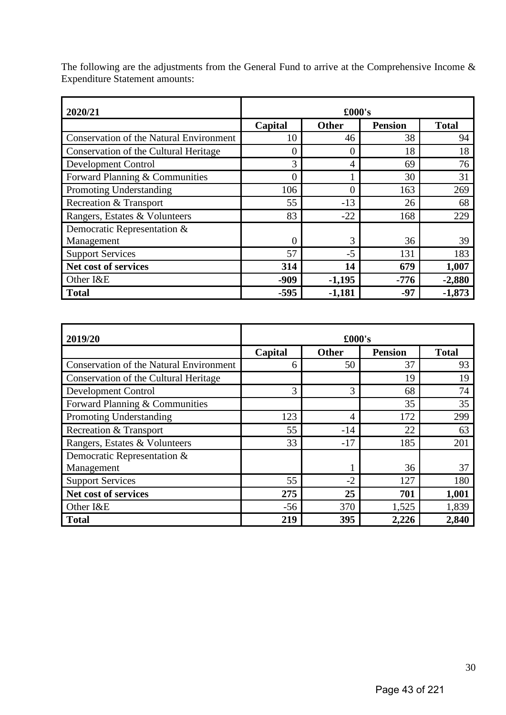| 2020/21                                        | £000's  |              |                |              |  |  |
|------------------------------------------------|---------|--------------|----------------|--------------|--|--|
|                                                | Capital | <b>Other</b> | <b>Pension</b> | <b>Total</b> |  |  |
| <b>Conservation of the Natural Environment</b> | 10      | 46           | 38             | 94           |  |  |
| Conservation of the Cultural Heritage          | 0       | 0            | 18             | 18           |  |  |
| <b>Development Control</b>                     | 3       | 4            | 69             | 76           |  |  |
| Forward Planning & Communities                 | 0       |              | 30             | 31           |  |  |
| Promoting Understanding                        | 106     | $\Omega$     | 163            | 269          |  |  |
| Recreation & Transport                         | 55      | $-13$        | 26             | 68           |  |  |
| Rangers, Estates & Volunteers                  | 83      | $-22$        | 168            | 229          |  |  |
| Democratic Representation &                    |         |              |                |              |  |  |
| Management                                     | 0       | 3            | 36             | 39           |  |  |
| <b>Support Services</b>                        | 57      | $-5$         | 131            | 183          |  |  |
| Net cost of services                           | 314     | 14           | 679            | 1,007        |  |  |
| Other I&E                                      | $-909$  | $-1,195$     | $-776$         | $-2,880$     |  |  |
| <b>Total</b>                                   | $-595$  | $-1,181$     | $-97$          | $-1,873$     |  |  |

The following are the adjustments from the General Fund to arrive at the Comprehensive Income  $\&$ Expenditure Statement amounts:

| 2019/20                                        |         | £000's |                |              |
|------------------------------------------------|---------|--------|----------------|--------------|
|                                                | Capital | Other  | <b>Pension</b> | <b>Total</b> |
| <b>Conservation of the Natural Environment</b> | 6       | 50     | 37             | 93           |
| Conservation of the Cultural Heritage          |         |        | 19             | 19           |
| <b>Development Control</b>                     | 3       | 3      | 68             | 74           |
| Forward Planning & Communities                 |         |        | 35             | 35           |
| Promoting Understanding                        | 123     | 4      | 172            | 299          |
| <b>Recreation &amp; Transport</b>              | 55      | $-14$  | 22             | 63           |
| Rangers, Estates & Volunteers                  | 33      | $-17$  | 185            | 201          |
| Democratic Representation &                    |         |        |                |              |
| Management                                     |         |        | 36             | 37           |
| <b>Support Services</b>                        | 55      | $-2$   | 127            | 180          |
| Net cost of services                           | 275     | 25     | 701            | 1,001        |
| Other I&E                                      | $-56$   | 370    | 1,525          | 1,839        |
| <b>Total</b>                                   | 219     | 395    | 2,226          | 2,840        |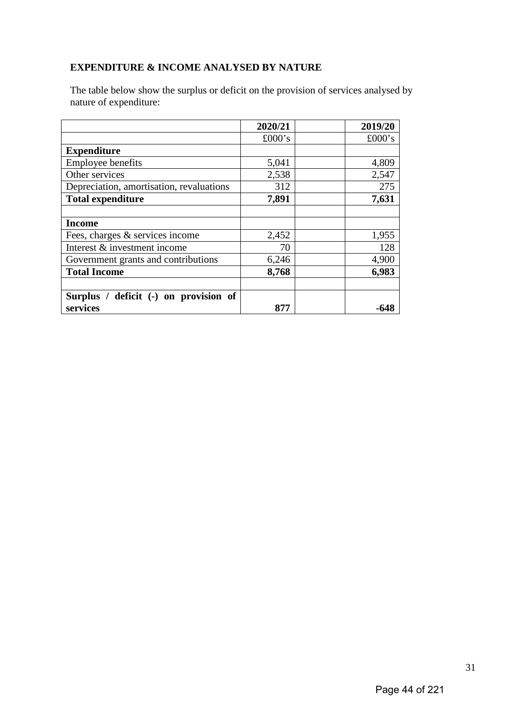## **EXPENDITURE & INCOME ANALYSED BY NATURE**

The table below show the surplus or deficit on the provision of services analysed by nature of expenditure:

|                                          | 2020/21 | 2019/20 |
|------------------------------------------|---------|---------|
|                                          | £000's  | £000's  |
| <b>Expenditure</b>                       |         |         |
| <b>Employee benefits</b>                 | 5,041   | 4,809   |
| Other services                           | 2,538   | 2,547   |
| Depreciation, amortisation, revaluations | 312     | 275     |
| <b>Total expenditure</b>                 | 7,891   | 7,631   |
|                                          |         |         |
| <b>Income</b>                            |         |         |
| Fees, charges & services income          | 2,452   | 1,955   |
| Interest & investment income             | 70      | 128     |
| Government grants and contributions      | 6,246   | 4,900   |
| <b>Total Income</b>                      | 8,768   | 6,983   |
|                                          |         |         |
| Surplus / deficit (-) on provision of    |         |         |
| services                                 | 877     |         |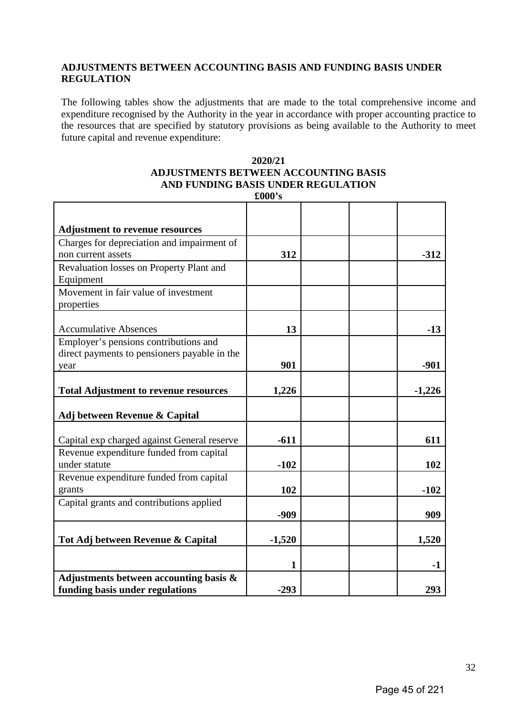#### **ADJUSTMENTS BETWEEN ACCOUNTING BASIS AND FUNDING BASIS UNDER REGULATION**

The following tables show the adjustments that are made to the total comprehensive income and expenditure recognised by the Authority in the year in accordance with proper accounting practice to the resources that are specified by statutory provisions as being available to the Authority to meet future capital and revenue expenditure:

#### **2020/21 ADJUSTMENTS BETWEEN ACCOUNTING BASIS AND FUNDING BASIS UNDER REGULATION**

| <b>Adjustment to revenue resources</b>       |          |  |          |
|----------------------------------------------|----------|--|----------|
| Charges for depreciation and impairment of   |          |  |          |
| non current assets                           | 312      |  | $-312$   |
| Revaluation losses on Property Plant and     |          |  |          |
| Equipment                                    |          |  |          |
| Movement in fair value of investment         |          |  |          |
| properties                                   |          |  |          |
| <b>Accumulative Absences</b>                 | 13       |  | $-13$    |
| Employer's pensions contributions and        |          |  |          |
| direct payments to pensioners payable in the |          |  |          |
| year                                         | 901      |  | $-901$   |
|                                              |          |  |          |
| <b>Total Adjustment to revenue resources</b> | 1,226    |  | $-1,226$ |
|                                              |          |  |          |
| Adj between Revenue & Capital                |          |  |          |
| Capital exp charged against General reserve  | $-611$   |  | 611      |
| Revenue expenditure funded from capital      |          |  |          |
| under statute                                | $-102$   |  | 102      |
| Revenue expenditure funded from capital      |          |  |          |
| grants                                       | 102      |  | $-102$   |
| Capital grants and contributions applied     |          |  |          |
|                                              | $-909$   |  | 909      |
| Tot Adj between Revenue & Capital            | $-1,520$ |  | 1,520    |
|                                              |          |  |          |
|                                              | 1        |  | $-1$     |
| Adjustments between accounting basis $\&$    |          |  |          |
| funding basis under regulations              | $-293$   |  | 293      |

**£000's**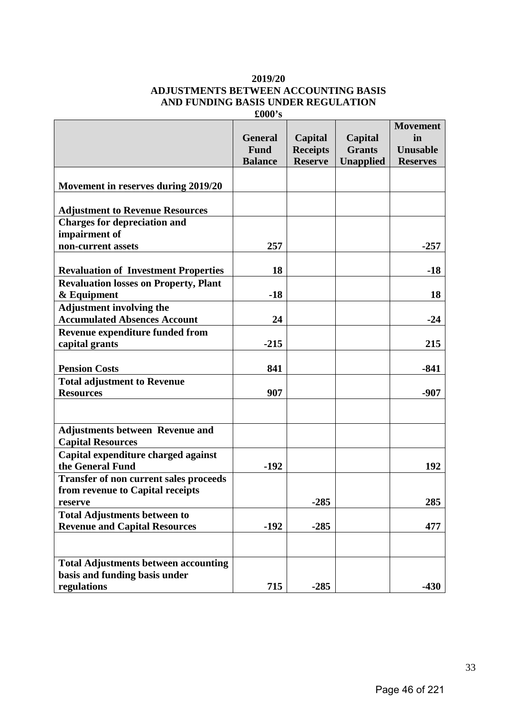#### **2019/20 ADJUSTMENTS BETWEEN ACCOUNTING BASIS AND FUNDING BASIS UNDER REGULATION**

|                                               |                |                 |                  | <b>Movement</b> |
|-----------------------------------------------|----------------|-----------------|------------------|-----------------|
|                                               | <b>General</b> | Capital         | Capital          | in              |
|                                               | Fund           | <b>Receipts</b> | <b>Grants</b>    | Unusable        |
|                                               | <b>Balance</b> | <b>Reserve</b>  | <b>Unapplied</b> | <b>Reserves</b> |
|                                               |                |                 |                  |                 |
| Movement in reserves during 2019/20           |                |                 |                  |                 |
|                                               |                |                 |                  |                 |
| <b>Adjustment to Revenue Resources</b>        |                |                 |                  |                 |
| <b>Charges for depreciation and</b>           |                |                 |                  |                 |
| impairment of                                 |                |                 |                  |                 |
| non-current assets                            | 257            |                 |                  | $-257$          |
|                                               |                |                 |                  |                 |
| <b>Revaluation of Investment Properties</b>   | 18             |                 |                  | $-18$           |
| <b>Revaluation losses on Property, Plant</b>  |                |                 |                  |                 |
| & Equipment                                   | $-18$          |                 |                  | 18              |
| <b>Adjustment involving the</b>               |                |                 |                  |                 |
| <b>Accumulated Absences Account</b>           | 24             |                 |                  | $-24$           |
| <b>Revenue expenditure funded from</b>        |                |                 |                  |                 |
| capital grants                                | $-215$         |                 |                  | 215             |
|                                               |                |                 |                  |                 |
| <b>Pension Costs</b>                          | 841            |                 |                  | $-841$          |
| <b>Total adjustment to Revenue</b>            |                |                 |                  |                 |
| <b>Resources</b>                              | 907            |                 |                  | $-907$          |
|                                               |                |                 |                  |                 |
|                                               |                |                 |                  |                 |
| <b>Adjustments between Revenue and</b>        |                |                 |                  |                 |
| <b>Capital Resources</b>                      |                |                 |                  |                 |
| Capital expenditure charged against           |                |                 |                  |                 |
| the General Fund                              | $-192$         |                 |                  | 192             |
| <b>Transfer of non current sales proceeds</b> |                |                 |                  |                 |
| from revenue to Capital receipts              |                |                 |                  |                 |
| reserve                                       |                | $-285$          |                  | 285             |
| <b>Total Adjustments between to</b>           |                |                 |                  |                 |
| <b>Revenue and Capital Resources</b>          | $-192$         | $-285$          |                  | 477             |
|                                               |                |                 |                  |                 |
|                                               |                |                 |                  |                 |
| <b>Total Adjustments between accounting</b>   |                |                 |                  |                 |
| basis and funding basis under                 |                |                 |                  |                 |
| regulations                                   | 715            | $-285$          |                  | $-430$          |

**£000's**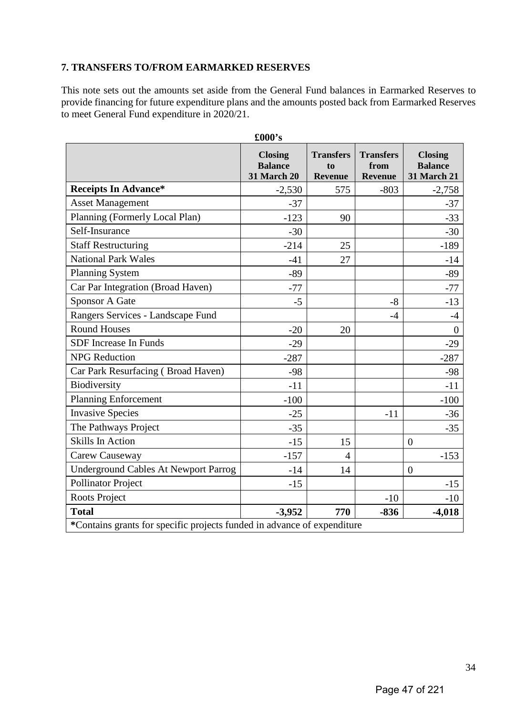#### **7. TRANSFERS TO/FROM EARMARKED RESERVES**

This note sets out the amounts set aside from the General Fund balances in Earmarked Reserves to provide financing for future expenditure plans and the amounts posted back from Earmarked Reserves to meet General Fund expenditure in 2020/21.

|                                                                         | £000's                                                 |                                          |                                            |                                                        |
|-------------------------------------------------------------------------|--------------------------------------------------------|------------------------------------------|--------------------------------------------|--------------------------------------------------------|
|                                                                         | <b>Closing</b><br><b>Balance</b><br><b>31 March 20</b> | <b>Transfers</b><br>to<br><b>Revenue</b> | <b>Transfers</b><br>from<br><b>Revenue</b> | <b>Closing</b><br><b>Balance</b><br><b>31 March 21</b> |
| <b>Receipts In Advance*</b>                                             | $-2,530$                                               | 575                                      | $-803$                                     | $-2,758$                                               |
| <b>Asset Management</b>                                                 | $-37$                                                  |                                          |                                            | $-37$                                                  |
| Planning (Formerly Local Plan)                                          | $-123$                                                 | 90                                       |                                            | $-33$                                                  |
| Self-Insurance                                                          | $-30$                                                  |                                          |                                            | $-30$                                                  |
| <b>Staff Restructuring</b>                                              | $-214$                                                 | 25                                       |                                            | $-189$                                                 |
| <b>National Park Wales</b>                                              | $-41$                                                  | 27                                       |                                            | $-14$                                                  |
| <b>Planning System</b>                                                  | $-89$                                                  |                                          |                                            | $-89$                                                  |
| Car Par Integration (Broad Haven)                                       | $-77$                                                  |                                          |                                            | $-77$                                                  |
| <b>Sponsor A Gate</b>                                                   | $-5$                                                   |                                          | $-8$                                       | $-13$                                                  |
| Rangers Services - Landscape Fund                                       |                                                        |                                          | $-4$                                       | $-4$                                                   |
| <b>Round Houses</b>                                                     | $-20$                                                  | 20                                       |                                            | $\overline{0}$                                         |
| SDF Increase In Funds                                                   | $-29$                                                  |                                          |                                            | $-29$                                                  |
| <b>NPG</b> Reduction                                                    | $-287$                                                 |                                          |                                            | $-287$                                                 |
| Car Park Resurfacing (Broad Haven)                                      | $-98$                                                  |                                          |                                            | $-98$                                                  |
| Biodiversity                                                            | $-11$                                                  |                                          |                                            | $-11$                                                  |
| <b>Planning Enforcement</b>                                             | $-100$                                                 |                                          |                                            | $-100$                                                 |
| <b>Invasive Species</b>                                                 | $-25$                                                  |                                          | $-11$                                      | $-36$                                                  |
| The Pathways Project                                                    | $-35$                                                  |                                          |                                            | $-35$                                                  |
| <b>Skills In Action</b>                                                 | $-15$                                                  | 15                                       |                                            | $\overline{0}$                                         |
| Carew Causeway                                                          | $-157$                                                 | $\overline{4}$                           |                                            | $-153$                                                 |
| <b>Underground Cables At Newport Parrog</b>                             | $-14$                                                  | 14                                       |                                            | $\overline{0}$                                         |
| <b>Pollinator Project</b>                                               | $-15$                                                  |                                          |                                            | $-15$                                                  |
| Roots Project                                                           |                                                        |                                          | $-10$                                      | $-10$                                                  |
| <b>Total</b>                                                            | $-3,952$                                               | 770                                      | $-836$                                     | $-4,018$                                               |
| *Contains grants for specific projects funded in advance of expenditure |                                                        |                                          |                                            |                                                        |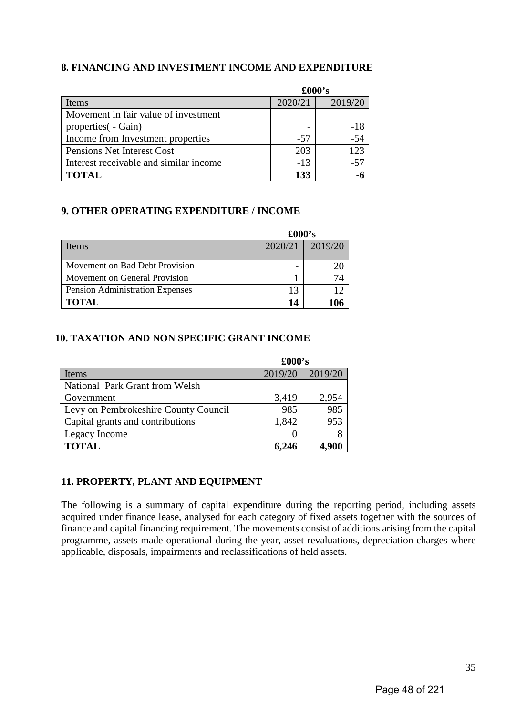#### **8. FINANCING AND INVESTMENT INCOME AND EXPENDITURE**

|                                        | $\pounds000$ 's |         |  |
|----------------------------------------|-----------------|---------|--|
| Items                                  | 2020/21         | 2019/20 |  |
| Movement in fair value of investment   |                 |         |  |
| properties ( - Gain)                   |                 | -18     |  |
| Income from Investment properties      | -57             | $-54$   |  |
| Pensions Net Interest Cost             | 203             | 123     |  |
| Interest receivable and similar income | $-13$           | $-57$   |  |
| <b>TOTAL</b>                           | 133             |         |  |

#### **9. OTHER OPERATING EXPENDITURE / INCOME**

|                                        | $\pounds000$ 's |         |  |
|----------------------------------------|-----------------|---------|--|
| Items                                  | 2020/21         | 2019/20 |  |
|                                        |                 |         |  |
| Movement on Bad Debt Provision         |                 |         |  |
| Movement on General Provision          |                 |         |  |
| <b>Pension Administration Expenses</b> | 13              |         |  |
| <b>TOTAL</b>                           | 14              |         |  |

#### **10. TAXATION AND NON SPECIFIC GRANT INCOME**

|                                      | £000's  |         |  |
|--------------------------------------|---------|---------|--|
| Items                                | 2019/20 | 2019/20 |  |
| National Park Grant from Welsh       |         |         |  |
| Government                           | 3,419   | 2,954   |  |
| Levy on Pembrokeshire County Council | 985     | 985     |  |
| Capital grants and contributions     | 1,842   | 953     |  |
| Legacy Income                        |         |         |  |
| <b>TOTAL</b>                         | 6,246   |         |  |

#### **11. PROPERTY, PLANT AND EQUIPMENT**

The following is a summary of capital expenditure during the reporting period, including assets acquired under finance lease, analysed for each category of fixed assets together with the sources of finance and capital financing requirement. The movements consist of additions arising from the capital programme, assets made operational during the year, asset revaluations, depreciation charges where applicable, disposals, impairments and reclassifications of held assets.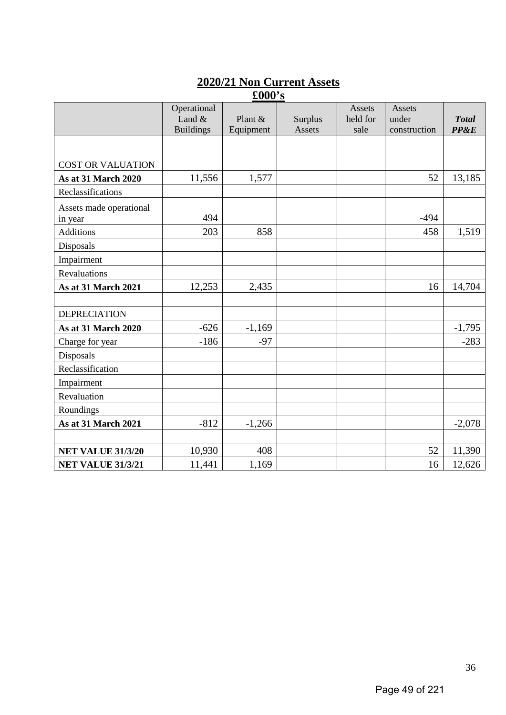# **2020/21 Non Current Assets**

| $\pounds000$ 's            |                  |           |         |          |              |              |
|----------------------------|------------------|-----------|---------|----------|--------------|--------------|
|                            | Operational      |           |         | Assets   | Assets       |              |
|                            | Land $&$         | Plant &   | Surplus | held for | under        | <b>Total</b> |
|                            | <b>Buildings</b> | Equipment | Assets  | sale     | construction | PP&E         |
|                            |                  |           |         |          |              |              |
| <b>COST OR VALUATION</b>   |                  |           |         |          |              |              |
| <b>As at 31 March 2020</b> | 11,556           | 1,577     |         |          | 52           | 13,185       |
| Reclassifications          |                  |           |         |          |              |              |
| Assets made operational    |                  |           |         |          |              |              |
| in year                    | 494              |           |         |          | $-494$       |              |
| <b>Additions</b>           | 203              | 858       |         |          | 458          | 1,519        |
| Disposals                  |                  |           |         |          |              |              |
| Impairment                 |                  |           |         |          |              |              |
| Revaluations               |                  |           |         |          |              |              |
| <b>As at 31 March 2021</b> | 12,253           | 2,435     |         |          | 16           | 14,704       |
|                            |                  |           |         |          |              |              |
| <b>DEPRECIATION</b>        |                  |           |         |          |              |              |
| <b>As at 31 March 2020</b> | $-626$           | $-1,169$  |         |          |              | $-1,795$     |
| Charge for year            | $-186$           | $-97$     |         |          |              | $-283$       |
| Disposals                  |                  |           |         |          |              |              |
| Reclassification           |                  |           |         |          |              |              |
| Impairment                 |                  |           |         |          |              |              |
| Revaluation                |                  |           |         |          |              |              |
| Roundings                  |                  |           |         |          |              |              |
| <b>As at 31 March 2021</b> | $-812$           | $-1,266$  |         |          |              | $-2,078$     |
|                            |                  |           |         |          |              |              |
| <b>NET VALUE 31/3/20</b>   | 10,930           | 408       |         |          | 52           | 11,390       |
| <b>NET VALUE 31/3/21</b>   | 11,441           | 1,169     |         |          | 16           | 12,626       |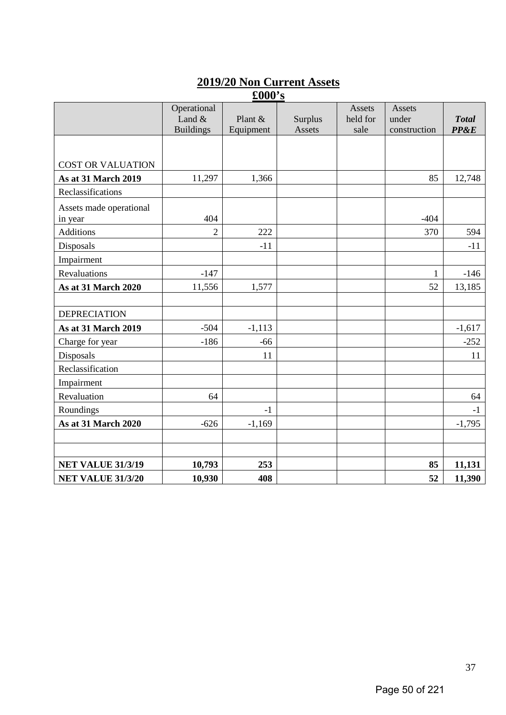# **2019/20 Non Current Assets**

|                                    |                                             | $\pounds000$ 's        |                   |                            |                                        |                                 |
|------------------------------------|---------------------------------------------|------------------------|-------------------|----------------------------|----------------------------------------|---------------------------------|
|                                    | Operational<br>Land $&$<br><b>Buildings</b> | Plant $&$<br>Equipment | Surplus<br>Assets | Assets<br>held for<br>sale | <b>Assets</b><br>under<br>construction | <b>Total</b><br><b>PP&amp;E</b> |
|                                    |                                             |                        |                   |                            |                                        |                                 |
| <b>COST OR VALUATION</b>           |                                             |                        |                   |                            |                                        |                                 |
| <b>As at 31 March 2019</b>         | 11,297                                      | 1,366                  |                   |                            | 85                                     | 12,748                          |
| Reclassifications                  |                                             |                        |                   |                            |                                        |                                 |
| Assets made operational<br>in year | 404                                         |                        |                   |                            | $-404$                                 |                                 |
| <b>Additions</b>                   | $\overline{2}$                              | 222                    |                   |                            | 370                                    | 594                             |
| Disposals                          |                                             | $-11$                  |                   |                            |                                        | $-11$                           |
| Impairment                         |                                             |                        |                   |                            |                                        |                                 |
| Revaluations                       | $-147$                                      |                        |                   |                            | $\mathbf{1}$                           | $-146$                          |
| As at 31 March 2020                | 11,556                                      | 1,577                  |                   |                            | 52                                     | 13,185                          |
|                                    |                                             |                        |                   |                            |                                        |                                 |
| <b>DEPRECIATION</b>                |                                             |                        |                   |                            |                                        |                                 |
| <b>As at 31 March 2019</b>         | $-504$                                      | $-1,113$               |                   |                            |                                        | $-1,617$                        |
| Charge for year                    | $-186$                                      | $-66$                  |                   |                            |                                        | $-252$                          |
| Disposals                          |                                             | 11                     |                   |                            |                                        | 11                              |
| Reclassification                   |                                             |                        |                   |                            |                                        |                                 |
| Impairment                         |                                             |                        |                   |                            |                                        |                                 |
| Revaluation                        | 64                                          |                        |                   |                            |                                        | 64                              |
| Roundings                          |                                             | $-1$                   |                   |                            |                                        | $-1$                            |
| As at 31 March 2020                | $-626$                                      | $-1,169$               |                   |                            |                                        | $-1,795$                        |
|                                    |                                             |                        |                   |                            |                                        |                                 |
| <b>NET VALUE 31/3/19</b>           | 10,793                                      | 253                    |                   |                            | 85                                     | 11,131                          |
| <b>NET VALUE 31/3/20</b>           | 10,930                                      | 408                    |                   |                            | 52                                     | 11,390                          |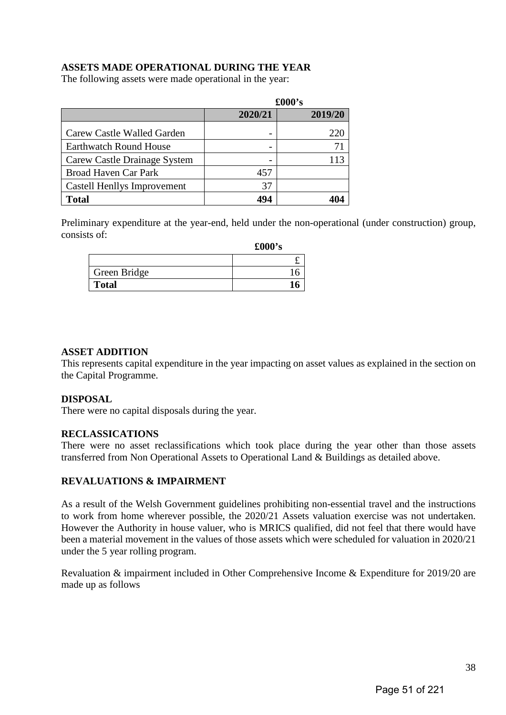# **ASSETS MADE OPERATIONAL DURING THE YEAR**

The following assets were made operational in the year:

|                                    |         | £000's  |
|------------------------------------|---------|---------|
|                                    | 2020/21 | 2019/20 |
| Carew Castle Walled Garden         |         | 220     |
| <b>Earthwatch Round House</b>      |         |         |
| Carew Castle Drainage System       |         | 113     |
| <b>Broad Haven Car Park</b>        | 457     |         |
| <b>Castell Henllys Improvement</b> | 37      |         |
| <b>Total</b>                       |         |         |

Preliminary expenditure at the year-end, held under the non-operational (under construction) group, consists of:

|              | $\pounds000$ 's |
|--------------|-----------------|
|              |                 |
| Green Bridge |                 |
| <b>Total</b> |                 |

## **ASSET ADDITION**

This represents capital expenditure in the year impacting on asset values as explained in the section on the Capital Programme.

## **DISPOSAL**

There were no capital disposals during the year.

## **RECLASSICATIONS**

There were no asset reclassifications which took place during the year other than those assets transferred from Non Operational Assets to Operational Land & Buildings as detailed above.

## **REVALUATIONS & IMPAIRMENT**

As a result of the Welsh Government guidelines prohibiting non-essential travel and the instructions to work from home wherever possible, the 2020/21 Assets valuation exercise was not undertaken. However the Authority in house valuer, who is MRICS qualified, did not feel that there would have been a material movement in the values of those assets which were scheduled for valuation in 2020/21 under the 5 year rolling program.

Revaluation & impairment included in Other Comprehensive Income & Expenditure for 2019/20 are made up as follows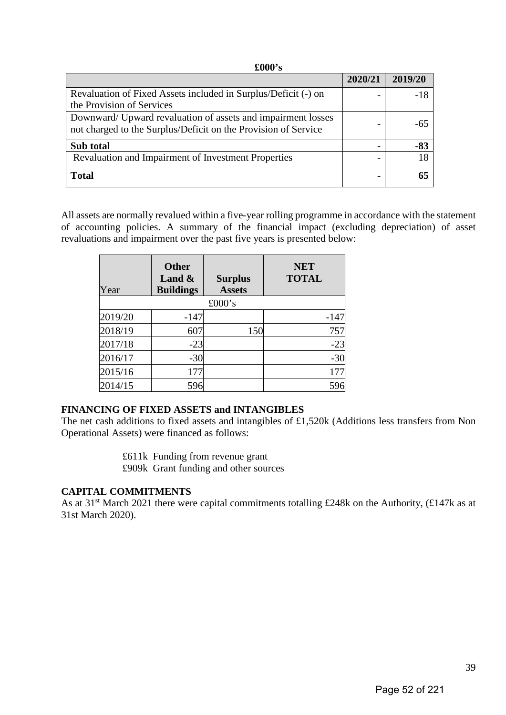| £000's                                                                                                                         |         |         |
|--------------------------------------------------------------------------------------------------------------------------------|---------|---------|
|                                                                                                                                | 2020/21 | 2019/20 |
| Revaluation of Fixed Assets included in Surplus/Deficit (-) on<br>the Provision of Services                                    |         | -18     |
| Downward/ Upward revaluation of assets and impairment losses<br>not charged to the Surplus/Deficit on the Provision of Service |         | -65     |
| Sub total                                                                                                                      |         | $-83$   |
| Revaluation and Impairment of Investment Properties                                                                            |         |         |
| <b>Total</b>                                                                                                                   |         |         |

All assets are normally revalued within a five-year rolling programme in accordance with the statement of accounting policies. A summary of the financial impact (excluding depreciation) of asset revaluations and impairment over the past five years is presented below:

| Year    | <b>Other</b><br>Land $\&$<br><b>Buildings</b> | <b>Surplus</b><br><b>Assets</b> | <b>NET</b><br><b>TOTAL</b> |
|---------|-----------------------------------------------|---------------------------------|----------------------------|
|         |                                               | £000's                          |                            |
| 2019/20 | $-147$                                        |                                 | $-147$                     |
| 2018/19 | 607                                           | 150                             | 757                        |
| 2017/18 | $-23$                                         |                                 | $-23$                      |
| 2016/17 | $-30$                                         |                                 | $-30$                      |
| 2015/16 | 177                                           |                                 | 177                        |
| 2014/15 | 596                                           |                                 | 596                        |

## **FINANCING OF FIXED ASSETS and INTANGIBLES**

The net cash additions to fixed assets and intangibles of £1,520k (Additions less transfers from Non Operational Assets) were financed as follows:

£611k Funding from revenue grant

£909k Grant funding and other sources

## **CAPITAL COMMITMENTS**

As at 31<sup>st</sup> March 2021 there were capital commitments totalling £248k on the Authority, (£147k as at 31st March 2020).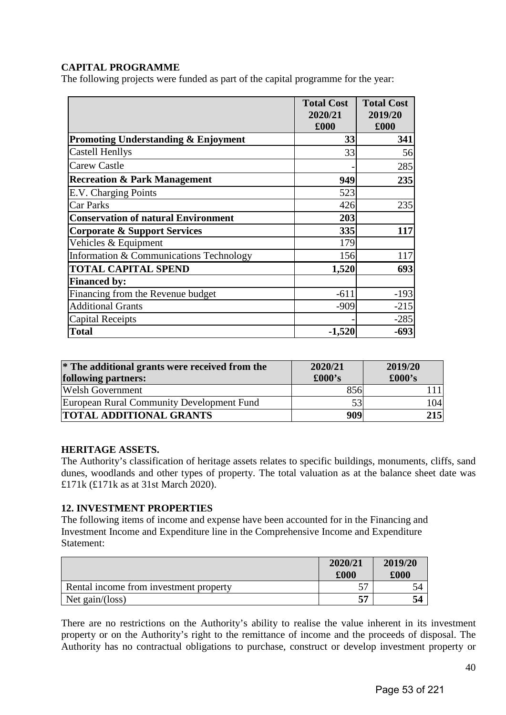## **CAPITAL PROGRAMME**

The following projects were funded as part of the capital programme for the year:

|                                                | <b>Total Cost</b><br>2020/21<br>£000 | <b>Total Cost</b><br>2019/20<br>£000 |
|------------------------------------------------|--------------------------------------|--------------------------------------|
| <b>Promoting Understanding &amp; Enjoyment</b> | 33                                   | 341                                  |
| <b>Castell Henllys</b>                         | 33                                   | 56                                   |
| <b>Carew Castle</b>                            |                                      | 285                                  |
| <b>Recreation &amp; Park Management</b>        | 949                                  | 235                                  |
| E.V. Charging Points                           | 523                                  |                                      |
| <b>Car Parks</b>                               | 426                                  | 235                                  |
| <b>Conservation of natural Environment</b>     | 203                                  |                                      |
| <b>Corporate &amp; Support Services</b>        | 335                                  | 117                                  |
| Vehicles & Equipment                           | 179                                  |                                      |
| Information & Communications Technology        | 156                                  | 117                                  |
| <b>TOTAL CAPITAL SPEND</b>                     | 1,520                                | 693                                  |
| <b>Financed by:</b>                            |                                      |                                      |
| Financing from the Revenue budget              | $-611$                               | $-193$                               |
| <b>Additional Grants</b>                       | $-909$                               | $-215$                               |
| <b>Capital Receipts</b>                        |                                      | $-285$                               |
| <b>Total</b>                                   | $-1,520$                             | $-693$                               |

| * The additional grants were received from the<br>following partners: | 2020/21<br>$\pounds000$ 's | 2019/20<br>$\pounds000$ 's |
|-----------------------------------------------------------------------|----------------------------|----------------------------|
| <b>Welsh Government</b>                                               | 856                        |                            |
| European Rural Community Development Fund                             | 53                         | 104                        |
| <b>TOTAL ADDITIONAL GRANTS</b>                                        | 909                        | 215                        |

## **HERITAGE ASSETS.**

The Authority's classification of heritage assets relates to specific buildings, monuments, cliffs, sand dunes, woodlands and other types of property. The total valuation as at the balance sheet date was £171k (£171k as at 31st March 2020).

## **12. INVESTMENT PROPERTIES**

The following items of income and expense have been accounted for in the Financing and Investment Income and Expenditure line in the Comprehensive Income and Expenditure Statement:

|                                        | 2020/21<br>£000 | 2019/20<br>$\pmb{.}000$ |
|----------------------------------------|-----------------|-------------------------|
| Rental income from investment property |                 | 34                      |
| Net gain/(loss)                        |                 | 54                      |

There are no restrictions on the Authority's ability to realise the value inherent in its investment property or on the Authority's right to the remittance of income and the proceeds of disposal. The Authority has no contractual obligations to purchase, construct or develop investment property or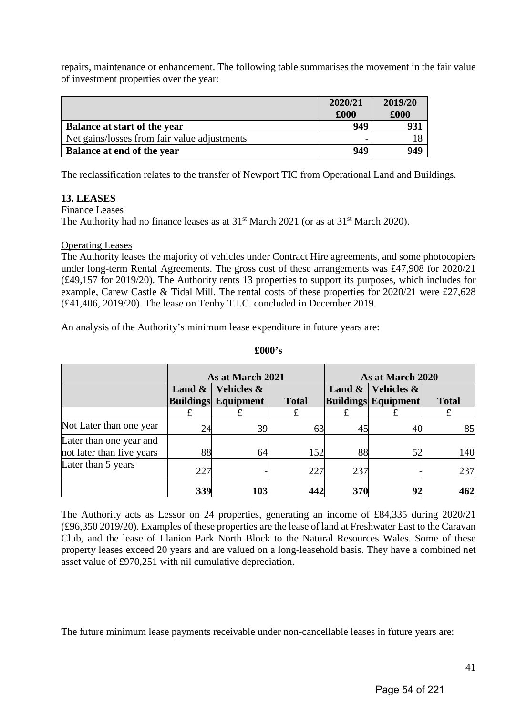repairs, maintenance or enhancement. The following table summarises the movement in the fair value of investment properties over the year:

|                                              | 2020/21<br>£000 | 2019/20<br>£000 |
|----------------------------------------------|-----------------|-----------------|
| <b>Balance at start of the year</b>          | 949             | 931             |
| Net gains/losses from fair value adjustments | -               |                 |
| Balance at end of the year                   | 949             | 949             |

The reclassification relates to the transfer of Newport TIC from Operational Land and Buildings.

## **13. LEASES**

Finance Leases

The Authority had no finance leases as at  $31<sup>st</sup>$  March 2021 (or as at  $31<sup>st</sup>$  March 2020).

## Operating Leases

The Authority leases the majority of vehicles under Contract Hire agreements, and some photocopiers under long-term Rental Agreements. The gross cost of these arrangements was £47,908 for 2020/21 (£49,157 for 2019/20). The Authority rents 13 properties to support its purposes, which includes for example, Carew Castle & Tidal Mill. The rental costs of these properties for 2020/21 were £27,628 (£41,406, 2019/20). The lease on Tenby T.I.C. concluded in December 2019.

An analysis of the Authority's minimum lease expenditure in future years are:

|                           | As at March 2021 |                            | As at March 2020 |           |                            |              |
|---------------------------|------------------|----------------------------|------------------|-----------|----------------------------|--------------|
|                           | Land $\&$        | Vehicles &                 |                  | Land $\&$ | Vehicles &                 |              |
|                           |                  | <b>Buildings Equipment</b> | <b>Total</b>     |           | <b>Buildings Equipment</b> | <b>Total</b> |
|                           |                  |                            | £                |           |                            | £            |
| Not Later than one year   | 24               | 39                         | 63               | 45        | 40                         | 85           |
| Later than one year and   |                  |                            |                  |           |                            |              |
| not later than five years | 88               | 64                         | 152              | 88        | 52                         | 140          |
| Later than 5 years        | 227              |                            | 227              | 237       |                            | 237          |
|                           | 339              | 103                        | 442              | 370       | 92                         | 462          |

#### **£000's**

The Authority acts as Lessor on 24 properties, generating an income of £84,335 during 2020/21 (£96,350 2019/20). Examples of these properties are the lease of land at Freshwater East to the Caravan Club, and the lease of Llanion Park North Block to the Natural Resources Wales. Some of these property leases exceed 20 years and are valued on a long-leasehold basis. They have a combined net asset value of £970,251 with nil cumulative depreciation.

The future minimum lease payments receivable under non-cancellable leases in future years are: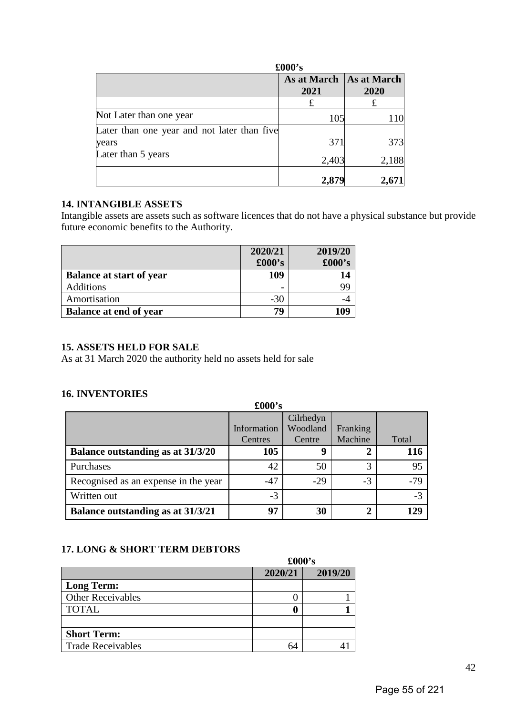|                                             | £000's              |                     |  |  |
|---------------------------------------------|---------------------|---------------------|--|--|
|                                             | As at March<br>2021 | As at March<br>2020 |  |  |
|                                             | £                   | £                   |  |  |
| Not Later than one year                     | 105                 | 110                 |  |  |
| Later than one year and not later than five |                     |                     |  |  |
| years                                       | 371                 | 373                 |  |  |
| Later than 5 years                          | 2,403               | 2,188               |  |  |
|                                             | 2,879               | 2,67                |  |  |

## **14. INTANGIBLE ASSETS**

Intangible assets are assets such as software licences that do not have a physical substance but provide future economic benefits to the Authority.

|                                 | 2020/21<br>£000's | 2019/20<br>£000's |
|---------------------------------|-------------------|-------------------|
| <b>Balance at start of year</b> | 109               | 14                |
| <b>Additions</b>                | -                 | 99                |
| Amortisation                    | $-30$             |                   |
| <b>Balance at end of year</b>   | 70                |                   |

# **15. ASSETS HELD FOR SALE**

As at 31 March 2020 the authority held no assets held for sale

## **16. INVENTORIES**

|                                      | $\pounds000$ 's |           |          |       |
|--------------------------------------|-----------------|-----------|----------|-------|
|                                      |                 | Cilrhedyn |          |       |
|                                      | Information     | Woodland  | Franking |       |
|                                      | Centres         | Centre    | Machine  | Total |
| Balance outstanding as at 31/3/20    | 105             |           |          | 116   |
| Purchases                            | 42              | 50        | 3        | 95    |
| Recognised as an expense in the year | $-47$           | $-29$     | $-3$     | $-79$ |
| Written out                          | $-3$            |           |          | $-3$  |
| Balance outstanding as at 31/3/21    | 97              | 30        | ി        | 129   |

## **17. LONG & SHORT TERM DEBTORS**

|                          |         | $\pounds000$ 's |  |  |
|--------------------------|---------|-----------------|--|--|
|                          | 2020/21 | 2019/20         |  |  |
| <b>Long Term:</b>        |         |                 |  |  |
| <b>Other Receivables</b> |         |                 |  |  |
| <b>TOTAL</b>             |         |                 |  |  |
|                          |         |                 |  |  |
| <b>Short Term:</b>       |         |                 |  |  |
| <b>Trade Receivables</b> | 64      |                 |  |  |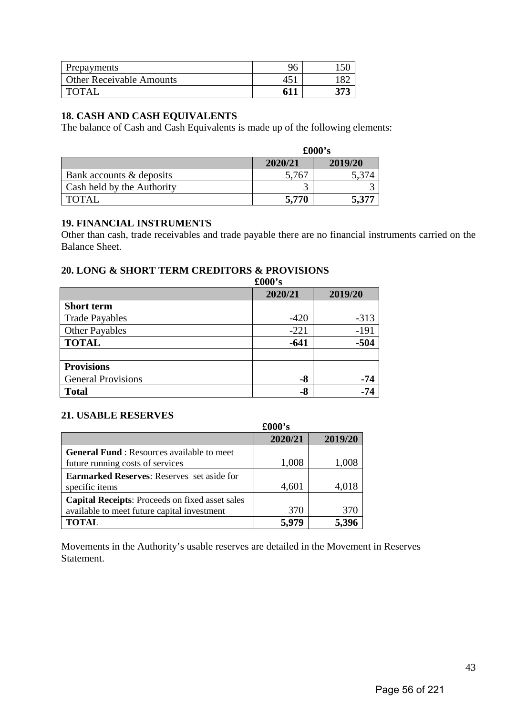| Prepayments                     | 96 |  |
|---------------------------------|----|--|
| <b>Other Receivable Amounts</b> |    |  |
| <b>TOTAI</b>                    |    |  |

## **18. CASH AND CASH EQUIVALENTS**

The balance of Cash and Cash Equivalents is made up of the following elements:

|                            | $\pounds000$ 's |         |  |
|----------------------------|-----------------|---------|--|
|                            | 2020/21         | 2019/20 |  |
| Bank accounts & deposits   | 5,767           |         |  |
| Cash held by the Authority |                 |         |  |
| TOTAL                      | 5.770           | 5,377   |  |

## **19. FINANCIAL INSTRUMENTS**

Other than cash, trade receivables and trade payable there are no financial instruments carried on the Balance Sheet.

÷

# **20. LONG & SHORT TERM CREDITORS & PROVISIONS**

**£000's** 

|                           | 2020/21 | 2019/20 |
|---------------------------|---------|---------|
| <b>Short term</b>         |         |         |
| <b>Trade Payables</b>     | $-420$  | $-313$  |
| <b>Other Payables</b>     | $-221$  | $-191$  |
| <b>TOTAL</b>              | $-641$  | $-504$  |
|                           |         |         |
| <b>Provisions</b>         |         |         |
| <b>General Provisions</b> | $-8$    | -74     |
| <b>Total</b>              | $-8$    |         |

## **21. USABLE RESERVES**

 $\blacksquare$ 

|                                                        | $\pounds000$ 's |         |
|--------------------------------------------------------|-----------------|---------|
|                                                        |                 |         |
|                                                        | 2020/21         | 2019/20 |
| <b>General Fund:</b> Resources available to meet       |                 |         |
| future running costs of services                       | 1,008           | 1,008   |
| <b>Earmarked Reserves:</b> Reserves set aside for      |                 |         |
| specific items                                         | 4,601           | 4,018   |
| <b>Capital Receipts:</b> Proceeds on fixed asset sales |                 |         |
| available to meet future capital investment            | 370             | 370     |
| <b>TOTAL</b>                                           |                 |         |

Movements in the Authority's usable reserves are detailed in the Movement in Reserves Statement.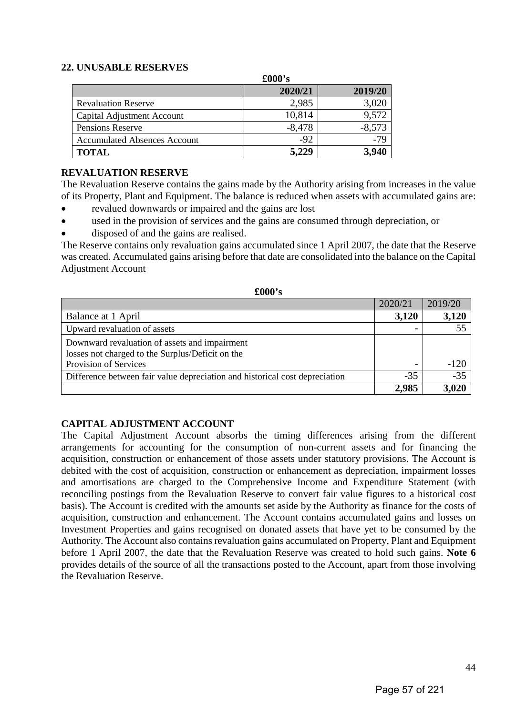## **22. UNUSABLE RESERVES**

|                                     | $\pounds000$ 's |          |
|-------------------------------------|-----------------|----------|
|                                     | 2020/21         | 2019/20  |
| <b>Revaluation Reserve</b>          | 2,985           | 3,020    |
| Capital Adjustment Account          | 10,814          | 9,572    |
| <b>Pensions Reserve</b>             | $-8,478$        | $-8,573$ |
| <b>Accumulated Absences Account</b> | $-92$           | $-79$    |
| <b>TOTAL</b>                        | 5,229           | 3.940    |

## **REVALUATION RESERVE**

The Revaluation Reserve contains the gains made by the Authority arising from increases in the value of its Property, Plant and Equipment. The balance is reduced when assets with accumulated gains are:

- revalued downwards or impaired and the gains are lost
- used in the provision of services and the gains are consumed through depreciation, or
- disposed of and the gains are realised.

The Reserve contains only revaluation gains accumulated since 1 April 2007, the date that the Reserve was created. Accumulated gains arising before that date are consolidated into the balance on the Capital Adjustment Account

**£000's** 

| XVVV S                                                                      |         |         |
|-----------------------------------------------------------------------------|---------|---------|
|                                                                             | 2020/21 | 2019/20 |
| Balance at 1 April                                                          | 3,120   | 3,120   |
| Upward revaluation of assets                                                |         | 55      |
| Downward revaluation of assets and impairment                               |         |         |
| losses not charged to the Surplus/Deficit on the                            |         |         |
| Provision of Services                                                       |         | $-120$  |
| Difference between fair value depreciation and historical cost depreciation | $-35$   | $-35$   |
|                                                                             | 2,985   | 3.020   |

## **CAPITAL ADJUSTMENT ACCOUNT**

The Capital Adjustment Account absorbs the timing differences arising from the different arrangements for accounting for the consumption of non-current assets and for financing the acquisition, construction or enhancement of those assets under statutory provisions. The Account is debited with the cost of acquisition, construction or enhancement as depreciation, impairment losses and amortisations are charged to the Comprehensive Income and Expenditure Statement (with reconciling postings from the Revaluation Reserve to convert fair value figures to a historical cost basis). The Account is credited with the amounts set aside by the Authority as finance for the costs of acquisition, construction and enhancement. The Account contains accumulated gains and losses on Investment Properties and gains recognised on donated assets that have yet to be consumed by the Authority. The Account also contains revaluation gains accumulated on Property, Plant and Equipment before 1 April 2007, the date that the Revaluation Reserve was created to hold such gains. **Note 6** provides details of the source of all the transactions posted to the Account, apart from those involving the Revaluation Reserve.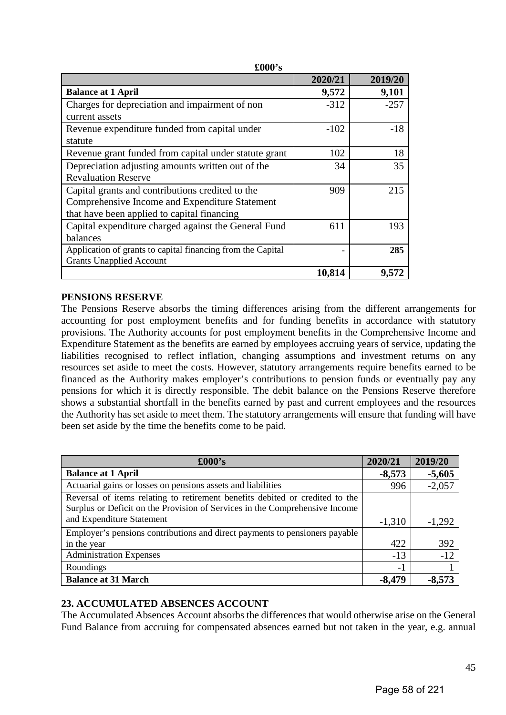| TUVA 9                                                      |         |         |
|-------------------------------------------------------------|---------|---------|
|                                                             | 2020/21 | 2019/20 |
| <b>Balance at 1 April</b>                                   | 9,572   | 9,101   |
| Charges for depreciation and impairment of non              | $-312$  | $-257$  |
| current assets                                              |         |         |
| Revenue expenditure funded from capital under               | $-102$  | $-18$   |
| statute                                                     |         |         |
| Revenue grant funded from capital under statute grant       | 102     | 18      |
| Depreciation adjusting amounts written out of the           | 34      | 35      |
| <b>Revaluation Reserve</b>                                  |         |         |
| Capital grants and contributions credited to the            | 909     | 215     |
| Comprehensive Income and Expenditure Statement              |         |         |
| that have been applied to capital financing                 |         |         |
| Capital expenditure charged against the General Fund        | 611     | 193     |
| balances                                                    |         |         |
| Application of grants to capital financing from the Capital |         | 285     |
| <b>Grants Unapplied Account</b>                             |         |         |
|                                                             | 10,814  | 9,572   |

**£000's** 

## **PENSIONS RESERVE**

The Pensions Reserve absorbs the timing differences arising from the different arrangements for accounting for post employment benefits and for funding benefits in accordance with statutory provisions. The Authority accounts for post employment benefits in the Comprehensive Income and Expenditure Statement as the benefits are earned by employees accruing years of service, updating the liabilities recognised to reflect inflation, changing assumptions and investment returns on any resources set aside to meet the costs. However, statutory arrangements require benefits earned to be financed as the Authority makes employer's contributions to pension funds or eventually pay any pensions for which it is directly responsible. The debit balance on the Pensions Reserve therefore shows a substantial shortfall in the benefits earned by past and current employees and the resources the Authority has set aside to meet them. The statutory arrangements will ensure that funding will have been set aside by the time the benefits come to be paid.

| $\pounds000's$                                                               | 2020/21  | 2019/20  |
|------------------------------------------------------------------------------|----------|----------|
| <b>Balance at 1 April</b>                                                    | $-8,573$ | $-5,605$ |
| Actuarial gains or losses on pensions assets and liabilities                 | 996      | $-2,057$ |
| Reversal of items relating to retirement benefits debited or credited to the |          |          |
| Surplus or Deficit on the Provision of Services in the Comprehensive Income  |          |          |
| and Expenditure Statement                                                    | $-1,310$ | $-1,292$ |
| Employer's pensions contributions and direct payments to pensioners payable  |          |          |
| in the year                                                                  | 422      | 392      |
| <b>Administration Expenses</b>                                               | $-13$    | $-12$    |
| Roundings                                                                    | $-1$     |          |
| <b>Balance at 31 March</b>                                                   | $-8,479$ | $-8,573$ |

## **23. ACCUMULATED ABSENCES ACCOUNT**

The Accumulated Absences Account absorbs the differences that would otherwise arise on the General Fund Balance from accruing for compensated absences earned but not taken in the year, e.g. annual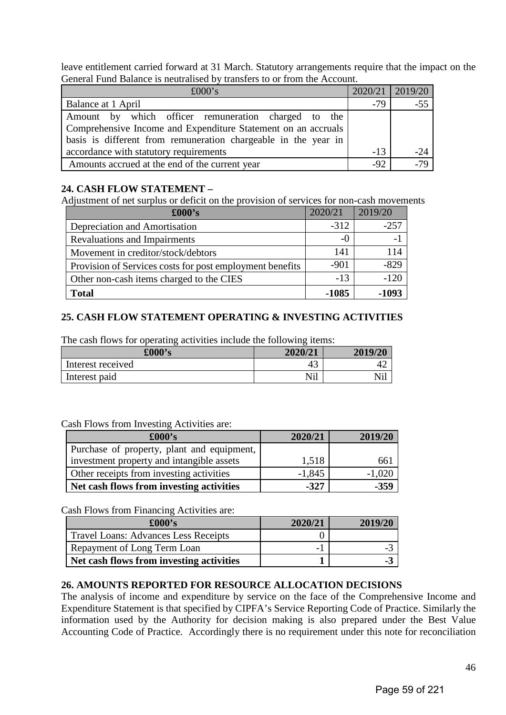leave entitlement carried forward at 31 March. Statutory arrangements require that the impact on the General Fund Balance is neutralised by transfers to or from the Account.

| £000's                                                                                                                                                                                 |       | 2020/21   2019/20 |
|----------------------------------------------------------------------------------------------------------------------------------------------------------------------------------------|-------|-------------------|
| Balance at 1 April                                                                                                                                                                     | $-79$ | $-55$             |
| Amount by which officer remuneration charged to the<br>Comprehensive Income and Expenditure Statement on an accruals<br>basis is different from remuneration chargeable in the year in |       |                   |
| accordance with statutory requirements                                                                                                                                                 | $-13$ | $-24$             |
| Amounts accrued at the end of the current year                                                                                                                                         | $-92$ | $-79$             |

## **24. CASH FLOW STATEMENT –**

Adjustment of net surplus or deficit on the provision of services for non-cash movements

| $\pounds000$ 's                                          | 2020/21 | 2019/20 |
|----------------------------------------------------------|---------|---------|
| Depreciation and Amortisation                            | $-312$  | $-257$  |
| <b>Revaluations and Impairments</b>                      | $-()$   | $-1$    |
| Movement in creditor/stock/debtors                       | 141     | 114     |
| Provision of Services costs for post employment benefits | $-901$  | $-829$  |
| Other non-cash items charged to the CIES                 | $-13$   | $-120$  |
| <b>Total</b>                                             | -1085   | -1093   |

## **25. CASH FLOW STATEMENT OPERATING & INVESTING ACTIVITIES**

The cash flows for operating activities include the following items:

| £000's            | 2020/21        | 2019/20                           |
|-------------------|----------------|-----------------------------------|
| Interest received | 4.             | $+2$                              |
| Interest paid     | 7. T. 1<br>N1l | <b>1 T * 1</b><br>N1 <sub>1</sub> |

## Cash Flows from Investing Activities are:

| $\pounds000$ 's                            | 2020/21  | 2019/20  |
|--------------------------------------------|----------|----------|
| Purchase of property, plant and equipment, |          |          |
| investment property and intangible assets  | 1,518    | 66.      |
| Other receipts from investing activities   | $-1,845$ | $-1,020$ |
| Net cash flows from investing activities   | $-327$   | $-359$   |

Cash Flows from Financing Activities are:

| $\pounds000$ 's                          | 2020/21 | 2019/20 |
|------------------------------------------|---------|---------|
| Travel Loans: Advances Less Receipts     |         |         |
| Repayment of Long Term Loan              |         |         |
| Net cash flows from investing activities |         |         |

## **26. AMOUNTS REPORTED FOR RESOURCE ALLOCATION DECISIONS**

The analysis of income and expenditure by service on the face of the Comprehensive Income and Expenditure Statement is that specified by CIPFA's Service Reporting Code of Practice. Similarly the information used by the Authority for decision making is also prepared under the Best Value Accounting Code of Practice. Accordingly there is no requirement under this note for reconciliation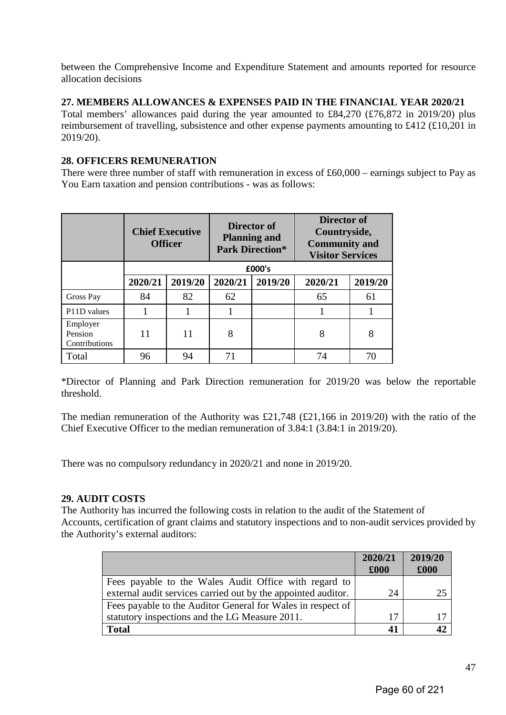between the Comprehensive Income and Expenditure Statement and amounts reported for resource allocation decisions

## **27. MEMBERS ALLOWANCES & EXPENSES PAID IN THE FINANCIAL YEAR 2020/21**

Total members' allowances paid during the year amounted to £84,270 (£76,872 in 2019/20) plus reimbursement of travelling, subsistence and other expense payments amounting to £412 (£10,201 in 2019/20).

## **28. OFFICERS REMUNERATION**

There were three number of staff with remuneration in excess of £60,000 – earnings subject to Pay as You Earn taxation and pension contributions - was as follows:

|                                      | Director of<br><b>Director of</b><br><b>Chief Executive</b><br>Countryside,<br><b>Planning and</b><br><b>Community and</b><br><b>Officer</b><br><b>Park Direction*</b><br><b>Visitor Services</b> |         |         |         |         |         |
|--------------------------------------|---------------------------------------------------------------------------------------------------------------------------------------------------------------------------------------------------|---------|---------|---------|---------|---------|
|                                      |                                                                                                                                                                                                   |         |         | £000's  |         |         |
|                                      | 2020/21                                                                                                                                                                                           | 2019/20 | 2020/21 | 2019/20 | 2020/21 | 2019/20 |
| Gross Pay                            | 84                                                                                                                                                                                                | 82      | 62      |         | 65      | 61      |
| P11D values                          |                                                                                                                                                                                                   |         |         |         |         |         |
| Employer<br>Pension<br>Contributions | 11                                                                                                                                                                                                | 11      | 8       |         | 8       | 8       |
| Total                                | 96                                                                                                                                                                                                | 94      | 71      |         | 74      | 70      |

\*Director of Planning and Park Direction remuneration for 2019/20 was below the reportable threshold.

The median remuneration of the Authority was £21,748 (£21,166 in 2019/20) with the ratio of the Chief Executive Officer to the median remuneration of 3.84:1 (3.84:1 in 2019/20).

There was no compulsory redundancy in 2020/21 and none in 2019/20.

## **29. AUDIT COSTS**

The Authority has incurred the following costs in relation to the audit of the Statement of Accounts, certification of grant claims and statutory inspections and to non-audit services provided by the Authority's external auditors:

|                                                               | 2020/21<br>£000 | 2019/20<br>£000 |
|---------------------------------------------------------------|-----------------|-----------------|
| Fees payable to the Wales Audit Office with regard to         |                 |                 |
| external audit services carried out by the appointed auditor. | 24              |                 |
| Fees payable to the Auditor General for Wales in respect of   |                 |                 |
| statutory inspections and the LG Measure 2011.                | 17              |                 |
| <b>Total</b>                                                  | 41              |                 |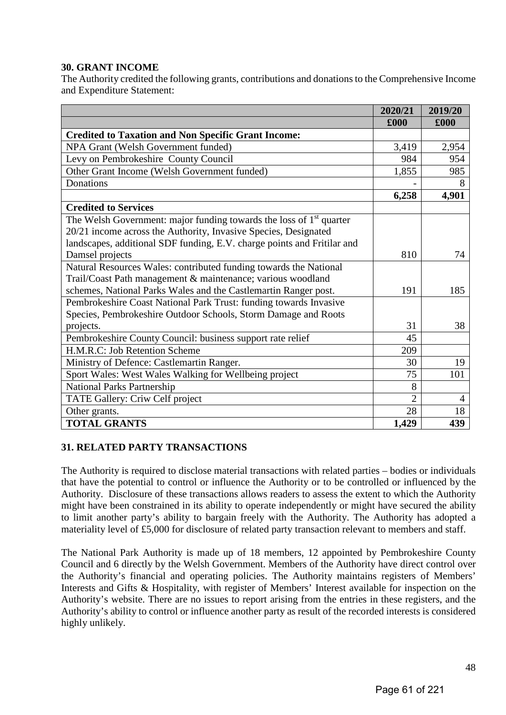## **30. GRANT INCOME**

The Authority credited the following grants, contributions and donations to the Comprehensive Income and Expenditure Statement:

|                                                                         | 2020/21        | 2019/20        |
|-------------------------------------------------------------------------|----------------|----------------|
|                                                                         | £000           | £000           |
| <b>Credited to Taxation and Non Specific Grant Income:</b>              |                |                |
| NPA Grant (Welsh Government funded)                                     | 3,419          | 2,954          |
| Levy on Pembrokeshire County Council                                    | 984            | 954            |
| Other Grant Income (Welsh Government funded)                            | 1,855          | 985            |
| Donations                                                               |                | 8              |
|                                                                         | 6,258          | 4,901          |
| <b>Credited to Services</b>                                             |                |                |
| The Welsh Government: major funding towards the loss of $1st$ quarter   |                |                |
| 20/21 income across the Authority, Invasive Species, Designated         |                |                |
| landscapes, additional SDF funding, E.V. charge points and Fritilar and |                |                |
| Damsel projects                                                         | 810            | 74             |
| Natural Resources Wales: contributed funding towards the National       |                |                |
| Trail/Coast Path management & maintenance; various woodland             |                |                |
| schemes, National Parks Wales and the Castlemartin Ranger post.         | 191            | 185            |
| Pembrokeshire Coast National Park Trust: funding towards Invasive       |                |                |
| Species, Pembrokeshire Outdoor Schools, Storm Damage and Roots          |                |                |
| projects.                                                               | 31             | 38             |
| Pembrokeshire County Council: business support rate relief              | 45             |                |
| H.M.R.C: Job Retention Scheme                                           | 209            |                |
| Ministry of Defence: Castlemartin Ranger.                               | 30             | 19             |
| Sport Wales: West Wales Walking for Wellbeing project                   | 75             | 101            |
| <b>National Parks Partnership</b>                                       | 8              |                |
| TATE Gallery: Criw Celf project                                         | $\overline{2}$ | $\overline{4}$ |
| Other grants.                                                           | 28             | 18             |
| <b>TOTAL GRANTS</b>                                                     | 1,429          | 439            |

## **31. RELATED PARTY TRANSACTIONS**

The Authority is required to disclose material transactions with related parties – bodies or individuals that have the potential to control or influence the Authority or to be controlled or influenced by the Authority. Disclosure of these transactions allows readers to assess the extent to which the Authority might have been constrained in its ability to operate independently or might have secured the ability to limit another party's ability to bargain freely with the Authority. The Authority has adopted a materiality level of £5,000 for disclosure of related party transaction relevant to members and staff.

The National Park Authority is made up of 18 members, 12 appointed by Pembrokeshire County Council and 6 directly by the Welsh Government. Members of the Authority have direct control over the Authority's financial and operating policies. The Authority maintains registers of Members' Interests and Gifts & Hospitality, with register of Members' Interest available for inspection on the Authority's website. There are no issues to report arising from the entries in these registers, and the Authority's ability to control or influence another party as result of the recorded interests is considered highly unlikely.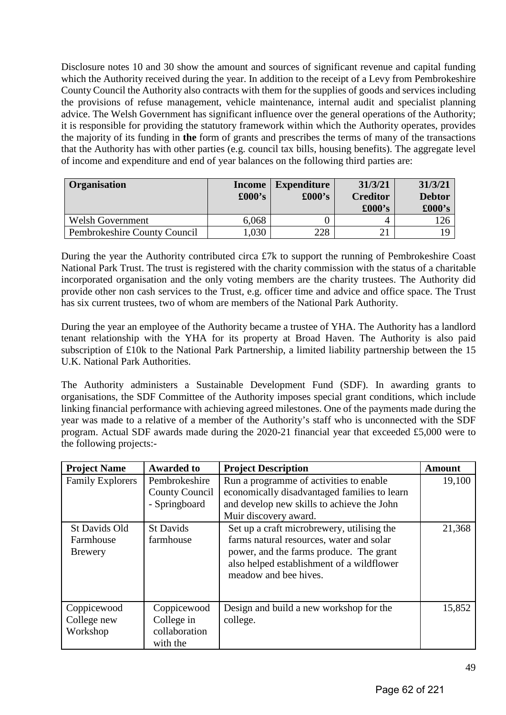Disclosure notes 10 and 30 show the amount and sources of significant revenue and capital funding which the Authority received during the year. In addition to the receipt of a Levy from Pembrokeshire County Council the Authority also contracts with them for the supplies of goods and services including the provisions of refuse management, vehicle maintenance, internal audit and specialist planning advice. The Welsh Government has significant influence over the general operations of the Authority; it is responsible for providing the statutory framework within which the Authority operates, provides the majority of its funding in **the** form of grants and prescribes the terms of many of the transactions that the Authority has with other parties (e.g. council tax bills, housing benefits). The aggregate level of income and expenditure and end of year balances on the following third parties are:

| Organisation                 | <b>Income</b><br>$\pounds000$ 's | <b>Expenditure</b><br>$\pounds000's$ | 31/3/21<br><b>Creditor</b><br>$\pounds000$ 's | 31/3/21<br><b>Debtor</b><br>$\pounds000$ 's |
|------------------------------|----------------------------------|--------------------------------------|-----------------------------------------------|---------------------------------------------|
| <b>Welsh Government</b>      | 6,068                            |                                      | 4                                             |                                             |
| Pembrokeshire County Council | .030                             | 228                                  |                                               |                                             |

During the year the Authority contributed circa £7k to support the running of Pembrokeshire Coast National Park Trust. The trust is registered with the charity commission with the status of a charitable incorporated organisation and the only voting members are the charity trustees. The Authority did provide other non cash services to the Trust, e.g. officer time and advice and office space. The Trust has six current trustees, two of whom are members of the National Park Authority.

During the year an employee of the Authority became a trustee of YHA. The Authority has a landlord tenant relationship with the YHA for its property at Broad Haven. The Authority is also paid subscription of £10k to the National Park Partnership, a limited liability partnership between the 15 U.K. National Park Authorities.

The Authority administers a Sustainable Development Fund (SDF). In awarding grants to organisations, the SDF Committee of the Authority imposes special grant conditions, which include linking financial performance with achieving agreed milestones. One of the payments made during the year was made to a relative of a member of the Authority's staff who is unconnected with the SDF program. Actual SDF awards made during the 2020-21 financial year that exceeded £5,000 were to the following projects:-

| <b>Project Name</b>                          | <b>Awarded to</b>                                      | <b>Project Description</b>                                                                                                                                                                              | Amount |
|----------------------------------------------|--------------------------------------------------------|---------------------------------------------------------------------------------------------------------------------------------------------------------------------------------------------------------|--------|
| <b>Family Explorers</b>                      | Pembrokeshire<br>County Council<br>- Springboard       | Run a programme of activities to enable<br>economically disadvantaged families to learn<br>and develop new skills to achieve the John<br>Muir discovery award.                                          | 19,100 |
| St Davids Old<br>Farmhouse<br><b>Brewery</b> | <b>St Davids</b><br>farmhouse                          | Set up a craft microbrewery, utilising the<br>farms natural resources, water and solar<br>power, and the farms produce. The grant<br>also helped establishment of a wildflower<br>meadow and bee hives. | 21,368 |
| Coppicewood<br>College new<br>Workshop       | Coppicewood<br>College in<br>collaboration<br>with the | Design and build a new workshop for the<br>college.                                                                                                                                                     | 15,852 |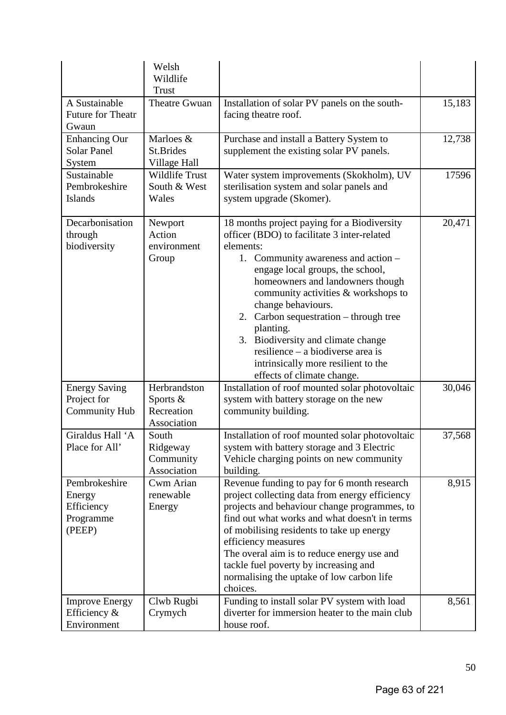|                                                              | Welsh<br>Wildlife<br><b>Trust</b>                     |                                                                                                                                                                                                                                                                                                                                                                                                                                                                                               |        |
|--------------------------------------------------------------|-------------------------------------------------------|-----------------------------------------------------------------------------------------------------------------------------------------------------------------------------------------------------------------------------------------------------------------------------------------------------------------------------------------------------------------------------------------------------------------------------------------------------------------------------------------------|--------|
| A Sustainable<br>Future for Theatr<br>Gwaun                  | Theatre Gwuan                                         | Installation of solar PV panels on the south-<br>facing theatre roof.                                                                                                                                                                                                                                                                                                                                                                                                                         | 15,183 |
| <b>Enhancing Our</b><br><b>Solar Panel</b><br>System         | Marloes &<br>St.Brides<br>Village Hall                | Purchase and install a Battery System to<br>supplement the existing solar PV panels.                                                                                                                                                                                                                                                                                                                                                                                                          | 12,738 |
| Sustainable<br>Pembrokeshire<br>Islands                      | Wildlife Trust<br>South & West<br>Wales               | Water system improvements (Skokholm), UV<br>sterilisation system and solar panels and<br>system upgrade (Skomer).                                                                                                                                                                                                                                                                                                                                                                             | 17596  |
| Decarbonisation<br>through<br>biodiversity                   | Newport<br>Action<br>environment<br>Group             | 18 months project paying for a Biodiversity<br>officer (BDO) to facilitate 3 inter-related<br>elements:<br>1. Community awareness and action –<br>engage local groups, the school,<br>homeowners and landowners though<br>community activities & workshops to<br>change behaviours.<br>2. Carbon sequestration – through tree<br>planting.<br>Biodiversity and climate change<br>3.<br>resilience – a biodiverse area is<br>intrinsically more resilient to the<br>effects of climate change. | 20,471 |
| <b>Energy Saving</b><br>Project for<br><b>Community Hub</b>  | Herbrandston<br>Sports &<br>Recreation<br>Association | Installation of roof mounted solar photovoltaic<br>system with battery storage on the new<br>community building.                                                                                                                                                                                                                                                                                                                                                                              | 30,046 |
| Giraldus Hall 'A<br>Place for All'                           | South<br>Ridgeway<br>Community<br>Association         | Installation of roof mounted solar photovoltaic<br>system with battery storage and 3 Electric<br>Vehicle charging points on new community<br>building.                                                                                                                                                                                                                                                                                                                                        | 37,568 |
| Pembrokeshire<br>Energy<br>Efficiency<br>Programme<br>(PEEP) | Cwm Arian<br>renewable<br>Energy                      | Revenue funding to pay for 6 month research<br>project collecting data from energy efficiency<br>projects and behaviour change programmes, to<br>find out what works and what doesn't in terms<br>of mobilising residents to take up energy<br>efficiency measures<br>The overal aim is to reduce energy use and<br>tackle fuel poverty by increasing and<br>normalising the uptake of low carbon life<br>choices.                                                                            | 8,915  |
| <b>Improve Energy</b><br>Efficiency $\&$<br>Environment      | Clwb Rugbi<br>Crymych                                 | Funding to install solar PV system with load<br>diverter for immersion heater to the main club<br>house roof.                                                                                                                                                                                                                                                                                                                                                                                 | 8,561  |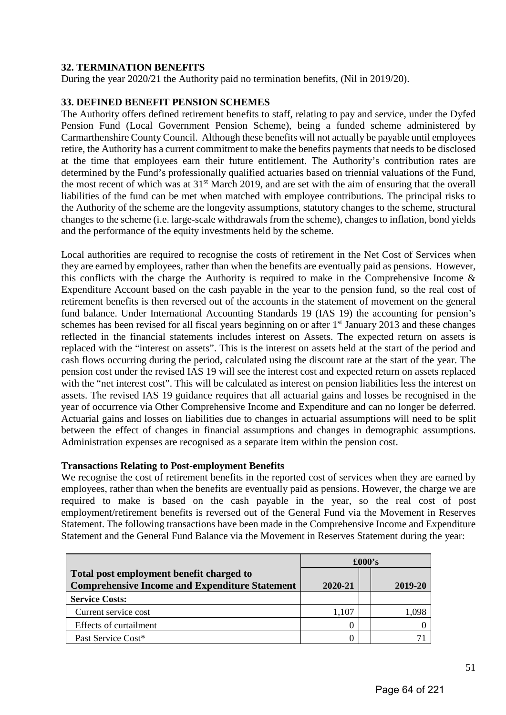## **32. TERMINATION BENEFITS**

During the year 2020/21 the Authority paid no termination benefits, (Nil in 2019/20).

## **33. DEFINED BENEFIT PENSION SCHEMES**

The Authority offers defined retirement benefits to staff, relating to pay and service, under the Dyfed Pension Fund (Local Government Pension Scheme), being a funded scheme administered by Carmarthenshire County Council. Although these benefits will not actually be payable until employees retire, the Authority has a current commitment to make the benefits payments that needs to be disclosed at the time that employees earn their future entitlement. The Authority's contribution rates are determined by the Fund's professionally qualified actuaries based on triennial valuations of the Fund, the most recent of which was at 31<sup>st</sup> March 2019, and are set with the aim of ensuring that the overall liabilities of the fund can be met when matched with employee contributions. The principal risks to the Authority of the scheme are the longevity assumptions, statutory changes to the scheme, structural changes to the scheme (i.e. large-scale withdrawals from the scheme), changes to inflation, bond yields and the performance of the equity investments held by the scheme.

Local authorities are required to recognise the costs of retirement in the Net Cost of Services when they are earned by employees, rather than when the benefits are eventually paid as pensions. However, this conflicts with the charge the Authority is required to make in the Comprehensive Income  $\&$ Expenditure Account based on the cash payable in the year to the pension fund, so the real cost of retirement benefits is then reversed out of the accounts in the statement of movement on the general fund balance. Under International Accounting Standards 19 (IAS 19) the accounting for pension's schemes has been revised for all fiscal years beginning on or after 1<sup>st</sup> January 2013 and these changes reflected in the financial statements includes interest on Assets. The expected return on assets is replaced with the "interest on assets". This is the interest on assets held at the start of the period and cash flows occurring during the period, calculated using the discount rate at the start of the year. The pension cost under the revised IAS 19 will see the interest cost and expected return on assets replaced with the "net interest cost". This will be calculated as interest on pension liabilities less the interest on assets. The revised IAS 19 guidance requires that all actuarial gains and losses be recognised in the year of occurrence via Other Comprehensive Income and Expenditure and can no longer be deferred. Actuarial gains and losses on liabilities due to changes in actuarial assumptions will need to be split between the effect of changes in financial assumptions and changes in demographic assumptions. Administration expenses are recognised as a separate item within the pension cost.

## **Transactions Relating to Post-employment Benefits**

We recognise the cost of retirement benefits in the reported cost of services when they are earned by employees, rather than when the benefits are eventually paid as pensions. However, the charge we are required to make is based on the cash payable in the year, so the real cost of post employment/retirement benefits is reversed out of the General Fund via the Movement in Reserves Statement. The following transactions have been made in the Comprehensive Income and Expenditure Statement and the General Fund Balance via the Movement in Reserves Statement during the year:

|                                                                                                   | $\pounds000$ 's |  |         |
|---------------------------------------------------------------------------------------------------|-----------------|--|---------|
| Total post employment benefit charged to<br><b>Comprehensive Income and Expenditure Statement</b> | 2020-21         |  | 2019-20 |
| <b>Service Costs:</b>                                                                             |                 |  |         |
| Current service cost                                                                              | 1,107           |  | 1 O98   |
| Effects of curtailment                                                                            |                 |  |         |
| Past Service Cost*                                                                                |                 |  |         |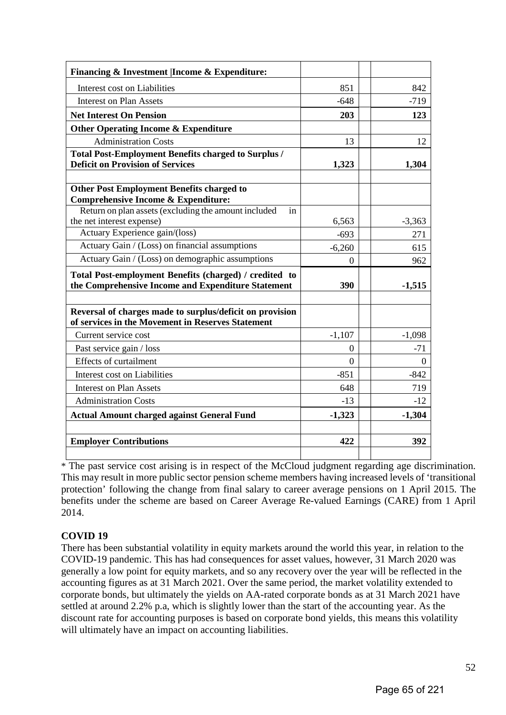| Financing & Investment   Income & Expenditure:                                                                |          |                |
|---------------------------------------------------------------------------------------------------------------|----------|----------------|
| Interest cost on Liabilities                                                                                  | 851      | 842            |
| <b>Interest on Plan Assets</b>                                                                                | $-648$   | $-719$         |
| <b>Net Interest On Pension</b>                                                                                | 203      | 123            |
| <b>Other Operating Income &amp; Expenditure</b>                                                               |          |                |
| <b>Administration Costs</b>                                                                                   | 13       | 12             |
| <b>Total Post-Employment Benefits charged to Surplus /</b>                                                    |          |                |
| <b>Deficit on Provision of Services</b>                                                                       | 1,323    | 1,304          |
|                                                                                                               |          |                |
| <b>Other Post Employment Benefits charged to</b>                                                              |          |                |
| <b>Comprehensive Income &amp; Expenditure:</b>                                                                |          |                |
| Return on plan assets (excluding the amount included<br>in<br>the net interest expense)                       | 6,563    | $-3,363$       |
| Actuary Experience gain/(loss)                                                                                | $-693$   | 271            |
| Actuary Gain / (Loss) on financial assumptions                                                                | $-6,260$ | 615            |
| Actuary Gain / (Loss) on demographic assumptions                                                              |          |                |
|                                                                                                               | $\theta$ | 962            |
| Total Post-employment Benefits (charged) / credited to<br>the Comprehensive Income and Expenditure Statement  | 390      | $-1,515$       |
|                                                                                                               |          |                |
| Reversal of charges made to surplus/deficit on provision<br>of services in the Movement in Reserves Statement |          |                |
| Current service cost                                                                                          | $-1,107$ | $-1,098$       |
| Past service gain / loss                                                                                      | $\theta$ | $-71$          |
| <b>Effects of curtailment</b>                                                                                 | $\theta$ | $\overline{0}$ |
| Interest cost on Liabilities                                                                                  | $-851$   | $-842$         |
| <b>Interest on Plan Assets</b>                                                                                | 648      | 719            |
| <b>Administration Costs</b>                                                                                   | $-13$    | $-12$          |
| <b>Actual Amount charged against General Fund</b>                                                             | $-1,323$ | $-1,304$       |
|                                                                                                               |          |                |
| <b>Employer Contributions</b>                                                                                 | 422      | 392            |
|                                                                                                               |          |                |

\* The past service cost arising is in respect of the McCloud judgment regarding age discrimination. This may result in more public sector pension scheme members having increased levels of 'transitional protection' following the change from final salary to career average pensions on 1 April 2015. The benefits under the scheme are based on Career Average Re-valued Earnings (CARE) from 1 April 2014.

## **COVID 19**

There has been substantial volatility in equity markets around the world this year, in relation to the COVID-19 pandemic. This has had consequences for asset values, however, 31 March 2020 was generally a low point for equity markets, and so any recovery over the year will be reflected in the accounting figures as at 31 March 2021. Over the same period, the market volatility extended to corporate bonds, but ultimately the yields on AA-rated corporate bonds as at 31 March 2021 have settled at around 2.2% p.a, which is slightly lower than the start of the accounting year. As the discount rate for accounting purposes is based on corporate bond yields, this means this volatility will ultimately have an impact on accounting liabilities.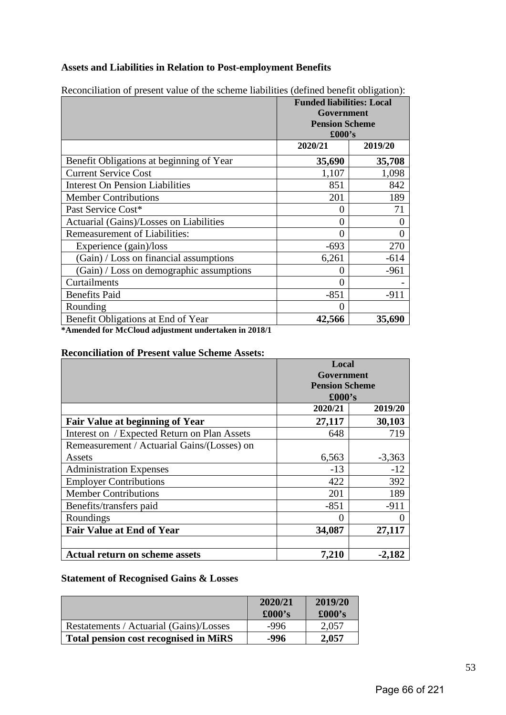## **Assets and Liabilities in Relation to Post-employment Benefits**

|                                          | <b>Funded liabilities: Local</b><br>Government<br><b>Pension Scheme</b><br>£000's |          |  |
|------------------------------------------|-----------------------------------------------------------------------------------|----------|--|
|                                          | 2020/21                                                                           | 2019/20  |  |
| Benefit Obligations at beginning of Year | 35,690                                                                            | 35,708   |  |
| <b>Current Service Cost</b>              | 1,107                                                                             | 1,098    |  |
| <b>Interest On Pension Liabilities</b>   | 851                                                                               | 842      |  |
| <b>Member Contributions</b>              | 201                                                                               | 189      |  |
| Past Service Cost*                       | 0                                                                                 | 71       |  |
| Actuarial (Gains)/Losses on Liabilities  | 0                                                                                 | $\Omega$ |  |
| <b>Remeasurement of Liabilities:</b>     | 0                                                                                 | $\Omega$ |  |
| Experience (gain)/loss                   | $-693$                                                                            | 270      |  |
| (Gain) / Loss on financial assumptions   | 6,261                                                                             | $-614$   |  |
| (Gain) / Loss on demographic assumptions | 0                                                                                 | $-961$   |  |
| Curtailments                             | 0                                                                                 |          |  |
| <b>Benefits Paid</b>                     | $-851$                                                                            | $-911$   |  |
| Rounding                                 | 0                                                                                 |          |  |
| Benefit Obligations at End of Year       | 42,566                                                                            | 35,690   |  |

Reconciliation of present value of the scheme liabilities (defined benefit obligation):

**\*Amended for McCloud adjustment undertaken in 2018/1**

## **Reconciliation of Present value Scheme Assets:**

|                                              | Local                               |          |  |
|----------------------------------------------|-------------------------------------|----------|--|
|                                              | Government<br><b>Pension Scheme</b> |          |  |
|                                              |                                     |          |  |
|                                              | $\pounds000$ 's                     |          |  |
|                                              | 2020/21                             | 2019/20  |  |
| <b>Fair Value at beginning of Year</b>       | 27,117                              | 30,103   |  |
| Interest on / Expected Return on Plan Assets | 648                                 | 719      |  |
| Remeasurement / Actuarial Gains/(Losses) on  |                                     |          |  |
| Assets                                       | 6,563                               | $-3,363$ |  |
| <b>Administration Expenses</b>               | $-13$                               | $-12$    |  |
| <b>Employer Contributions</b>                | 422                                 | 392      |  |
| <b>Member Contributions</b>                  | 201                                 | 189      |  |
| Benefits/transfers paid                      | $-851$                              | $-911$   |  |
| Roundings                                    | 0                                   |          |  |
| <b>Fair Value at End of Year</b>             | 34,087                              | 27,117   |  |
|                                              |                                     |          |  |
| <b>Actual return on scheme assets</b>        | 7,210                               | $-2,182$ |  |

## **Statement of Recognised Gains & Losses**

|                                              | 2020/21<br>$\pounds000$ 's | 2019/20<br>$\pounds000$ 's |
|----------------------------------------------|----------------------------|----------------------------|
| Restatements / Actuarial (Gains)/Losses      | -996                       | 2,057                      |
| <b>Total pension cost recognised in MiRS</b> | -996                       | 2,057                      |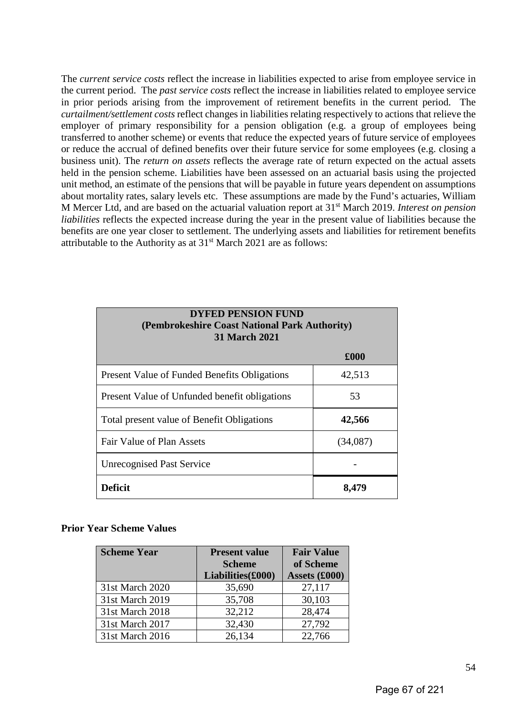The *current service costs* reflect the increase in liabilities expected to arise from employee service in the current period. The *past service costs* reflect the increase in liabilities related to employee service in prior periods arising from the improvement of retirement benefits in the current period. The *curtailment/settlement costs* reflect changes in liabilities relating respectively to actions that relieve the employer of primary responsibility for a pension obligation (e.g. a group of employees being transferred to another scheme) or events that reduce the expected years of future service of employees or reduce the accrual of defined benefits over their future service for some employees (e.g. closing a business unit). The *return on assets* reflects the average rate of return expected on the actual assets held in the pension scheme. Liabilities have been assessed on an actuarial basis using the projected unit method, an estimate of the pensions that will be payable in future years dependent on assumptions about mortality rates, salary levels etc. These assumptions are made by the Fund's actuaries, William M Mercer Ltd, and are based on the actuarial valuation report at 31st March 2019. *Interest on pension liabilities* reflects the expected increase during the year in the present value of liabilities because the benefits are one year closer to settlement. The underlying assets and liabilities for retirement benefits attributable to the Authority as at 31<sup>st</sup> March 2021 are as follows:

| <b>DYFED PENSION FUND</b><br>(Pembrokeshire Coast National Park Authority)<br><b>31 March 2021</b> |          |  |  |  |
|----------------------------------------------------------------------------------------------------|----------|--|--|--|
|                                                                                                    | £000     |  |  |  |
| <b>Present Value of Funded Benefits Obligations</b>                                                | 42,513   |  |  |  |
| Present Value of Unfunded benefit obligations                                                      | 53       |  |  |  |
| Total present value of Benefit Obligations                                                         | 42,566   |  |  |  |
| Fair Value of Plan Assets                                                                          | (34,087) |  |  |  |
| <b>Unrecognised Past Service</b>                                                                   |          |  |  |  |
| <b>Deficit</b>                                                                                     | 8,479    |  |  |  |

## **Prior Year Scheme Values**

| <b>Scheme Year</b> | <b>Present value</b> | <b>Fair Value</b> |
|--------------------|----------------------|-------------------|
|                    | <b>Scheme</b>        | of Scheme         |
|                    | Liabilities(£000)    | Assets (£000)     |
| 31st March 2020    | 35,690               | 27,117            |
| 31st March 2019    | 35,708               | 30,103            |
| 31st March 2018    | 32,212               | 28,474            |
| 31st March 2017    | 32,430               | 27,792            |
| 31st March 2016    | 26,134               | 22,766            |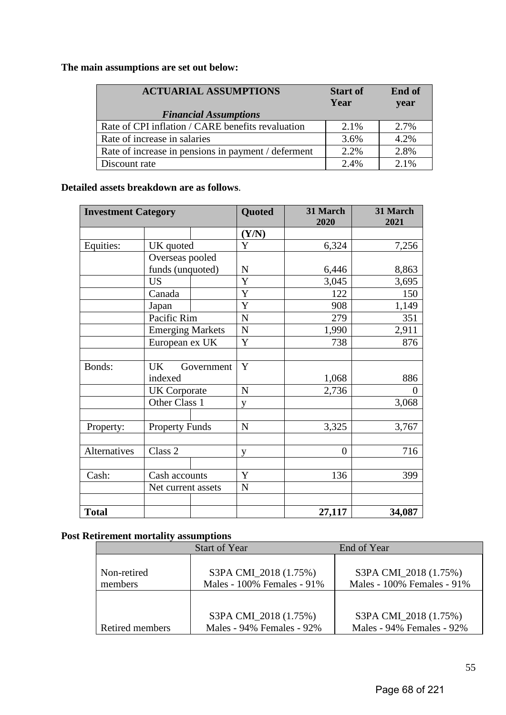# **The main assumptions are set out below:**

| <b>ACTUARIAL ASSUMPTIONS</b>                        | <b>Start of</b> | End of |
|-----------------------------------------------------|-----------------|--------|
|                                                     | Year            | year   |
| <b>Financial Assumptions</b>                        |                 |        |
| Rate of CPI inflation / CARE benefits revaluation   | 2.1%            | 2.7%   |
| Rate of increase in salaries                        | 3.6%            | 4.2%   |
| Rate of increase in pensions in payment / deferment | 2.2%            | 2.8%   |
| Discount rate                                       | 2.4%            | 2.1%   |

## **Detailed assets breakdown are as follows**.

| <b>Investment Category</b> |                         | Quoted      | 31 March<br>2020 | 31 March<br>2021 |
|----------------------------|-------------------------|-------------|------------------|------------------|
|                            |                         | (Y/N)       |                  |                  |
| Equities:                  | UK quoted               | Y           | 6,324            | 7,256            |
|                            | Overseas pooled         |             |                  |                  |
|                            | funds (unquoted)        | N           | 6,446            | 8,863            |
|                            | <b>US</b>               | Y           | 3,045            | 3,695            |
|                            | Canada                  | Y           | 122              | 150              |
|                            | Japan                   | Y           | 908              | 1,149            |
|                            | Pacific Rim             | $\mathbf N$ | 279              | 351              |
|                            | <b>Emerging Markets</b> | ${\bf N}$   | 1,990            | 2,911            |
|                            | European ex UK          | Y           | 738              | 876              |
|                            |                         |             |                  |                  |
| Bonds:                     | <b>UK</b><br>Government | Y           |                  |                  |
|                            | indexed                 |             | 1,068            | 886              |
|                            | <b>UK</b> Corporate     | ${\bf N}$   | 2,736            | 0                |
|                            | Other Class 1           | V           |                  | 3,068            |
|                            |                         |             |                  |                  |
| Property:                  | <b>Property Funds</b>   | ${\bf N}$   | 3,325            | 3,767            |
|                            |                         |             |                  |                  |
| <b>Alternatives</b>        | Class 2                 | V           | $\overline{0}$   | 716              |
|                            |                         |             |                  |                  |
| Cash:                      | Cash accounts           | Y           | 136              | 399              |
|                            | Net current assets      | ${\bf N}$   |                  |                  |
|                            |                         |             |                  |                  |
| <b>Total</b>               |                         |             | 27,117           | 34,087           |

# **Post Retirement mortality assumptions**

| Non-retired<br>members | S3PA CMI_2018 (1.75%)<br>Males - 100% Females - 91% | S3PA CMI_2018 (1.75%)<br>Males - 100% Females - 91% |
|------------------------|-----------------------------------------------------|-----------------------------------------------------|
| Retired members        | S3PA CMI_2018 (1.75%)<br>Males - 94% Females - 92%  | S3PA CMI_2018 (1.75%)<br>Males - 94% Females - 92%  |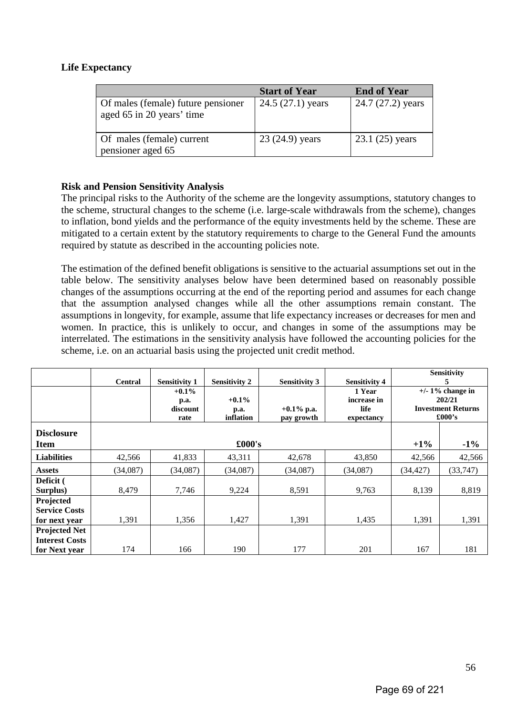## **Life Expectancy**

|                                                                 | <b>Start of Year</b> | <b>End of Year</b> |
|-----------------------------------------------------------------|----------------------|--------------------|
| Of males (female) future pensioner<br>aged 65 in 20 years' time | $24.5(27.1)$ years   | 24.7 (27.2) years  |
| Of males (female) current<br>pensioner aged 65                  | 23 (24.9) years      | $23.1(25)$ years   |

## **Risk and Pension Sensitivity Analysis**

The principal risks to the Authority of the scheme are the longevity assumptions, statutory changes to the scheme, structural changes to the scheme (i.e. large-scale withdrawals from the scheme), changes to inflation, bond yields and the performance of the equity investments held by the scheme. These are mitigated to a certain extent by the statutory requirements to charge to the General Fund the amounts required by statute as described in the accounting policies note.

The estimation of the defined benefit obligations is sensitive to the actuarial assumptions set out in the table below. The sensitivity analyses below have been determined based on reasonably possible changes of the assumptions occurring at the end of the reporting period and assumes for each change that the assumption analysed changes while all the other assumptions remain constant. The assumptions in longevity, for example, assume that life expectancy increases or decreases for men and women. In practice, this is unlikely to occur, and changes in some of the assumptions may be interrelated. The estimations in the sensitivity analysis have followed the accounting policies for the scheme, i.e. on an actuarial basis using the projected unit credit method.

|                                                    | <b>Central</b> | <b>Sensitivity 1</b>                 | <b>Sensitivity 2</b>          | <b>Sensitivity 3</b>        | <b>Sensitivity 4</b>                        |           | Sensitivity<br>5                                                     |
|----------------------------------------------------|----------------|--------------------------------------|-------------------------------|-----------------------------|---------------------------------------------|-----------|----------------------------------------------------------------------|
|                                                    |                | $+0.1\%$<br>p.a.<br>discount<br>rate | $+0.1\%$<br>p.a.<br>inflation | $+0.1\%$ p.a.<br>pay growth | 1 Year<br>increase in<br>life<br>expectancy |           | $+/- 1\%$ change in<br>202/21<br><b>Investment Returns</b><br>£000's |
| <b>Disclosure</b><br><b>Item</b>                   |                |                                      | £000's                        |                             |                                             | $+1\%$    | $-1\%$                                                               |
| <b>Liabilities</b>                                 | 42,566         | 41,833                               | 43,311                        | 42,678                      | 43,850                                      | 42,566    | 42,566                                                               |
| <b>Assets</b>                                      | (34,087)       | (34,087)                             | (34,087)                      | (34,087)                    | (34,087)                                    | (34, 427) | (33,747)                                                             |
| Deficit (<br>Surplus)                              | 8,479          | 7,746                                | 9,224                         | 8,591                       | 9,763                                       | 8,139     | 8,819                                                                |
| Projected<br><b>Service Costs</b><br>for next year | 1,391          | 1,356                                | 1,427                         | 1,391                       | 1,435                                       | 1,391     | 1,391                                                                |
| <b>Projected Net</b><br><b>Interest Costs</b>      |                |                                      |                               |                             |                                             |           |                                                                      |
| for Next year                                      | 174            | 166                                  | 190                           | 177                         | 201                                         | 167       | 181                                                                  |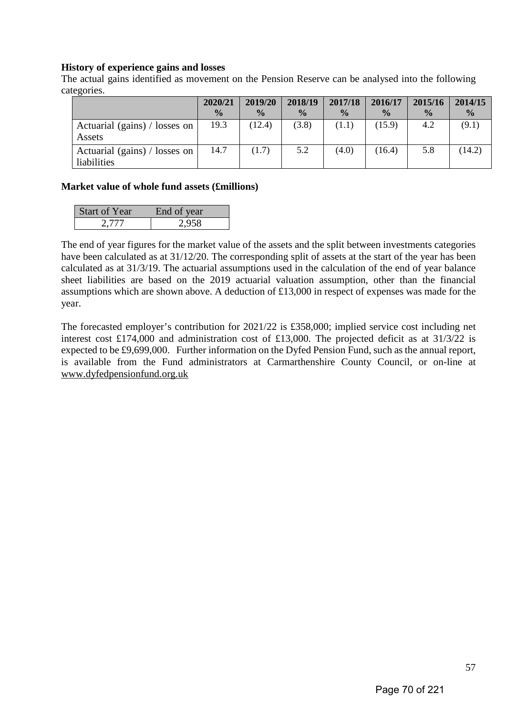## **History of experience gains and losses**

The actual gains identified as movement on the Pension Reserve can be analysed into the following categories.

|                                              | 2020/21       | 2019/20       | 2018/19       | 2017/18       | 2016/17       | 2015/16       | 2014/15       |
|----------------------------------------------|---------------|---------------|---------------|---------------|---------------|---------------|---------------|
|                                              | $\frac{0}{0}$ | $\frac{0}{0}$ | $\frac{0}{0}$ | $\frac{0}{0}$ | $\frac{0}{0}$ | $\frac{6}{9}$ | $\frac{0}{0}$ |
| Actuarial (gains) / losses on<br>Assets      | 19.3          | (12.4)        | (3.8)         | (1.1)         | (15.9)        | 4.2           | (9.1)         |
| Actuarial (gains) / losses on<br>liabilities | 14.7          | (1.7)         | 5.2           | (4.0)         | (16.4)        | 5.8           | (14.2)        |

## **Market value of whole fund assets (£millions)**

| <b>Start of Year</b> | End of year |
|----------------------|-------------|
| 2.777                | 2,958       |

The end of year figures for the market value of the assets and the split between investments categories have been calculated as at 31/12/20. The corresponding split of assets at the start of the year has been calculated as at 31/3/19. The actuarial assumptions used in the calculation of the end of year balance sheet liabilities are based on the 2019 actuarial valuation assumption, other than the financial assumptions which are shown above. A deduction of £13,000 in respect of expenses was made for the year.

The forecasted employer's contribution for 2021/22 is £358,000; implied service cost including net interest cost £174,000 and administration cost of £13,000. The projected deficit as at 31/3/22 is expected to be £9,699,000. Further information on the Dyfed Pension Fund, such as the annual report, is available from the Fund administrators at Carmarthenshire County Council, or on-line at [www.dyfedpensionfund.org.uk](http://www.dyfedpensionfund.org.uk/)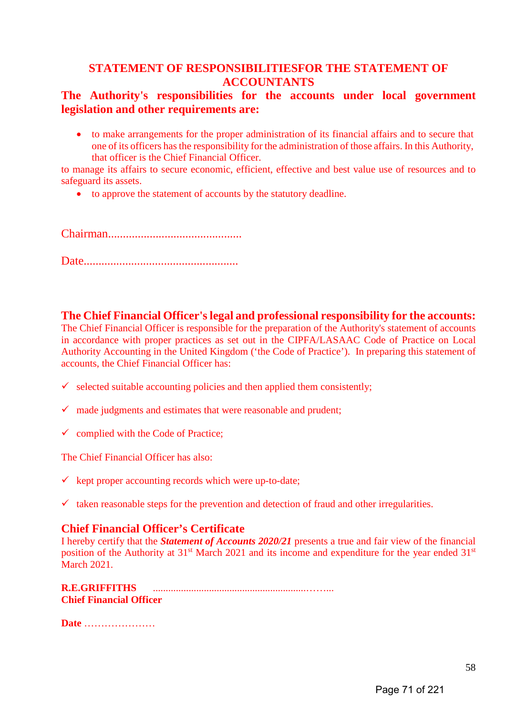# **STATEMENT OF RESPONSIBILITIESFOR THE STATEMENT OF ACCOUNTANTS**

# **The Authority's responsibilities for the accounts under local government legislation and other requirements are:**

• to make arrangements for the proper administration of its financial affairs and to secure that one of its officers has the responsibility for the administration of those affairs. In this Authority, that officer is the Chief Financial Officer.

to manage its affairs to secure economic, efficient, effective and best value use of resources and to safeguard its assets.

• to approve the statement of accounts by the statutory deadline.

Chairman.............................................

Date....................................................

## **The Chief Financial Officer's legal and professional responsibility for the accounts:**

The Chief Financial Officer is responsible for the preparation of the Authority's statement of accounts in accordance with proper practices as set out in the CIPFA/LASAAC Code of Practice on Local Authority Accounting in the United Kingdom ('the Code of Practice'). In preparing this statement of accounts, the Chief Financial Officer has:

- $\checkmark$  selected suitable accounting policies and then applied them consistently;
- $\checkmark$  made judgments and estimates that were reasonable and prudent;
- $\checkmark$  complied with the Code of Practice;

The Chief Financial Officer has also:

- $\checkmark$  kept proper accounting records which were up-to-date;
- $\checkmark$  taken reasonable steps for the prevention and detection of fraud and other irregularities.

# **Chief Financial Officer's Certificate**

I hereby certify that the *Statement of Accounts 2020/21* presents a true and fair view of the financial position of the Authority at 31<sup>st</sup> March 2021 and its income and expenditure for the year ended 31<sup>st</sup> March 2021.

**R.E.GRIFFITHS** ............................................................……... **Chief Financial Officer**

**Date** …………………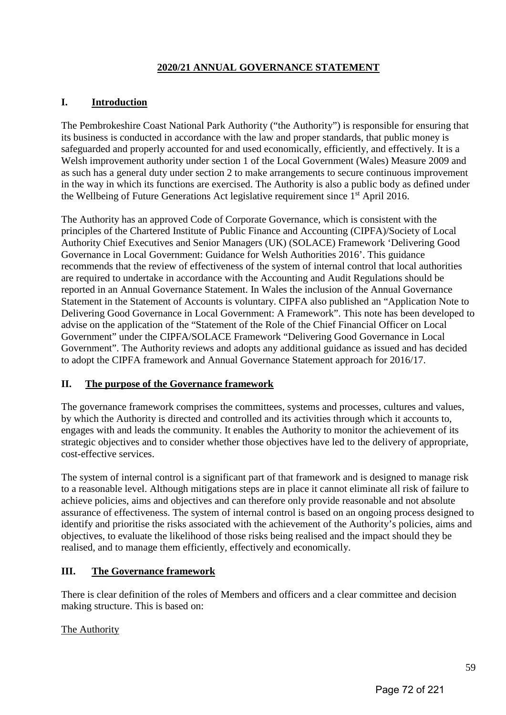# **2020/21 ANNUAL GOVERNANCE STATEMENT**

# **I. Introduction**

The Pembrokeshire Coast National Park Authority ("the Authority") is responsible for ensuring that its business is conducted in accordance with the law and proper standards, that public money is safeguarded and properly accounted for and used economically, efficiently, and effectively. It is a Welsh improvement authority under section 1 of the Local Government (Wales) Measure 2009 and as such has a general duty under section 2 to make arrangements to secure continuous improvement in the way in which its functions are exercised. The Authority is also a public body as defined under the Wellbeing of Future Generations Act legislative requirement since 1st April 2016.

The Authority has an approved Code of Corporate Governance, which is consistent with the principles of the Chartered Institute of Public Finance and Accounting (CIPFA)/Society of Local Authority Chief Executives and Senior Managers (UK) (SOLACE) Framework 'Delivering Good Governance in Local Government: Guidance for Welsh Authorities 2016'. This guidance recommends that the review of effectiveness of the system of internal control that local authorities are required to undertake in accordance with the Accounting and Audit Regulations should be reported in an Annual Governance Statement. In Wales the inclusion of the Annual Governance Statement in the Statement of Accounts is voluntary. CIPFA also published an "Application Note to Delivering Good Governance in Local Government: A Framework". This note has been developed to advise on the application of the "Statement of the Role of the Chief Financial Officer on Local Government" under the CIPFA/SOLACE Framework "Delivering Good Governance in Local Government". The Authority reviews and adopts any additional guidance as issued and has decided to adopt the CIPFA framework and Annual Governance Statement approach for 2016/17.

# **II. The purpose of the Governance framework**

The governance framework comprises the committees, systems and processes, cultures and values, by which the Authority is directed and controlled and its activities through which it accounts to, engages with and leads the community. It enables the Authority to monitor the achievement of its strategic objectives and to consider whether those objectives have led to the delivery of appropriate, cost-effective services.

The system of internal control is a significant part of that framework and is designed to manage risk to a reasonable level. Although mitigations steps are in place it cannot eliminate all risk of failure to achieve policies, aims and objectives and can therefore only provide reasonable and not absolute assurance of effectiveness. The system of internal control is based on an ongoing process designed to identify and prioritise the risks associated with the achievement of the Authority's policies, aims and objectives, to evaluate the likelihood of those risks being realised and the impact should they be realised, and to manage them efficiently, effectively and economically.

# **III. The Governance framework**

There is clear definition of the roles of Members and officers and a clear committee and decision making structure. This is based on:

# The Authority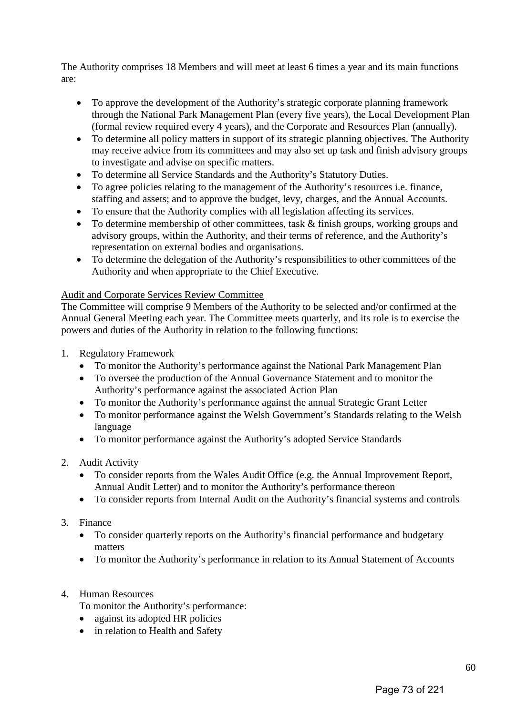The Authority comprises 18 Members and will meet at least 6 times a year and its main functions are:

- To approve the development of the Authority's strategic corporate planning framework through the National Park Management Plan (every five years), the Local Development Plan (formal review required every 4 years), and the Corporate and Resources Plan (annually).
- To determine all policy matters in support of its strategic planning objectives. The Authority may receive advice from its committees and may also set up task and finish advisory groups to investigate and advise on specific matters.
- To determine all Service Standards and the Authority's Statutory Duties.
- To agree policies relating to the management of the Authority's resources i.e. finance, staffing and assets; and to approve the budget, levy, charges, and the Annual Accounts.
- To ensure that the Authority complies with all legislation affecting its services.
- To determine membership of other committees, task & finish groups, working groups and advisory groups, within the Authority, and their terms of reference, and the Authority's representation on external bodies and organisations.
- To determine the delegation of the Authority's responsibilities to other committees of the Authority and when appropriate to the Chief Executive.

## Audit and Corporate Services Review Committee

The Committee will comprise 9 Members of the Authority to be selected and/or confirmed at the Annual General Meeting each year. The Committee meets quarterly, and its role is to exercise the powers and duties of the Authority in relation to the following functions:

- 1. Regulatory Framework
	- To monitor the Authority's performance against the National Park Management Plan
	- To oversee the production of the Annual Governance Statement and to monitor the Authority's performance against the associated Action Plan
	- To monitor the Authority's performance against the annual Strategic Grant Letter
	- To monitor performance against the Welsh Government's Standards relating to the Welsh language
	- To monitor performance against the Authority's adopted Service Standards

# 2. Audit Activity

- To consider reports from the Wales Audit Office (e.g. the Annual Improvement Report, Annual Audit Letter) and to monitor the Authority's performance thereon
- To consider reports from Internal Audit on the Authority's financial systems and controls

## 3. Finance

- To consider quarterly reports on the Authority's financial performance and budgetary matters
- To monitor the Authority's performance in relation to its Annual Statement of Accounts
- 4. Human Resources
	- To monitor the Authority's performance:
	- against its adopted HR policies
	- in relation to Health and Safety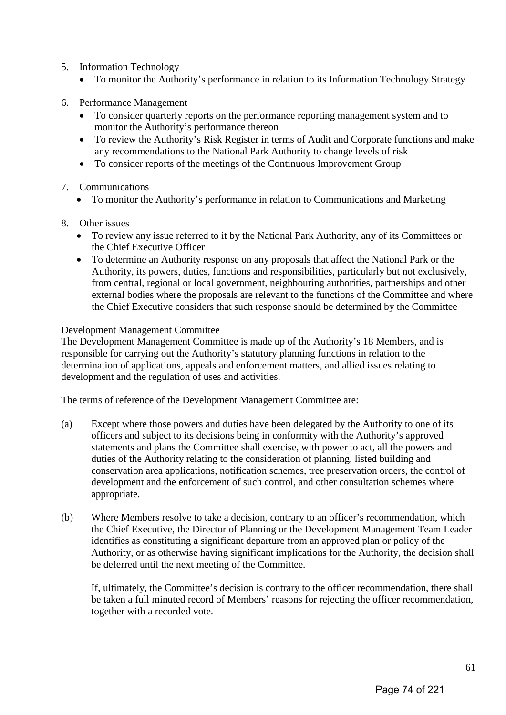- 5. Information Technology
	- To monitor the Authority's performance in relation to its Information Technology Strategy
- 6. Performance Management
	- To consider quarterly reports on the performance reporting management system and to monitor the Authority's performance thereon
	- To review the Authority's Risk Register in terms of Audit and Corporate functions and make any recommendations to the National Park Authority to change levels of risk
	- To consider reports of the meetings of the Continuous Improvement Group
- 7. Communications
	- To monitor the Authority's performance in relation to Communications and Marketing
- 8. Other issues
	- To review any issue referred to it by the National Park Authority, any of its Committees or the Chief Executive Officer
	- To determine an Authority response on any proposals that affect the National Park or the Authority, its powers, duties, functions and responsibilities, particularly but not exclusively, from central, regional or local government, neighbouring authorities, partnerships and other external bodies where the proposals are relevant to the functions of the Committee and where the Chief Executive considers that such response should be determined by the Committee

## Development Management Committee

The Development Management Committee is made up of the Authority's 18 Members, and is responsible for carrying out the Authority's statutory planning functions in relation to the determination of applications, appeals and enforcement matters, and allied issues relating to development and the regulation of uses and activities.

The terms of reference of the Development Management Committee are:

- (a) Except where those powers and duties have been delegated by the Authority to one of its officers and subject to its decisions being in conformity with the Authority's approved statements and plans the Committee shall exercise, with power to act, all the powers and duties of the Authority relating to the consideration of planning, listed building and conservation area applications, notification schemes, tree preservation orders, the control of development and the enforcement of such control, and other consultation schemes where appropriate.
- (b) Where Members resolve to take a decision, contrary to an officer's recommendation, which the Chief Executive, the Director of Planning or the Development Management Team Leader identifies as constituting a significant departure from an approved plan or policy of the Authority, or as otherwise having significant implications for the Authority, the decision shall be deferred until the next meeting of the Committee.

If, ultimately, the Committee's decision is contrary to the officer recommendation, there shall be taken a full minuted record of Members' reasons for rejecting the officer recommendation, together with a recorded vote.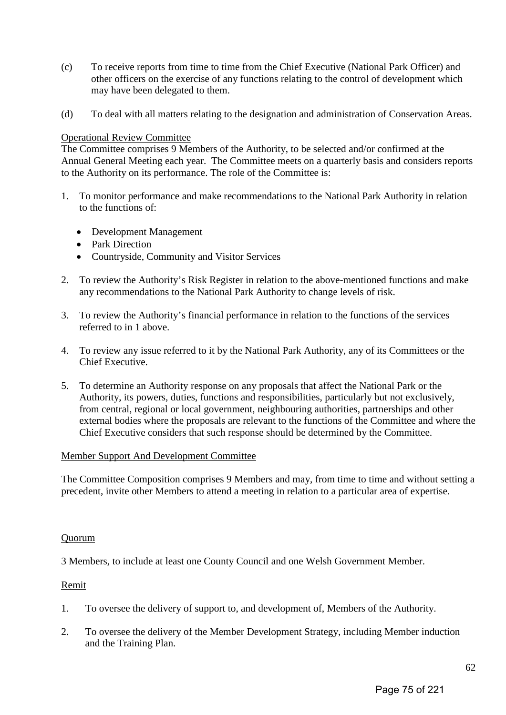- (c) To receive reports from time to time from the Chief Executive (National Park Officer) and other officers on the exercise of any functions relating to the control of development which may have been delegated to them.
- (d) To deal with all matters relating to the designation and administration of Conservation Areas.

## Operational Review Committee

The Committee comprises 9 Members of the Authority, to be selected and/or confirmed at the Annual General Meeting each year. The Committee meets on a quarterly basis and considers reports to the Authority on its performance. The role of the Committee is:

- 1. To monitor performance and make recommendations to the National Park Authority in relation to the functions of:
	- Development Management
	- Park Direction
	- Countryside, Community and Visitor Services
- 2. To review the Authority's Risk Register in relation to the above-mentioned functions and make any recommendations to the National Park Authority to change levels of risk.
- 3. To review the Authority's financial performance in relation to the functions of the services referred to in 1 above.
- 4. To review any issue referred to it by the National Park Authority, any of its Committees or the Chief Executive.
- 5. To determine an Authority response on any proposals that affect the National Park or the Authority, its powers, duties, functions and responsibilities, particularly but not exclusively, from central, regional or local government, neighbouring authorities, partnerships and other external bodies where the proposals are relevant to the functions of the Committee and where the Chief Executive considers that such response should be determined by the Committee.

## Member Support And Development Committee

The Committee Composition comprises 9 Members and may, from time to time and without setting a precedent, invite other Members to attend a meeting in relation to a particular area of expertise.

#### Quorum

3 Members, to include at least one County Council and one Welsh Government Member.

## Remit

- 1. To oversee the delivery of support to, and development of, Members of the Authority.
- 2. To oversee the delivery of the Member Development Strategy, including Member induction and the Training Plan.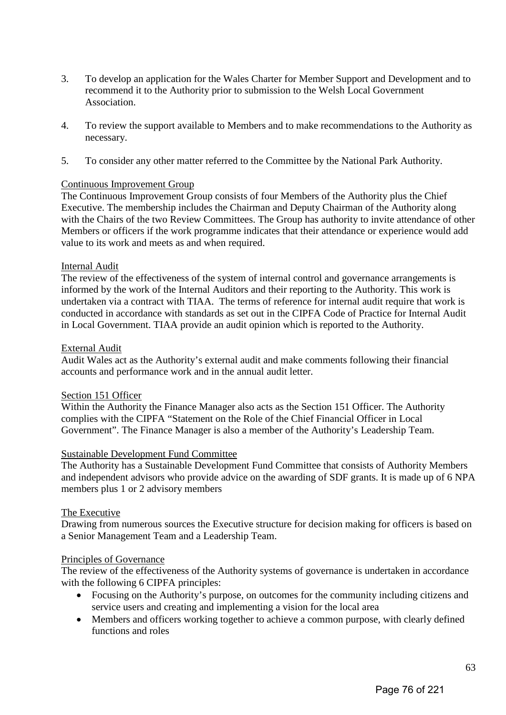- 3. To develop an application for the Wales Charter for Member Support and Development and to recommend it to the Authority prior to submission to the Welsh Local Government Association.
- 4. To review the support available to Members and to make recommendations to the Authority as necessary.
- 5. To consider any other matter referred to the Committee by the National Park Authority.

## Continuous Improvement Group

The Continuous Improvement Group consists of four Members of the Authority plus the Chief Executive. The membership includes the Chairman and Deputy Chairman of the Authority along with the Chairs of the two Review Committees. The Group has authority to invite attendance of other Members or officers if the work programme indicates that their attendance or experience would add value to its work and meets as and when required.

## Internal Audit

The review of the effectiveness of the system of internal control and governance arrangements is informed by the work of the Internal Auditors and their reporting to the Authority. This work is undertaken via a contract with TIAA. The terms of reference for internal audit require that work is conducted in accordance with standards as set out in the CIPFA Code of Practice for Internal Audit in Local Government. TIAA provide an audit opinion which is reported to the Authority.

## External Audit

Audit Wales act as the Authority's external audit and make comments following their financial accounts and performance work and in the annual audit letter.

## Section 151 Officer

Within the Authority the Finance Manager also acts as the Section 151 Officer. The Authority complies with the CIPFA "Statement on the Role of the Chief Financial Officer in Local Government". The Finance Manager is also a member of the Authority's Leadership Team.

## Sustainable Development Fund Committee

The Authority has a Sustainable Development Fund Committee that consists of Authority Members and independent advisors who provide advice on the awarding of SDF grants. It is made up of 6 NPA members plus 1 or 2 advisory members

## The Executive

Drawing from numerous sources the Executive structure for decision making for officers is based on a Senior Management Team and a Leadership Team.

## Principles of Governance

The review of the effectiveness of the Authority systems of governance is undertaken in accordance with the following 6 CIPFA principles:

- Focusing on the Authority's purpose, on outcomes for the community including citizens and service users and creating and implementing a vision for the local area
- Members and officers working together to achieve a common purpose, with clearly defined functions and roles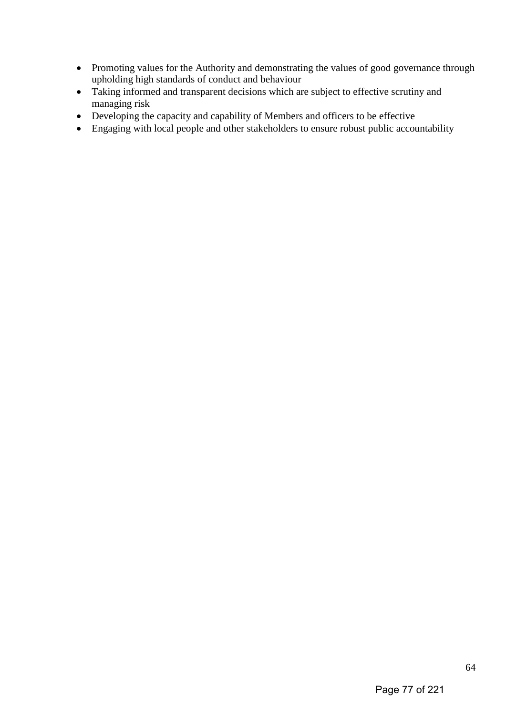- Promoting values for the Authority and demonstrating the values of good governance through upholding high standards of conduct and behaviour
- Taking informed and transparent decisions which are subject to effective scrutiny and managing risk
- Developing the capacity and capability of Members and officers to be effective
- Engaging with local people and other stakeholders to ensure robust public accountability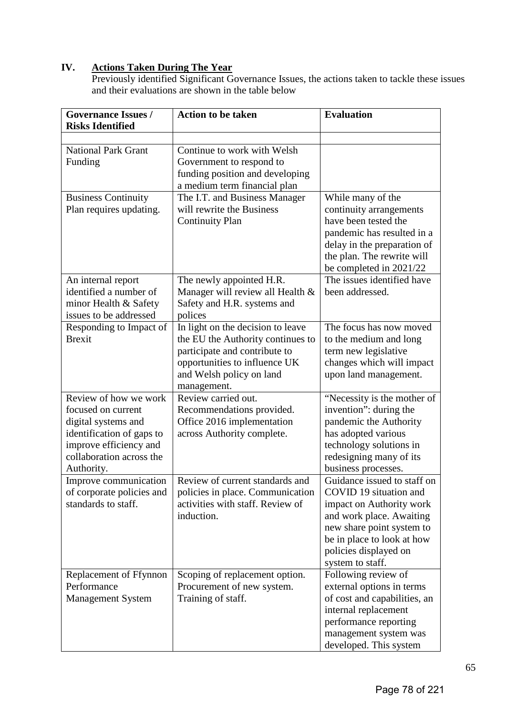## **IV. Actions Taken During The Year**

Previously identified Significant Governance Issues, the actions taken to tackle these issues and their evaluations are shown in the table below

| <b>Governance Issues /</b><br><b>Risks Identified</b>                                                                                                                                                                                            | <b>Action to be taken</b>                                                                                                                                                                                                             | <b>Evaluation</b>                                                                                                                                                                                                                                                                                                                                                                        |
|--------------------------------------------------------------------------------------------------------------------------------------------------------------------------------------------------------------------------------------------------|---------------------------------------------------------------------------------------------------------------------------------------------------------------------------------------------------------------------------------------|------------------------------------------------------------------------------------------------------------------------------------------------------------------------------------------------------------------------------------------------------------------------------------------------------------------------------------------------------------------------------------------|
|                                                                                                                                                                                                                                                  |                                                                                                                                                                                                                                       |                                                                                                                                                                                                                                                                                                                                                                                          |
| <b>National Park Grant</b><br>Funding                                                                                                                                                                                                            | Continue to work with Welsh<br>Government to respond to<br>funding position and developing<br>a medium term financial plan                                                                                                            |                                                                                                                                                                                                                                                                                                                                                                                          |
| <b>Business Continuity</b><br>Plan requires updating.                                                                                                                                                                                            | The I.T. and Business Manager<br>will rewrite the Business<br><b>Continuity Plan</b>                                                                                                                                                  | While many of the<br>continuity arrangements<br>have been tested the<br>pandemic has resulted in a<br>delay in the preparation of<br>the plan. The rewrite will<br>be completed in 2021/22                                                                                                                                                                                               |
| An internal report<br>identified a number of<br>minor Health & Safety<br>issues to be addressed                                                                                                                                                  | The newly appointed H.R.<br>Manager will review all Health &<br>Safety and H.R. systems and<br>polices                                                                                                                                | The issues identified have<br>been addressed.                                                                                                                                                                                                                                                                                                                                            |
| Responding to Impact of<br><b>Brexit</b>                                                                                                                                                                                                         | In light on the decision to leave<br>the EU the Authority continues to<br>participate and contribute to<br>opportunities to influence UK<br>and Welsh policy on land<br>management.                                                   | The focus has now moved<br>to the medium and long<br>term new legislative<br>changes which will impact<br>upon land management.                                                                                                                                                                                                                                                          |
| Review of how we work<br>focused on current<br>digital systems and<br>identification of gaps to<br>improve efficiency and<br>collaboration across the<br>Authority.<br>Improve communication<br>of corporate policies and<br>standards to staff. | Review carried out.<br>Recommendations provided.<br>Office 2016 implementation<br>across Authority complete.<br>Review of current standards and<br>policies in place. Communication<br>activities with staff. Review of<br>induction. | "Necessity is the mother of<br>invention": during the<br>pandemic the Authority<br>has adopted various<br>technology solutions in<br>redesigning many of its<br>business processes.<br>Guidance issued to staff on<br>COVID 19 situation and<br>impact on Authority work<br>and work place. Awaiting<br>new share point system to<br>be in place to look at how<br>policies displayed on |
| Replacement of Ffynnon<br>Performance<br><b>Management System</b>                                                                                                                                                                                | Scoping of replacement option.<br>Procurement of new system.<br>Training of staff.                                                                                                                                                    | system to staff.<br>Following review of<br>external options in terms<br>of cost and capabilities, an<br>internal replacement<br>performance reporting<br>management system was<br>developed. This system                                                                                                                                                                                 |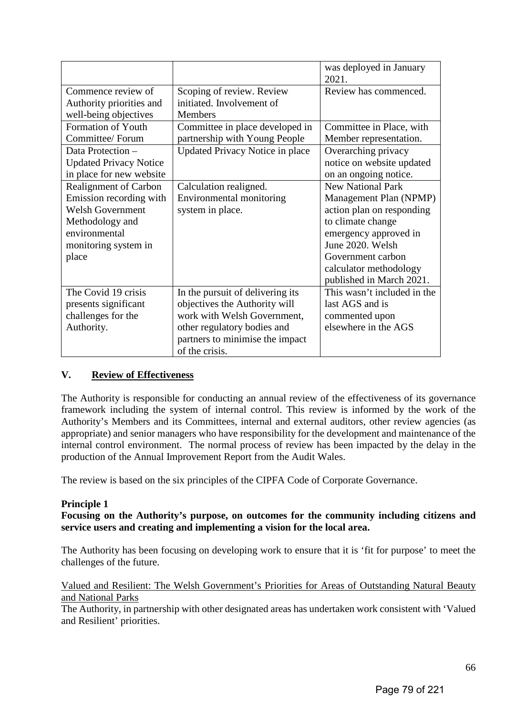|                                                                                                                                                         |                                                                                                                                                                                      | was deployed in January<br>2021.                                                                                                                                                                                             |
|---------------------------------------------------------------------------------------------------------------------------------------------------------|--------------------------------------------------------------------------------------------------------------------------------------------------------------------------------------|------------------------------------------------------------------------------------------------------------------------------------------------------------------------------------------------------------------------------|
| Commence review of<br>Authority priorities and<br>well-being objectives                                                                                 | Scoping of review. Review<br>initiated. Involvement of<br><b>Members</b>                                                                                                             | Review has commenced.                                                                                                                                                                                                        |
| <b>Formation of Youth</b><br>Committee/ Forum                                                                                                           | Committee in place developed in<br>partnership with Young People                                                                                                                     | Committee in Place, with<br>Member representation.                                                                                                                                                                           |
| Data Protection -<br><b>Updated Privacy Notice</b><br>in place for new website                                                                          | Updated Privacy Notice in place                                                                                                                                                      | Overarching privacy<br>notice on website updated<br>on an ongoing notice.                                                                                                                                                    |
| <b>Realignment of Carbon</b><br>Emission recording with<br><b>Welsh Government</b><br>Methodology and<br>environmental<br>monitoring system in<br>place | Calculation realigned.<br>Environmental monitoring<br>system in place.                                                                                                               | <b>New National Park</b><br>Management Plan (NPMP)<br>action plan on responding<br>to climate change<br>emergency approved in<br>June 2020. Welsh<br>Government carbon<br>calculator methodology<br>published in March 2021. |
| The Covid 19 crisis<br>presents significant<br>challenges for the<br>Authority.                                                                         | In the pursuit of delivering its<br>objectives the Authority will<br>work with Welsh Government,<br>other regulatory bodies and<br>partners to minimise the impact<br>of the crisis. | This wasn't included in the<br>last AGS and is<br>commented upon<br>elsewhere in the AGS                                                                                                                                     |

## **V. Review of Effectiveness**

The Authority is responsible for conducting an annual review of the effectiveness of its governance framework including the system of internal control. This review is informed by the work of the Authority's Members and its Committees, internal and external auditors, other review agencies (as appropriate) and senior managers who have responsibility for the development and maintenance of the internal control environment. The normal process of review has been impacted by the delay in the production of the Annual Improvement Report from the Audit Wales.

The review is based on the six principles of the CIPFA Code of Corporate Governance.

## **Principle 1**

**Focusing on the Authority's purpose, on outcomes for the community including citizens and service users and creating and implementing a vision for the local area.** 

The Authority has been focusing on developing work to ensure that it is 'fit for purpose' to meet the challenges of the future.

## Valued and Resilient: The Welsh Government's Priorities for Areas of Outstanding Natural Beauty and National Parks

The Authority, in partnership with other designated areas has undertaken work consistent with 'Valued and Resilient' priorities.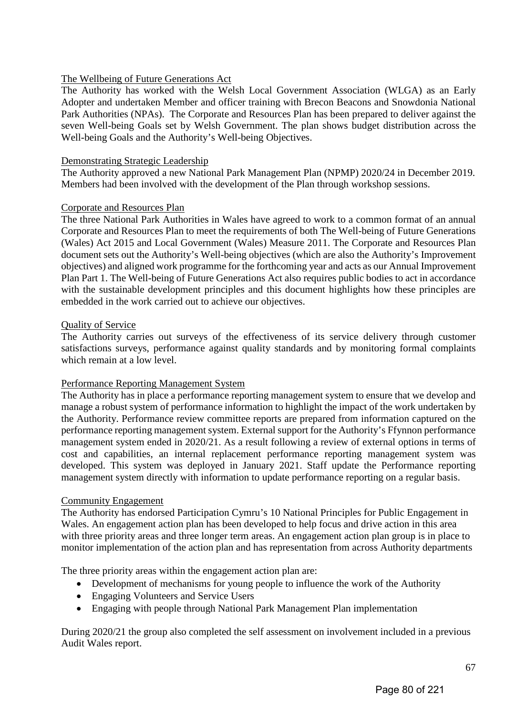## The Wellbeing of Future Generations Act

The Authority has worked with the Welsh Local Government Association (WLGA) as an Early Adopter and undertaken Member and officer training with Brecon Beacons and Snowdonia National Park Authorities (NPAs). The Corporate and Resources Plan has been prepared to deliver against the seven Well-being Goals set by Welsh Government. The plan shows budget distribution across the Well-being Goals and the Authority's Well-being Objectives.

## Demonstrating Strategic Leadership

The Authority approved a new National Park Management Plan (NPMP) 2020/24 in December 2019. Members had been involved with the development of the Plan through workshop sessions.

## Corporate and Resources Plan

The three National Park Authorities in Wales have agreed to work to a common format of an annual Corporate and Resources Plan to meet the requirements of both The Well-being of Future Generations (Wales) Act 2015 and Local Government (Wales) Measure 2011. The Corporate and Resources Plan document sets out the Authority's Well-being objectives (which are also the Authority's Improvement objectives) and aligned work programme for the forthcoming year and acts as our Annual Improvement Plan Part 1. The Well-being of Future Generations Act also requires public bodies to act in accordance with the sustainable development principles and this document highlights how these principles are embedded in the work carried out to achieve our objectives.

## Quality of Service

The Authority carries out surveys of the effectiveness of its service delivery through customer satisfactions surveys, performance against quality standards and by monitoring formal complaints which remain at a low level.

## Performance Reporting Management System

The Authority has in place a performance reporting management system to ensure that we develop and manage a robust system of performance information to highlight the impact of the work undertaken by the Authority. Performance review committee reports are prepared from information captured on the performance reporting management system. External support for the Authority's Ffynnon performance management system ended in 2020/21. As a result following a review of external options in terms of cost and capabilities, an internal replacement performance reporting management system was developed. This system was deployed in January 2021. Staff update the Performance reporting management system directly with information to update performance reporting on a regular basis.

## Community Engagement

The Authority has endorsed Participation Cymru's 10 National Principles for Public Engagement in Wales. An engagement action plan has been developed to help focus and drive action in this area with three priority areas and three longer term areas. An engagement action plan group is in place to monitor implementation of the action plan and has representation from across Authority departments

The three priority areas within the engagement action plan are:

- Development of mechanisms for young people to influence the work of the Authority
- Engaging Volunteers and Service Users
- Engaging with people through National Park Management Plan implementation

During 2020/21 the group also completed the self assessment on involvement included in a previous Audit Wales report.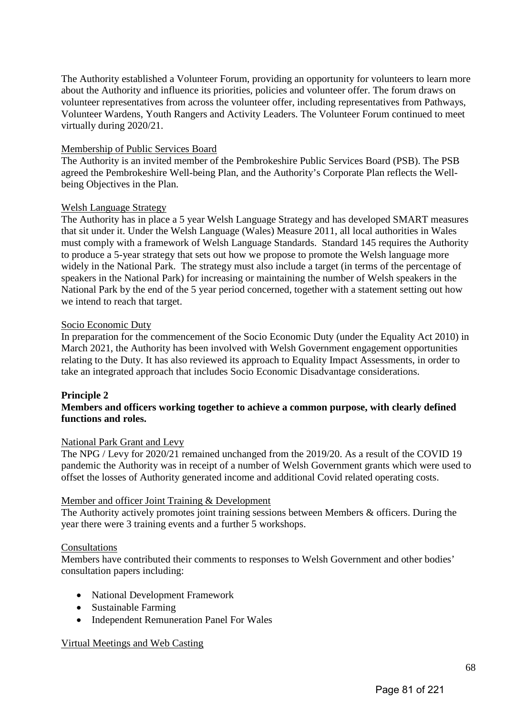The Authority established a Volunteer Forum, providing an opportunity for volunteers to learn more about the Authority and influence its priorities, policies and volunteer offer. The forum draws on volunteer representatives from across the volunteer offer, including representatives from Pathways, Volunteer Wardens, Youth Rangers and Activity Leaders. The Volunteer Forum continued to meet virtually during 2020/21.

## Membership of Public Services Board

The Authority is an invited member of the Pembrokeshire Public Services Board (PSB). The PSB agreed the Pembrokeshire Well-being Plan, and the Authority's Corporate Plan reflects the Wellbeing Objectives in the Plan.

## Welsh Language Strategy

The Authority has in place a 5 year Welsh Language Strategy and has developed SMART measures that sit under it. Under the Welsh Language (Wales) Measure 2011, all local authorities in Wales must comply with a framework of Welsh Language Standards. Standard 145 requires the Authority to produce a 5-year strategy that sets out how we propose to promote the Welsh language more widely in the National Park. The strategy must also include a target (in terms of the percentage of speakers in the National Park) for increasing or maintaining the number of Welsh speakers in the National Park by the end of the 5 year period concerned, together with a statement setting out how we intend to reach that target.

## Socio Economic Duty

In preparation for the commencement of the Socio Economic Duty (under the Equality Act 2010) in March 2021, the Authority has been involved with Welsh Government engagement opportunities relating to the Duty. It has also reviewed its approach to Equality Impact Assessments, in order to take an integrated approach that includes Socio Economic Disadvantage considerations.

## **Principle 2**

## **Members and officers working together to achieve a common purpose, with clearly defined functions and roles.**

## National Park Grant and Levy

The NPG / Levy for 2020/21 remained unchanged from the 2019/20. As a result of the COVID 19 pandemic the Authority was in receipt of a number of Welsh Government grants which were used to offset the losses of Authority generated income and additional Covid related operating costs.

## Member and officer Joint Training & Development

The Authority actively promotes joint training sessions between Members & officers. During the year there were 3 training events and a further 5 workshops.

## Consultations

Members have contributed their comments to responses to Welsh Government and other bodies' consultation papers including:

- National Development Framework
- Sustainable Farming
- Independent Remuneration Panel For Wales

## Virtual Meetings and Web Casting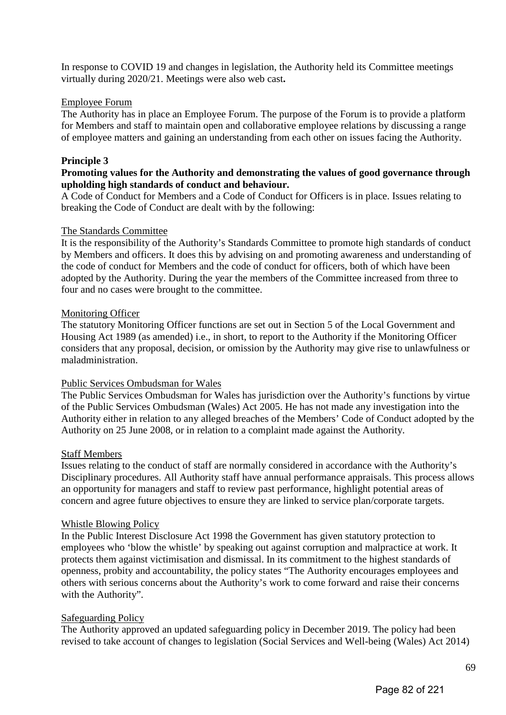In response to COVID 19 and changes in legislation, the Authority held its Committee meetings virtually during 2020/21. Meetings were also web cast**.** 

## Employee Forum

The Authority has in place an Employee Forum. The purpose of the Forum is to provide a platform for Members and staff to maintain open and collaborative employee relations by discussing a range of employee matters and gaining an understanding from each other on issues facing the Authority.

## **Principle 3**

## **Promoting values for the Authority and demonstrating the values of good governance through upholding high standards of conduct and behaviour.**

A Code of Conduct for Members and a Code of Conduct for Officers is in place. Issues relating to breaking the Code of Conduct are dealt with by the following:

## The Standards Committee

It is the responsibility of the Authority's Standards Committee to promote high standards of conduct by Members and officers. It does this by advising on and promoting awareness and understanding of the code of conduct for Members and the code of conduct for officers, both of which have been adopted by the Authority. During the year the members of the Committee increased from three to four and no cases were brought to the committee.

## Monitoring Officer

The statutory Monitoring Officer functions are set out in Section 5 of the Local Government and Housing Act 1989 (as amended) i.e., in short, to report to the Authority if the Monitoring Officer considers that any proposal, decision, or omission by the Authority may give rise to unlawfulness or maladministration.

## Public Services Ombudsman for Wales

The Public Services Ombudsman for Wales has jurisdiction over the Authority's functions by virtue of the Public Services Ombudsman (Wales) Act 2005. He has not made any investigation into the Authority either in relation to any alleged breaches of the Members' Code of Conduct adopted by the Authority on 25 June 2008, or in relation to a complaint made against the Authority.

## Staff Members

Issues relating to the conduct of staff are normally considered in accordance with the Authority's Disciplinary procedures. All Authority staff have annual performance appraisals. This process allows an opportunity for managers and staff to review past performance, highlight potential areas of concern and agree future objectives to ensure they are linked to service plan/corporate targets.

## Whistle Blowing Policy

In the Public Interest Disclosure Act 1998 the Government has given statutory protection to employees who 'blow the whistle' by speaking out against corruption and malpractice at work. It protects them against victimisation and dismissal. In its commitment to the highest standards of openness, probity and accountability, the policy states "The Authority encourages employees and others with serious concerns about the Authority's work to come forward and raise their concerns with the Authority".

## Safeguarding Policy

The Authority approved an updated safeguarding policy in December 2019. The policy had been revised to take account of changes to legislation (Social Services and Well-being (Wales) Act 2014)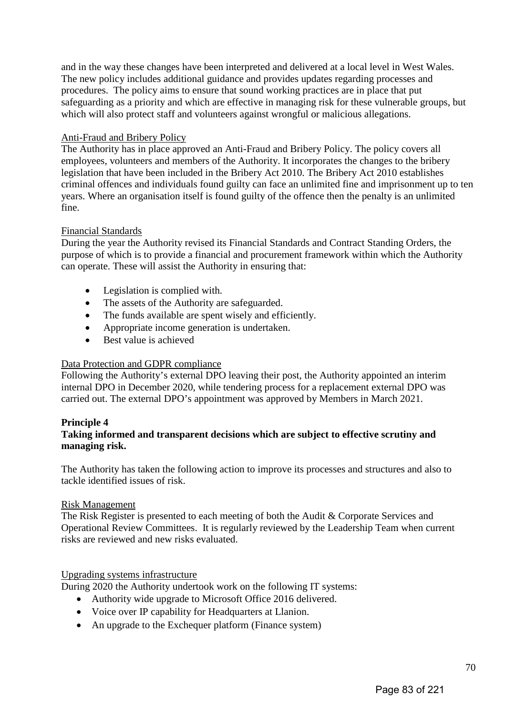and in the way these changes have been interpreted and delivered at a local level in West Wales. The new policy includes additional guidance and provides updates regarding processes and procedures. The policy aims to ensure that sound working practices are in place that put safeguarding as a priority and which are effective in managing risk for these vulnerable groups, but which will also protect staff and volunteers against wrongful or malicious allegations.

## Anti-Fraud and Bribery Policy

The Authority has in place approved an Anti-Fraud and Bribery Policy. The policy covers all employees, volunteers and members of the Authority. It incorporates the changes to the bribery legislation that have been included in the Bribery Act 2010. The Bribery Act 2010 establishes criminal offences and individuals found guilty can face an unlimited fine and imprisonment up to ten years. Where an organisation itself is found guilty of the offence then the penalty is an unlimited fine.

## Financial Standards

During the year the Authority revised its Financial Standards and Contract Standing Orders, the purpose of which is to provide a financial and procurement framework within which the Authority can operate. These will assist the Authority in ensuring that:

- Legislation is complied with.
- The assets of the Authority are safeguarded.
- The funds available are spent wisely and efficiently.
- Appropriate income generation is undertaken.
- Best value is achieved

## Data Protection and GDPR compliance

Following the Authority's external DPO leaving their post, the Authority appointed an interim internal DPO in December 2020, while tendering process for a replacement external DPO was carried out. The external DPO's appointment was approved by Members in March 2021.

## **Principle 4**

## **Taking informed and transparent decisions which are subject to effective scrutiny and managing risk.**

The Authority has taken the following action to improve its processes and structures and also to tackle identified issues of risk.

## Risk Management

The Risk Register is presented to each meeting of both the Audit & Corporate Services and Operational Review Committees. It is regularly reviewed by the Leadership Team when current risks are reviewed and new risks evaluated.

## Upgrading systems infrastructure

During 2020 the Authority undertook work on the following IT systems:

- Authority wide upgrade to Microsoft Office 2016 delivered.
- Voice over IP capability for Headquarters at Llanion.
- An upgrade to the Exchequer platform (Finance system)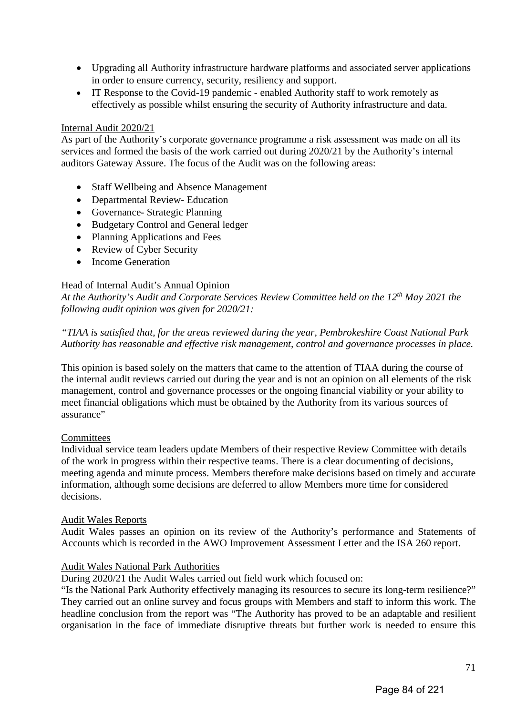- Upgrading all Authority infrastructure hardware platforms and associated server applications in order to ensure currency, security, resiliency and support.
- IT Response to the Covid-19 pandemic enabled Authority staff to work remotely as effectively as possible whilst ensuring the security of Authority infrastructure and data.

## Internal Audit 2020/21

As part of the Authority's corporate governance programme a risk assessment was made on all its services and formed the basis of the work carried out during 2020/21 by the Authority's internal auditors Gateway Assure. The focus of the Audit was on the following areas:

- Staff Wellbeing and Absence Management
- Departmental Review- Education
- Governance- Strategic Planning
- Budgetary Control and General ledger
- Planning Applications and Fees
- Review of Cyber Security
- Income Generation

## Head of Internal Audit's Annual Opinion

*At the Authority's Audit and Corporate Services Review Committee held on the 12th May 2021 the following audit opinion was given for 2020/21:* 

*"TIAA is satisfied that, for the areas reviewed during the year, Pembrokeshire Coast National Park Authority has reasonable and effective risk management, control and governance processes in place.* 

This opinion is based solely on the matters that came to the attention of TIAA during the course of the internal audit reviews carried out during the year and is not an opinion on all elements of the risk management, control and governance processes or the ongoing financial viability or your ability to meet financial obligations which must be obtained by the Authority from its various sources of assurance"

## **Committees**

Individual service team leaders update Members of their respective Review Committee with details of the work in progress within their respective teams. There is a clear documenting of decisions, meeting agenda and minute process. Members therefore make decisions based on timely and accurate information, although some decisions are deferred to allow Members more time for considered decisions.

## Audit Wales Reports

Audit Wales passes an opinion on its review of the Authority's performance and Statements of Accounts which is recorded in the AWO Improvement Assessment Letter and the ISA 260 report.

## Audit Wales National Park Authorities

During 2020/21 the Audit Wales carried out field work which focused on:

"Is the National Park Authority effectively managing its resources to secure its long-term resilience?" They carried out an online survey and focus groups with Members and staff to inform this work. The headline conclusion from the report was "The Authority has proved to be an adaptable and resilient organisation in the face of immediate disruptive threats but further work is needed to ensure this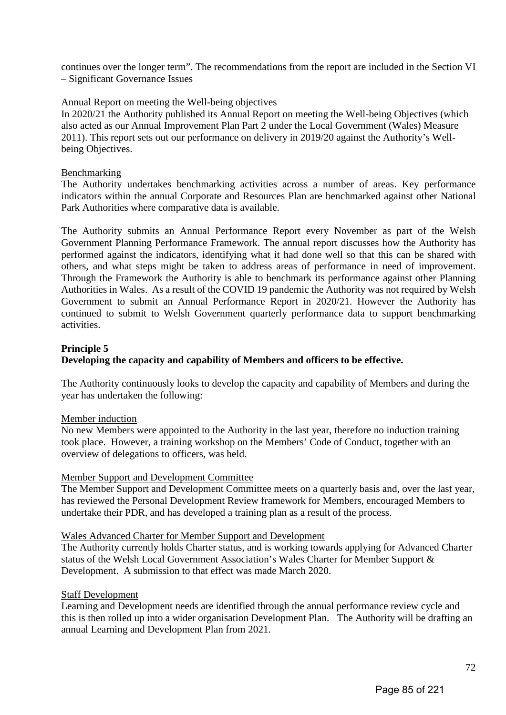continues over the longer term". The recommendations from the report are included in the Section VI – Significant Governance Issues

### Annual Report on meeting the Well-being objectives

In 2020/21 the Authority published its Annual Report on meeting the Well-being Objectives (which also acted as our Annual Improvement Plan Part 2 under the Local Government (Wales) Measure 2011). This report sets out our performance on delivery in 2019/20 against the Authority's Wellbeing Objectives.

### Benchmarking

The Authority undertakes benchmarking activities across a number of areas. Key performance indicators within the annual Corporate and Resources Plan are benchmarked against other National Park Authorities where comparative data is available.

The Authority submits an Annual Performance Report every November as part of the Welsh Government Planning Performance Framework. The annual report discusses how the Authority has performed against the indicators, identifying what it had done well so that this can be shared with others, and what steps might be taken to address areas of performance in need of improvement. Through the Framework the Authority is able to benchmark its performance against other Planning Authorities in Wales. As a result of the COVID 19 pandemic the Authority was not required by Welsh Government to submit an Annual Performance Report in 2020/21. However the Authority has continued to submit to Welsh Government quarterly performance data to support benchmarking activities.

# **Principle 5 Developing the capacity and capability of Members and officers to be effective.**

The Authority continuously looks to develop the capacity and capability of Members and during the year has undertaken the following:

### Member induction

No new Members were appointed to the Authority in the last year, therefore no induction training took place. However, a training workshop on the Members' Code of Conduct, together with an overview of delegations to officers, was held.

### Member Support and Development Committee

The Member Support and Development Committee meets on a quarterly basis and, over the last year, has reviewed the Personal Development Review framework for Members, encouraged Members to undertake their PDR, and has developed a training plan as a result of the process.

### Wales Advanced Charter for Member Support and Development

The Authority currently holds Charter status, and is working towards applying for Advanced Charter status of the Welsh Local Government Association's Wales Charter for Member Support & Development. A submission to that effect was made March 2020.

### Staff Development

Learning and Development needs are identified through the annual performance review cycle and this is then rolled up into a wider organisation Development Plan. The Authority will be drafting an annual Learning and Development Plan from 2021.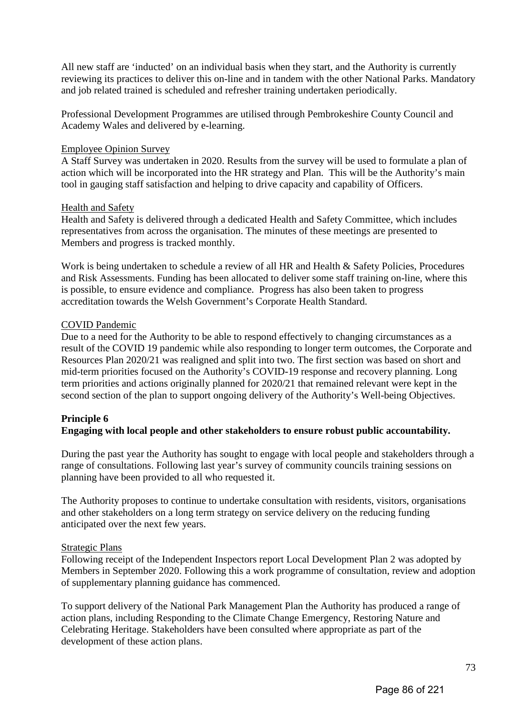All new staff are 'inducted' on an individual basis when they start, and the Authority is currently reviewing its practices to deliver this on-line and in tandem with the other National Parks. Mandatory and job related trained is scheduled and refresher training undertaken periodically.

Professional Development Programmes are utilised through Pembrokeshire County Council and Academy Wales and delivered by e-learning.

### Employee Opinion Survey

A Staff Survey was undertaken in 2020. Results from the survey will be used to formulate a plan of action which will be incorporated into the HR strategy and Plan. This will be the Authority's main tool in gauging staff satisfaction and helping to drive capacity and capability of Officers.

### Health and Safety

Health and Safety is delivered through a dedicated Health and Safety Committee, which includes representatives from across the organisation. The minutes of these meetings are presented to Members and progress is tracked monthly.

Work is being undertaken to schedule a review of all HR and Health & Safety Policies, Procedures and Risk Assessments. Funding has been allocated to deliver some staff training on-line, where this is possible, to ensure evidence and compliance. Progress has also been taken to progress accreditation towards the Welsh Government's Corporate Health Standard.

### COVID Pandemic

Due to a need for the Authority to be able to respond effectively to changing circumstances as a result of the COVID 19 pandemic while also responding to longer term outcomes, the Corporate and Resources Plan 2020/21 was realigned and split into two. The first section was based on short and mid-term priorities focused on the Authority's COVID-19 response and recovery planning. Long term priorities and actions originally planned for 2020/21 that remained relevant were kept in the second section of the plan to support ongoing delivery of the Authority's Well-being Objectives.

# **Principle 6**

# **Engaging with local people and other stakeholders to ensure robust public accountability.**

During the past year the Authority has sought to engage with local people and stakeholders through a range of consultations. Following last year's survey of community councils training sessions on planning have been provided to all who requested it.

The Authority proposes to continue to undertake consultation with residents, visitors, organisations and other stakeholders on a long term strategy on service delivery on the reducing funding anticipated over the next few years.

# Strategic Plans

Following receipt of the Independent Inspectors report Local Development Plan 2 was adopted by Members in September 2020. Following this a work programme of consultation, review and adoption of supplementary planning guidance has commenced.

To support delivery of the National Park Management Plan the Authority has produced a range of action plans, including Responding to the Climate Change Emergency, Restoring Nature and Celebrating Heritage. Stakeholders have been consulted where appropriate as part of the development of these action plans.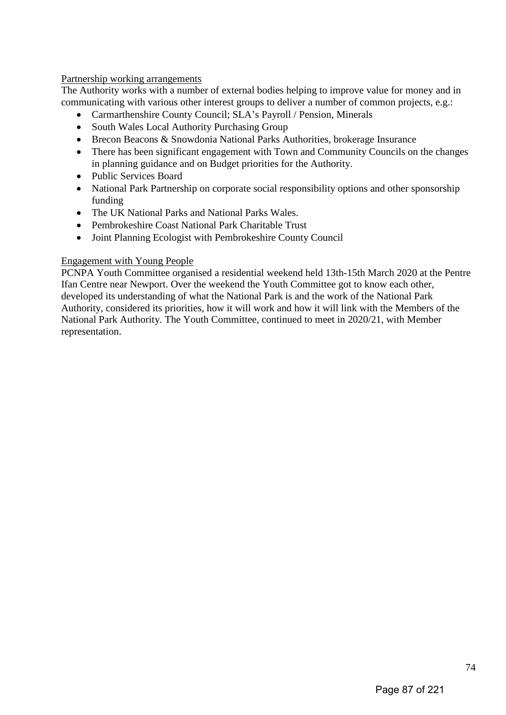### Partnership working arrangements

The Authority works with a number of external bodies helping to improve value for money and in communicating with various other interest groups to deliver a number of common projects, e.g.:

- Carmarthenshire County Council; SLA's Payroll / Pension, Minerals
- South Wales Local Authority Purchasing Group
- Brecon Beacons & Snowdonia National Parks Authorities, brokerage Insurance
- There has been significant engagement with Town and Community Councils on the changes in planning guidance and on Budget priorities for the Authority.
- Public Services Board
- National Park Partnership on corporate social responsibility options and other sponsorship funding
- The UK National Parks and National Parks Wales.
- Pembrokeshire Coast National Park Charitable Trust
- Joint Planning Ecologist with Pembrokeshire County Council

# Engagement with Young People

PCNPA Youth Committee organised a residential weekend held 13th-15th March 2020 at the Pentre Ifan Centre near Newport. Over the weekend the Youth Committee got to know each other, developed its understanding of what the National Park is and the work of the National Park Authority, considered its priorities, how it will work and how it will link with the Members of the National Park Authority. The Youth Committee, continued to meet in 2020/21, with Member representation.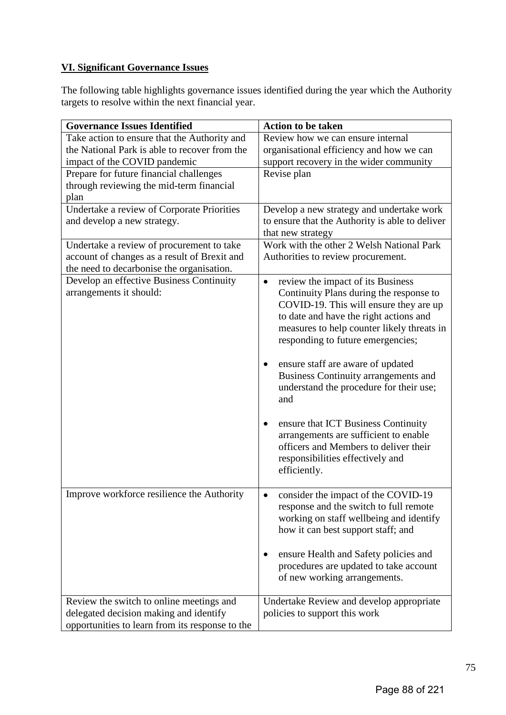# **VI. Significant Governance Issues**

The following table highlights governance issues identified during the year which the Authority targets to resolve within the next financial year.

| <b>Governance Issues Identified</b>             | <b>Action to be taken</b>                       |
|-------------------------------------------------|-------------------------------------------------|
| Take action to ensure that the Authority and    | Review how we can ensure internal               |
| the National Park is able to recover from the   | organisational efficiency and how we can        |
| impact of the COVID pandemic                    | support recovery in the wider community         |
| Prepare for future financial challenges         | Revise plan                                     |
| through reviewing the mid-term financial        |                                                 |
| plan                                            |                                                 |
| Undertake a review of Corporate Priorities      | Develop a new strategy and undertake work       |
| and develop a new strategy.                     | to ensure that the Authority is able to deliver |
|                                                 | that new strategy                               |
| Undertake a review of procurement to take       | Work with the other 2 Welsh National Park       |
| account of changes as a result of Brexit and    | Authorities to review procurement.              |
| the need to decarbonise the organisation.       |                                                 |
| Develop an effective Business Continuity        | review the impact of its Business<br>$\bullet$  |
| arrangements it should:                         | Continuity Plans during the response to         |
|                                                 | COVID-19. This will ensure they are up          |
|                                                 | to date and have the right actions and          |
|                                                 | measures to help counter likely threats in      |
|                                                 | responding to future emergencies;               |
|                                                 |                                                 |
|                                                 | ensure staff are aware of updated               |
|                                                 | <b>Business Continuity arrangements and</b>     |
|                                                 | understand the procedure for their use;         |
|                                                 | and                                             |
|                                                 |                                                 |
|                                                 | ensure that ICT Business Continuity             |
|                                                 | arrangements are sufficient to enable           |
|                                                 | officers and Members to deliver their           |
|                                                 | responsibilities effectively and                |
|                                                 | efficiently.                                    |
|                                                 |                                                 |
| Improve workforce resilience the Authority      | consider the impact of the COVID-19             |
|                                                 | response and the switch to full remote          |
|                                                 | working on staff wellbeing and identify         |
|                                                 | how it can best support staff; and              |
|                                                 |                                                 |
|                                                 | ensure Health and Safety policies and           |
|                                                 | procedures are updated to take account          |
|                                                 | of new working arrangements.                    |
|                                                 |                                                 |
| Review the switch to online meetings and        | Undertake Review and develop appropriate        |
| delegated decision making and identify          | policies to support this work                   |
| opportunities to learn from its response to the |                                                 |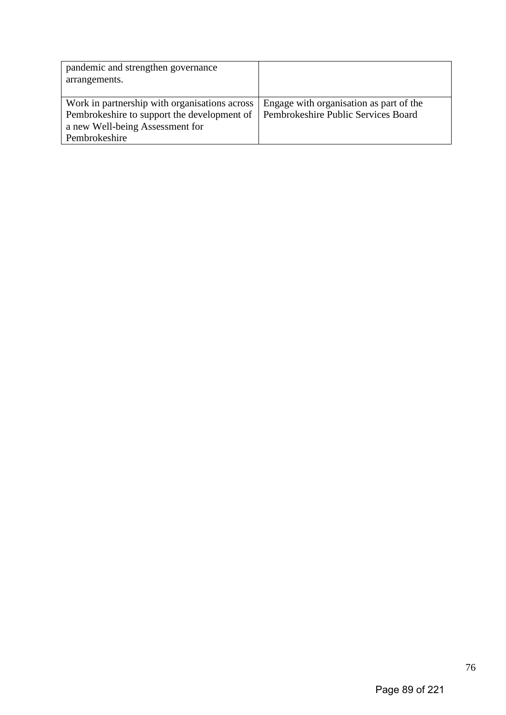| pandemic and strengthen governance<br>arrangements.                                                                                              |                                                                                |
|--------------------------------------------------------------------------------------------------------------------------------------------------|--------------------------------------------------------------------------------|
| Work in partnership with organisations across<br>Pembrokeshire to support the development of<br>a new Well-being Assessment for<br>Pembrokeshire | Engage with organisation as part of the<br>Pembrokeshire Public Services Board |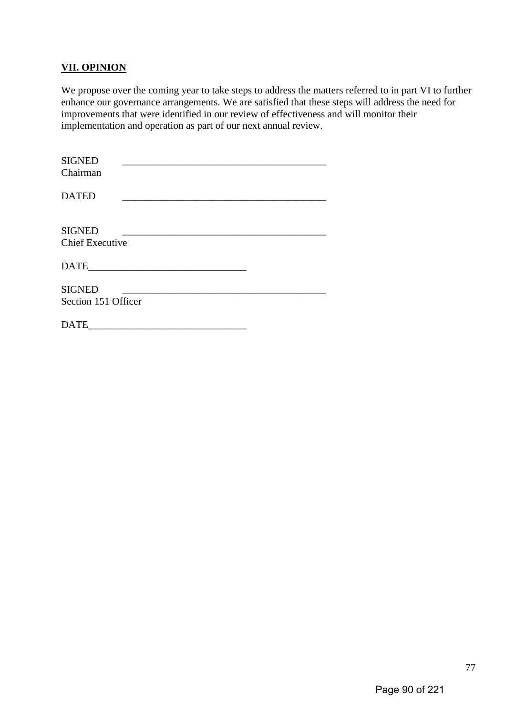# **VII. OPINION**

We propose over the coming year to take steps to address the matters referred to in part VI to further enhance our governance arrangements. We are satisfied that these steps will address the need for improvements that were identified in our review of effectiveness and will monitor their implementation and operation as part of our next annual review.

| <b>SIGNED</b><br>Chairman               |  |  |
|-----------------------------------------|--|--|
| <b>DATED</b>                            |  |  |
| <b>SIGNED</b><br><b>Chief Executive</b> |  |  |
|                                         |  |  |
| <b>SIGNED</b><br>Section 151 Officer    |  |  |
| <b>DATE</b>                             |  |  |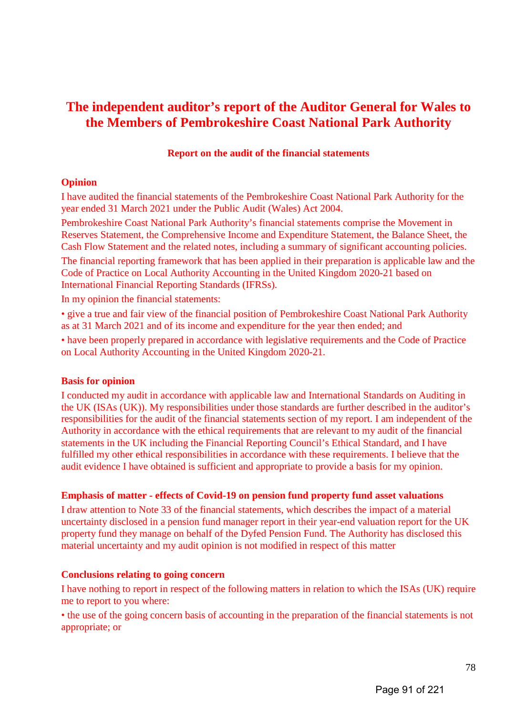# **The independent auditor's report of the Auditor General for Wales to the Members of Pembrokeshire Coast National Park Authority**

### **Report on the audit of the financial statements**

# **Opinion**

I have audited the financial statements of the Pembrokeshire Coast National Park Authority for the year ended 31 March 2021 under the Public Audit (Wales) Act 2004.

Pembrokeshire Coast National Park Authority's financial statements comprise the Movement in Reserves Statement, the Comprehensive Income and Expenditure Statement, the Balance Sheet, the Cash Flow Statement and the related notes, including a summary of significant accounting policies. The financial reporting framework that has been applied in their preparation is applicable law and the Code of Practice on Local Authority Accounting in the United Kingdom 2020-21 based on International Financial Reporting Standards (IFRSs).

In my opinion the financial statements:

• give a true and fair view of the financial position of Pembrokeshire Coast National Park Authority as at 31 March 2021 and of its income and expenditure for the year then ended; and • have been properly prepared in accordance with legislative requirements and the Code of Practice on Local Authority Accounting in the United Kingdom 2020-21.

### **Basis for opinion**

I conducted my audit in accordance with applicable law and International Standards on Auditing in the UK (ISAs (UK)). My responsibilities under those standards are further described in the auditor's responsibilities for the audit of the financial statements section of my report. I am independent of the Authority in accordance with the ethical requirements that are relevant to my audit of the financial statements in the UK including the Financial Reporting Council's Ethical Standard, and I have fulfilled my other ethical responsibilities in accordance with these requirements. I believe that the audit evidence I have obtained is sufficient and appropriate to provide a basis for my opinion.

# **Emphasis of matter - effects of Covid-19 on pension fund property fund asset valuations**

I draw attention to Note 33 of the financial statements, which describes the impact of a material uncertainty disclosed in a pension fund manager report in their year-end valuation report for the UK property fund they manage on behalf of the Dyfed Pension Fund. The Authority has disclosed this material uncertainty and my audit opinion is not modified in respect of this matter

### **Conclusions relating to going concern**

I have nothing to report in respect of the following matters in relation to which the ISAs (UK) require me to report to you where:

• the use of the going concern basis of accounting in the preparation of the financial statements is not appropriate; or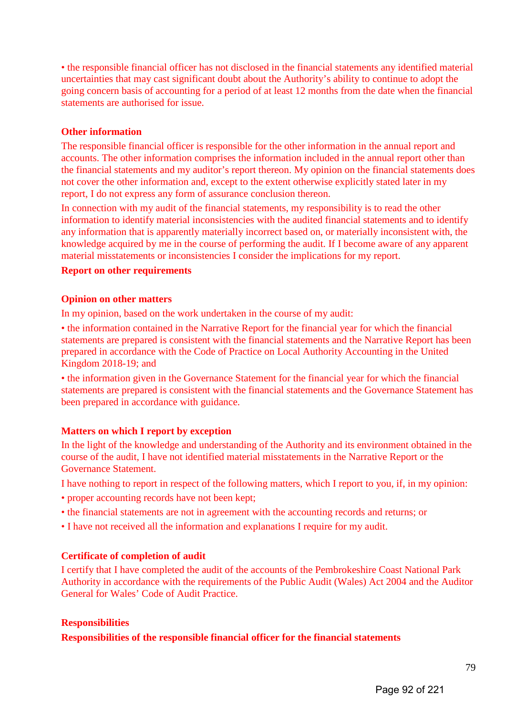• the responsible financial officer has not disclosed in the financial statements any identified material uncertainties that may cast significant doubt about the Authority's ability to continue to adopt the going concern basis of accounting for a period of at least 12 months from the date when the financial statements are authorised for issue.

## **Other information**

The responsible financial officer is responsible for the other information in the annual report and accounts. The other information comprises the information included in the annual report other than the financial statements and my auditor's report thereon. My opinion on the financial statements does not cover the other information and, except to the extent otherwise explicitly stated later in my report, I do not express any form of assurance conclusion thereon.

In connection with my audit of the financial statements, my responsibility is to read the other information to identify material inconsistencies with the audited financial statements and to identify any information that is apparently materially incorrect based on, or materially inconsistent with, the knowledge acquired by me in the course of performing the audit. If I become aware of any apparent material misstatements or inconsistencies I consider the implications for my report.

### **Report on other requirements**

#### **Opinion on other matters**

In my opinion, based on the work undertaken in the course of my audit:

• the information contained in the Narrative Report for the financial year for which the financial statements are prepared is consistent with the financial statements and the Narrative Report has been prepared in accordance with the Code of Practice on Local Authority Accounting in the United Kingdom 2018-19; and

• the information given in the Governance Statement for the financial year for which the financial statements are prepared is consistent with the financial statements and the Governance Statement has been prepared in accordance with guidance.

### **Matters on which I report by exception**

In the light of the knowledge and understanding of the Authority and its environment obtained in the course of the audit, I have not identified material misstatements in the Narrative Report or the Governance Statement.

I have nothing to report in respect of the following matters, which I report to you, if, in my opinion:

- proper accounting records have not been kept;
- the financial statements are not in agreement with the accounting records and returns; or
- I have not received all the information and explanations I require for my audit.

# **Certificate of completion of audit**

I certify that I have completed the audit of the accounts of the Pembrokeshire Coast National Park Authority in accordance with the requirements of the Public Audit (Wales) Act 2004 and the Auditor General for Wales' Code of Audit Practice.

### **Responsibilities**

**Responsibilities of the responsible financial officer for the financial statements**